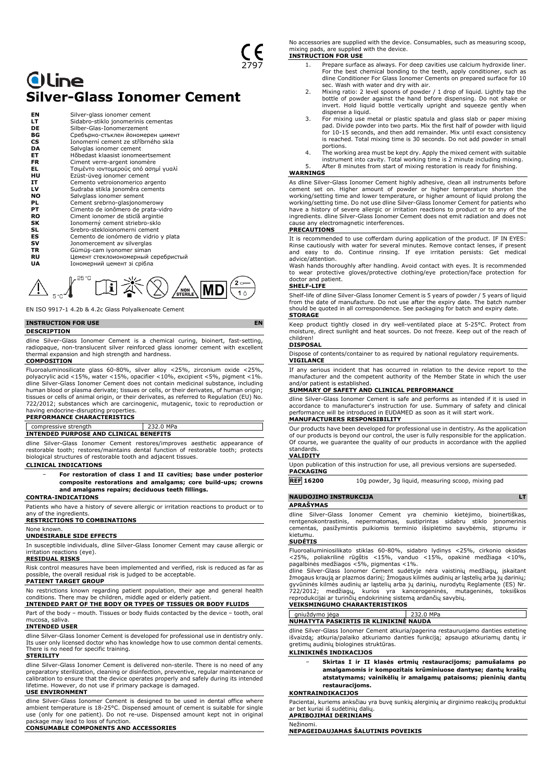## **Oline Silver-Glass Ionomer Cement**

| ΕN        | Silver-glass ionomer cement           |
|-----------|---------------------------------------|
| LТ        | Sidabro-stiklo jonomerinis cementas   |
| DE        | Silber-Glas-Ionomerzement             |
| ВG        | Сребърно-стъклен йономерен цимент     |
| <b>CS</b> | Jonomerní cement ze stříbrného skla   |
| DA        | Sølvglas ionomer cement               |
| EТ        | Hõbedast klaasist jonomeertsement     |
| <b>FR</b> | Ciment verre-argent ionomère          |
| EL        | Τσιμέντο ιοντομερούς από ασημί γυαλί  |
| нu        | Ezüst-üveg ionomer cement             |
| IT        | Cemento vetroionomerico argento       |
| LV        | Sudraba stikla jonomēra cements       |
| NO        | Sølvglass ionomer sement              |
| PL        | Cement srebrno-glasjonomerowy         |
| PТ        | Cimento de ionômero de prata-vidro    |
| <b>RO</b> | Ciment ionomer de sticlă argintie     |
| SK        | Ionomerný cement striebro-sklo        |
| SL        | Srebro-stekloionomerni cement         |
| ES        | Cemento de ionómero de vidrio y plata |
| sv        | Jonomercement av silverglas           |
| TR        | Gümüş-cam iyonomer siman              |
| RU        | Цемент стеклоиономерный серебристый   |
| UA        | Іономерний цемент зі срібла           |
|           |                                       |



EN ISO 9917-1 4.2b & 4.2c Glass Polyalkenoate Cement

### **INSTRUCTION FOR USE EN**

### **DESCRIPTION**

dline Silver-Glass Ionomer Cement is a chemical curing, bioinert, fast-setting, radiopaque, non-translucent silver reinforced glass ionomer cement with excellent thermal expansion and high strength and hardness.

### **COMPOSITION**

Fluoroaluminosilicate glass 60-80%, silver alloy <25%, zirconium oxide <25%, polyacrylic acid <15%, water <15%, opacifier <10%, excipient <5%, pigment <1%. dline Silver-Glass Ionomer Cement does not contain medicinal substance, including human blood or plasma derivate; tissues or cells, or their derivates, of human origin; tissues or cells of animal origin, or their derivates, as referred to Regulation (EU) No. 722/2012; substances which are carcinogenic, mutagenic, toxic to reproduction or having endocrine-disrupting properties.

### **PERFORMANCE CHARACTERISTICS**

### compressive strength 232.0 MPa **INTENDED PURPOSE AND CLINICAL BENEFITS**

dline Silver-Glass Ionomer Cement restores/improves aesthetic appearance of restorable tooth; restores/maintains dental function of restorable tooth; protects biological structures of restorable tooth and adjacent tissues.

### **CLINICAL INDICATIONS**

− **For restoration of class I and II cavities; base under posterior composite restorations and amalgams; core build-ups; crowns and amalgams repairs; deciduous teeth fillings.**

### **CONTRA-INDICATIONS**

Patients who have a history of severe allergic or irritation reactions to product or to any of the ingredients.

**RESTRICTIONS TO COMBINATIONS**

## None known.

**UNDESIRABLE SIDE EFFECTS** In susceptible individuals, dline Silver-Glass Ionomer Cement may cause allergic or

### irritation reactions (eye). **RESIDUAL RISKS**

Risk control measures have been implemented and verified, risk is reduced as far as possible, the overall residual risk is judged to be acceptable.

### **PATIENT TARGET GROUP**

No restrictions known regarding patient population, their age and general health conditions. There may be children, middle aged or elderly patient.

### **INTENDED PART OF THE BODY OR TYPES OF TISSUES OR BODY FLUIDS** Part of the body – mouth. Tissues or body fluids contacted by the device – tooth, oral

mucosa, saliva. **INTENDED USER**

dline Silver-Glass Ionomer Cement is developed for professional use in dentistry only. Its user only licensed doctor who has knowledge how to use common dental cements. There is no need for specific training.

### **STERILITY**

dline Silver-Glass Ionomer Cement is delivered non-sterile. There is no need of any preparatory sterilization, cleaning or disinfection, preventive, regular maintenance or calibration to ensure that the device operates properly and safely during its intended lifetime. However, do not use if primary package is damaged.

### **USE ENVIRONMENT**

dline Silver-Glass Ionomer Cement is designed to be used in dental office where ambient temperature is 18-25°C. Dispensed amount of cement is suitable for single use (only for one patient). Do not re-use. Dispensed amount kept not in original package may lead to loss of function. **CONSUMABLE COMPONENTS AND ACCESSORIES**

No accessories are supplied with the device. Consumables, such as measuring scoop, mixing pads, are supplied with the device. **INSTRUCTION FOR USE**

### 1. Prepare surface as always. For deep cavities use calcium hydroxide liner. For the best chemical bonding to the teeth, apply conditioner, such as dline Conditioner For Glass Ionomer Cements on prepared surface for 10

- sec. Wash with water and dry with air. 2. Mixing ratio: 2 level spoons of powder / 1 drop of liquid. Lightly tap the bottle of powder against the hand before dispensing. Do not shake or invert. Hold liquid bottle vertically upright and squeeze gently when dispense a liquid.
- 3. For mixing use metal or plastic spatula and glass slab or paper mixing pad. Divide powder into two parts. Mix the first half of powder with liquid for 10-15 seconds, and then add remainder. Mix until exact consistency is reached. Total mixing time is 30 seconds. Do not add powder in small portions.
- 4. The working area must be kept dry. Apply the mixed cement with suitable instrument into cavity. Total working time is 2 minute including mixing. 5. After 8 minutes from start of mixing restoration is ready for finishing.

### **WARNINGS**

As dline Silver-Glass Ionomer Cement highly adhesive, clean all instruments before cement set on. Higher amount of powder or higher temperature shorten the working/setting time and lower temperature, or higher amount of liquid prolong the working/setting time. Do not use dline Silver-Glass Ionomer Cement for patients who have a history of severe allergic or irritation reactions to product or to any of the ingredients. dline Silver-Glass Ionomer Cement does not emit radiation and does not cause any electromagnetic interferences. **PRECAUTIONS**

It is recommended to use cofferdam during application of the product. IF IN EYES: Rinse cautiously with water for several minutes. Remove contact lenses, if present and easy to do. Continue rinsing. If eye irritation persists: Get medical advice/attention.

Wash hands thoroughly after handling. Avoid contact with eyes. It is recommended to wear protective gloves/protective clothing/eye protection/face protection for doctor and patient.

### **SHELF-LIFE**

Shelf-life of dline Silver-Glass Ionomer Cement is 5 years of powder / 5 years of liquid from the date of manufacture. Do not use after the expiry date. The batch number should be quoted in all correspondence. See packaging for batch and expiry date. **STORAGE**

Keep product tightly closed in dry well-ventilated place at 5-25°C. Protect from moisture, direct sunlight and heat sources. Do not freeze. Keep out of the reach of children!

### **DISPOSAL**

Dispose of contents/container to as required by national regulatory requirements. **VIGILANCE**

If any serious incident that has occurred in relation to the device report to the manufacturer and the competent authority of the Member State in which the user and/or patient is established.

### **SUMMARY OF SAFETY AND CLINICAL PERFORMANCE**

dline Silver-Glass Ionomer Cement is safe and performs as intended if it is used in accordance to manufacturer's instruction for use. Summary of safety and clinical performance will be introduced in EUDAMED as soon as it will start work. **MANUFACTURERS RESPONSIBILITY**

## Our products have been developed for professional use in dentistry. As the application of our products is beyond our control, the user is fully responsible for the application.

Of course, we guarantee the quality of our products in accordance with the applied standards. **VALIDITY**

### Upon publication of this instruction for use, all previous versions are superseded.

**PACKAGING REF 16200** 10g powder, 3g liquid, measuring scoop, mixing pad

## **NAUDOJIMO INSTRUKCIJA LT**

**APRAŠYMAS**

dline Silver-Glass Ionomer Cement yra cheminio kietėjimo, bioinertiškas, rentgenokontrastinis, nepermatomas, sustiprintas sidabru stiklo jonomerinis cementas, pasižymintis puikiomis terminio išsiplėtimo savybėmis, stiprumu ir kietumu.

### **SUDĖTIS**

Fluoroaliuminiosilikato stiklas 60-80%, sidabro lydinys <25%, cirkonio oksidas<br><25%, poliakrilinė rūgštis <15%, vanduo <15%, opakinė medžiaga <10%,<br>pagalbinės-medžiagos <5%, pigmentas <1%.<br>dline Silver-Glass Ionomer Cement

žmogaus kraują ar plazmos darinį; žmogaus kilmės audinių ar ląstelių arba jų darinių; gyvūninės kilmės audinių ar ląstelių arba jų darinių, nurodytų Reglamente (ES) Nr. 722/2012; medžiagų, kurios yra kancerogeninės, mutageninės, toksiškos reprodukcijai ar turinčių endokrininę sistemą ardančių savybių.

## **VEIKSMINGUMO CHARAKTERISTIKOS**

### gniuždymo jėga 232.0 MPa **NUMATYTA PASKIRTIS IR KLINIKINĖ NAUDA**

dline Silver-Glass Ionomer Cement atkuria/pagerina restauruojamo danties estetinę išvaizdą; atkuria/palaiko atkuriamo danties funkciją; apsaugo atkuriamų dantų ir gretimų audinių biologines struktūras.

### **KLINIKINĖS INDIKACIJOS**

− **Skirtas I ir II klasės ertmių restauracijoms; pamušalams po amalgamomis ir kompozitais krūminiuose dantyse; dantų kraštų atstatymams; vainikėlių ir amalgamų pataisoms; pieninių dantų restauracijoms.**

### **KONTRAINDIKACIJOS**

Pacientai, kuriems anksčiau yra buvę sunkių alerginių ar dirginimo reakcijų produktui ar bet kuriai iš sudėtinių dalių. **APRIBOJIMAI DERINIAMS**

## Nežinomi.

**NEPAGEIDAUJAMAS ŠALUTINIS POVEIKIS**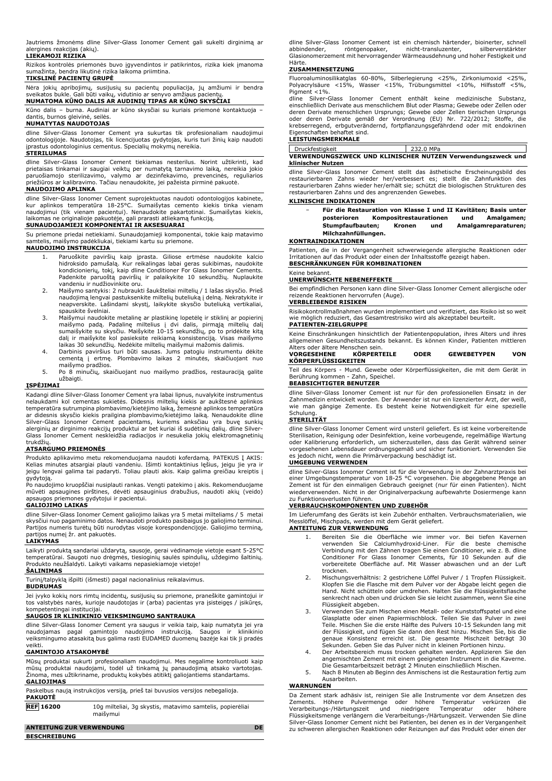Jautriems žmonėms dline Silver-Glass Ionomer Cement gali sukelti dirginimą ar alergines reakcijas (akių).

### **LIEKAMOJI RIZIKA**

Rizikos kontrolės priemonės buvo įgyvendintos ir patikrintos, rizika kiek įmanoma sumažinta, bendra likutinė rizika laikoma priimtina.

### **TIKSLINĖ PACIENTŲ GRUPĖ**

Nėra jokių apribojimų, susijusių su pacientų populiacija, jų amžiumi ir bendra sveikatos bukle. Gali būti vaikų, vidutinio ar senyvo amžiaus pacientų. **NUMATOMA KŪNO DALIS AR AUDINIŲ TIPAS AR KŪNO SKYSČIAI**

Kūno dalis – burna. Audiniai ar kūno skysčiai su kuriais priemonė kontaktuoja – dantis, burnos gleivinė, seilės. **NUMATYTAS NAUDOTOJAS**

### dline Silver-Glass Ionomer Cement yra sukurtas tik profesionaliam naudojimui odontologijoje. Naudotojas, tik licencijuotas gydytojas, kuris turi žinių kaip naudoti įprastus odontologinius cementus. Specialių mokymų nereikia. **STERILUMAS**

dline Silver-Glass Ionomer Cement tiekiamas nesterilus. Norint užtikrinti, kad prietaisas tinkamai ir saugiai veiktų per numatytą tarnavimo laiką, nereikia jokio<br>paruošiamojo sterilizavimo, valymo ar dezinfekavimo, prevencinės, reguliarios<br>priežiūros ar kalibravimo. Tačiau nenaudokite, jei pažei

### **NAUDOJIMO APLINKA**

dline Silver-Glass Ionomer Cement suprojektuotas naudoti odontologijos kabinete, kur aplinkos temperatūra 18-25°C. Sumaišytas cemento kiekis tinka vienam<br>naudojimui (tik vienam pacientui). Nenaudokite pakartotinai. Sumaišytas kiekis,<br>laikomas ne originalioje pakuotėje, gali prarasti atliekamą funkciją.

### **SUNAUDOJAMIEJI KOMPONENTAI IR AKSESUARAI**

Su priemone priedai netiekiami. Sunaudojamieji komponentai, tokie kaip matavimo samtelis, maišymo padėkliukai, tiekiami kartu su priemone.

### **NAUDOJIMO INSTRUKCIJA**

- 1. Paruoškite paviršių kaip įprasta. Giliose ertmėse naudokite kalcio hidroksido pamušalą. Kur reikalingas labai geras sukibimas, naudokite kondicionierių, tokį, kaip dline Conditioner For Glass Ionomer Cements. Padenkite paruoštą paviršių ir palaikykite 10 sekundžių. Nuplaukite vandeniu ir nudžiovinkite oru.
- 2. Maišymo santykis: 2 nubraukti šaukšteliai miltelių / 1 lašas skysčio. Prieš naudojimą lengvai pastuksenkite miltelių buteliuką į delną. Nekratykite ir neapverskite. Lašindami skystį, laikykite skysčio buteliuką vertikaliai, spauskite švelniai.
- 3. Maišymui naudokite metalinę ar plastikinę lopetėlę ir stiklinį ar popierinį maišymo padą. Padalinę miltelius į dvi dalis, pirmąją miltelių dalį<br>sumaišykite su skysčiu. Maišykite 10-15 sekundžių, po to pridėkite kitą<br>dalį ir maišykite kol pasieksite reikiamą konsistenciją. Visas maišymo
- laikas 30 sekundžių. Nedėkite miltelių maišymui mažomis dalimis.<br>4. Darbinis paviršius turi būti sausas. Jums patogiu instrumentu dėkite<br>cementą į ertmę. Plombavimo laikas 2 minutės, skaičiuojant nuo maišymo pradžios.
- 5. Po 8 minučių, skaičiuojant nuo maišymo pradžios, restauraciją galite užbaigti.

### **ĮSPĖJIMAI**

Kadangi dline Silver-Glass Ionomer Cement yra labai lipnus, nuvalykite instrumentus nelaukdami kol cementas sukietės. Didesnis miltelių kiekis ar aukštesnė aplinkos temperatūra sutrumpina plombavimo/kietėjimo laiką, žemesnė aplinkos temperatūra ar didesnis skysčio kiekis prailgina plombavimo/kietėjimo laiką. Nenaudokite dline<br>Silver-Glass Ionomer Cement pacientams, kuriems anksčiau yra buvę sunkių<br>alerginių ar dirginimo reakcijų produktui ar bet kuriai iš sudėtin trukdžių.

## **ATSARGUMO PRIEMONĖS**

Produkto aplikavimo metu rekomenduojama naudoti koferdamą. PATEKUS Į AKIS: Kelias minutes atsargiai plauti vandeniu. Išimti kontaktinius lęšius, jeigu jie yra ir jeigu lengvai galima tai padaryti. Toliau plauti akis. Kaip galima greičiau kreiptis į

gydytoją. Po naudojimo kruopščiai nusiplauti rankas. Vengti patekimo į akis. Rekomenduojame mūvėti apsaugines pirštines, dėvėti apsauginius drabužius, naudoti akių (veido) apsaugos priemones gydytojui ir pacientui.

### **GALIOJIMO LAIKAS**

dline Silver-Glass Ionomer Cement galiojimo laikas yra 5 metai milteliams / 5 metai skysčiui nuo pagaminimo datos. Nenaudoti produkto pasibaigus jo galiojimo terminui. Partijos numeris turėtų būti nurodytas visoje korespondencijoje. Galiojimo terminą, partijos numeį žr. ant pakuotės.

### **LAIKYMAS**

Laikyti produktą sandariai uždarytą, sausoje, gerai vėdinamoje vietoje esant 5-25°C temperatūrai. Saugoti nuo drėgmės, tiesioginių saulės spindulių, uždegimo šaltinių. Produkto neužšaldyti. Laikyti vaikams nepasiekiamoje vietoje!

### **ŠALINIMAS**

Turinį/talpyklą išpilti (išmesti) pagal nacionalinius reikalavimus.

### **BUDRUMAS**

Jei įvyko kokių nors rimtų incidentų, susijusių su priemone, praneškite gamintojui ir tos valstybės narės, kurioje naudotojas ir (arba) pacientas yra įsisteigęs / įsikūręs, kompetentingai institucijai.

### **SAUGOS IR KLINIKINIO VEIKSMINGUMO SANTRAUKA**

dline Silver-Glass Ionomer Cement yra saugus ir veikia taip, kaip numatyta jei yra naudojamas pagal gamintojo naudojimo instrukciją. Saugos ir klinikinio veiksmingumo atasakitą bus galima rasti EUDAMED duomenų bazėje kai tik ji pradės veikti.

### **GAMINTOJO ATSAKOMYBĖ**

Mūsų produktai sukurti profesionaliam naudojimui. Mes negalime kontroliuoti kaip mūsų produktai naudojami, todėl už tinkamą jų panaudojimą atsako vartotojas. Žinoma, mes užtikriname, produktų kokybės atitiktį galiojantiems standartams. **GALIOJIMAS**

| PAKUOTĖ          | Paskelbus naują instrukcijos versiją, prieš tai buvusios versijos nebegalioja. |
|------------------|--------------------------------------------------------------------------------|
| <b>REF</b> 16200 | 10g milteliai, 3g skystis, matavimo samtelis, popierėliai<br>maišvmui          |

**ANTEITUNG ZUR VERWENDUNG DE**

**BESCHREIBUNG**

dline Silver-Glass Ionomer Cement ist ein chemisch härtender, bioinerter, schnell abbindender, röntgenopaker, nicht-transluzenter, silberverstärkter Glasionomerzement mit hervorragender Wärmeausdehnung und hoher Festigkeit und Härte.

### **ZUSAMMENSETZUNG**

Fluoroaluminosilikatglas 60-80%, Silberlegierung <25%, Zirkoniumoxid <25%, Polyacrylsäure <15%, Wasser <15%, Trübungsmittel <10%, Hilfsstoff <5%, Pigment <1%.

der Freihner<br>Silver-Glass Ionomer Cement enthält keine medizinische Substanz, einschließlich Derivate aus menschlichem Blut oder Plasma; Gewebe oder Zellen oder deren Derivate menschlichen Ursprungs; Gewebe oder Zellen tierischen Ursprungs oder deren Derivate gemäß der Verordnung (EU) Nr. 722/2012; Stoffe, die krebserregend, erbgutverändernd, fortpflanzungsgefährdend oder mit endokrinen Eigenschaften behaftet sind.

### **LEISTUNGSMERKMALE**

| Druckfestigkeit   | 232.0 MPa                                                   |
|-------------------|-------------------------------------------------------------|
|                   | VERWENDUNGSZWECK UND KLINISCHER NUTZEN Verwendungszweck und |
| klinischer Nutzen |                                                             |

dline Silver-Glass Ionomer Cement stellt das ästhetische Erscheinungsbild des restaurierbaren Zahns wieder her/verbessert es; stellt die Zahnfunktion des restaurierbaren Zahns wieder her/erhält sie; schützt die biologischen Strukturen des restaurierbaren Zahns und des angrenzenden Gewebes.

### **KLINISCHE INDIKATIONEN**

| - | Für die Restauration von Klasse I und II Kavitäten: Basis unter |                        |     |     |                     |
|---|-----------------------------------------------------------------|------------------------|-----|-----|---------------------|
|   | posterioren                                                     | Kompositrestaurationen |     | und | Amalgamen;          |
|   | Stumpfaufbauten:                                                | Kronen                 | und |     | Amalgamreparaturen: |
|   | Milchzahnfüllungen.                                             |                        |     |     |                     |

### **KONTRAINDIKATIONEN**

Patienten, die in der Vergangenheit schwerwiegende allergische Reaktionen oder Irritationen auf das Produkt oder einen der Inhaltsstoffe gezeigt haben. **BESCHRÄNKUNGEN FÜR KOMBINATIONEN**

### Keine bekannt.

### **UNERWÜNSCHTE NEBENEFFEKTE**

Bei empfindlichen Personen kann dline Silver-Glass Ionomer Cement allergische oder reizende Reaktionen hervorrufen (Auge).

### **VERBLEIBENDE RISIKEN**

Risikokontrollmaßnahmen wurden implementiert und verifiziert, das Risiko ist so weit wie möglich reduziert, das Gesamtrestrisiko wird als akzeptabel beurteilt. **PATIENTEN-ZIELGRUPPE**

Keine Einschränkungen hinsichtlich der Patientenpopulation, ihres Alters und ihres allgemeinen Gesundheitszustands bekannt. Es können Kinder, Patienten mittleren

## Alters oder ältere Menschen sein. **VORGESEHENE KÖRPERTEILE ODER GEWEBETYPEN VON KÖRPERFLÜSSIGKEITEN**

Teil des Körpers - Mund. Gewebe oder Körperflüssigkeiten, die mit dem Gerät in Berührung kommen - Zahn, Speichel. **BEABSICHTIGTER BENUTZER**

dline Silver-Glass Ionomer Cement ist nur für den professionellen Einsatz in der Zahnmedizin entwickelt worden. Der Anwender ist nur ein lizenzierter Arzt, der weiß, wie man gängige Zemente. Es besteht keine Notwendigkeit für eine spezielle Schulung.

## **STERILITÄT**

dline Silver-Glass Ionomer Cement wird unsteril geliefert. Es ist keine vorbereitende Sterilisation, Reinigung oder Desinfektion, keine vorbeugende, regelmäßige Wartung oder Kalibrierung erforderlich, um sicherzustellen, dass das Gerät während seiner vorgesehenen Lebensdauer ordnungsgemäß und sicher funktioniert. Verwenden Sie es jedoch nicht, wenn die Primärverpackung beschädigt ist.

### **UMGEBUNG VERWENDEN**

dline Silver-Glass Ionomer Cement ist für die Verwendung in der Zahnarztpraxis bei einer Umgebungstemperatur von 18-25 °C vorgesehen. Die abgegebene Menge an Zement ist für den einmaligen Gebrauch geeignet (nur für einen Patienten). Nicht wiederverwenden. Nicht in der Originalverpackung aufbewahrte Dosiermenge kann zu Funktionsverlusten führen.

### **VERBRAUCHSKOMPONENTEN UND ZUBEHÖR**

Im Lieferumfang des Geräts ist kein Zubehör enthalten. Verbrauchsmaterialien, wie Messlöffel, Mischpads, werden mit dem Gerät geliefert.

### **ANTEITUNG ZUR VERWENDUNG**

- 1. Bereiten Sie die Oberfläche wie immer vor. Bei tiefen Kavernen verwenden Sie Calciumhydroxid-Liner. Für die beste chemische Verbindung mit den Zähnen tragen Sie einen Conditioner, wie z. B. dline Conditioner For Glass Ionomer Cements, für 10 Sekunden auf die vorbereitete Oberfläche auf. Mit Wasser abwaschen und an der Luft trocknen.
- 2. Mischungsverhältnis: 2 gestrichene Löffel Pulver / 1 Tropfen Flüssigkeit. Klopfen Sie die Flasche mit dem Pulver vor der Abgabe leicht gegen die Hand. Nicht schütteln oder umdrehen. Halten Sie die Flüssigkeitsflasche senkrecht nach oben und drücken Sie sie leicht zusammen, wenn Sie eine Flüssigkeit abgeben.
- 3. Verwenden Sie zum Mischen einen Metall- oder Kunststoffspatel und eine Glasplatte oder einen Papiermischblock. Teilen Sie das Pulver in zwei Teile. Mischen Sie die erste Hälfte des Pulvers 10-15 Sekunden lang mit der Flüssigkeit, und fügen Sie dann den Rest hinzu. Mischen Sie, bis die genaue Konsistenz erreicht ist. Die gesamte Mischzeit beträgt 30 Sekunden. Geben Sie das Pulver nicht in kleinen Portionen hinzu.
- 4. Der Arbeitsbereich muss trocken gehalten werden. Applizieren Sie den angemischten Zement mit einem geeigneten Instrument in die Kaverne. Die Gesamtarbeitszeit beträgt 2 Minuten einschließlich Mischen.
- 5. Nach 8 Minuten ab Beginn des Anmischens ist die Restauration fertig zum Ausarbeiten.

### **WARNUNGEN**

Da Zement stark adhäsiv ist, reinigen Sie alle Instrumente vor dem Ansetzen des<br>Zements. Höhere Pulvermenge oder höhere Temperatur verkürzen die<br>Verarbeitungs-/Härtungszeit und niedrigere Temperatur o Flüssigkeitsmenge verlängern die Verarbeitungs-/Härtungszeit. Verwenden Sie dline Silver-Glass Ionomer Cement nicht bei Patienten, bei denen es in der Vergangenheit zu schweren allergischen Reaktionen oder Reizungen auf das Produkt oder einen der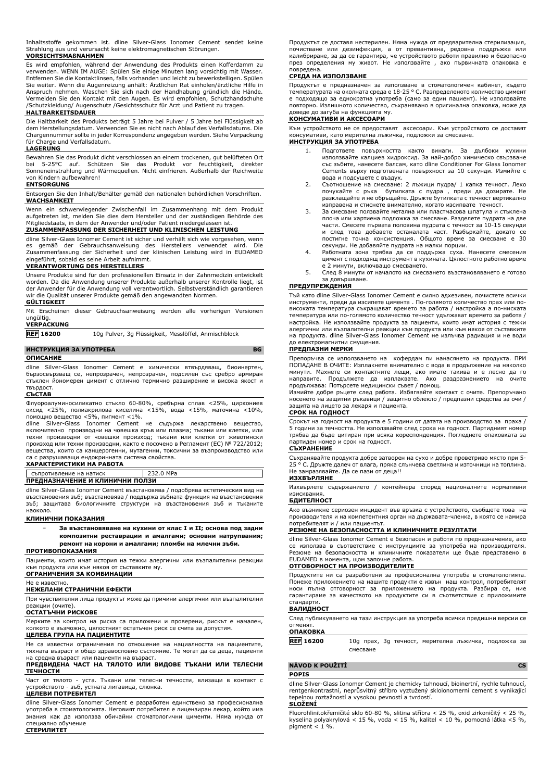Inhaltsstoffe gekommen ist. dline Silver-Glass Ionomer Cement sendet keine Strahlung aus und verursacht keine elektromagnetischen Störungen. **VORSICHTSMAßNAHMEN**

Es wird empfohlen, während der Anwendung des Produkts einen Kofferdamm zu verwenden. WENN IM AUGE: Spülen Sie einige Minuten lang vorsichtig mit Wasser. Entfernen Sie die Kontaktlinsen, falls vorhanden und leicht zu bewerkstelligen. Spülen Sie weiter. Wenn die Augenreizung anhält: Ärztlichen Rat einholen/ärztliche Hilfe in Anspruch nehmen. Waschen Sie sich nach der Handhabung gründlich die Hände. Vermeiden Sie den Kontakt mit den Augen. Es wird empfohlen, Schutzhandschuhe /Schutzkleidung/ Augenschutz /Gesichtsschutz für Arzt und Patient zu tragen.

### **HALTBARKEITSDAUER**

Die Haltbarkeit des Produkts beträgt 5 Jahre bei Pulver / 5 Jahre bei Flüssigkeit ab dem Herstellungsdatum. Verwenden Sie es nicht nach Ablauf des Verfallsdatums. Die Chargennummer sollte in jeder Korrespondenz angegeben werden. Siehe Verpackung für Charge und Verfallsdatum.

### **LAGERUNG**

Bewahren Sie das Produkt dicht verschlossen an einem trockenen, gut belüfteten Ort bei 5-25°C auf. Schützen Sie das Produkt vor feuchtigkeit, direkter Sonneneinstrahlung und Wärmequellen. Nicht einfrieren. Außerhalb der Reichweite von Kindern aufbewahren!

### **ENTSORGUNG**

Entsorgen Sie den Inhalt/Behälter gemäß den nationalen behördlichen Vorschriften. **WACHSAMKEIT** 

Wenn ein schwerwiegender Zwischenfall im Zusammenhang mit dem Produkt aufgetreten ist, melden Sie dies dem Hersteller und der zuständigen Behörde des Mitgliedstaats, in dem der Anwender und/oder Patient niedergelassen ist.

### **ZUSAMMENFASSUNG DER SICHERHEIT UND KLINISCHEN LEISTUNG**

dline Silver-Glass Ionomer Cement ist sicher und verhält sich wie vorgesehen, wenn es gemäß der Gebrauchsanweisung des Herstellers verwendet wird. Die Zusammenfassung der Sicherheit und der klinischen Leistung wird in EUDAMED eingeführt, sobald es seine Arbeit aufnimmt.

### **VERANTWORTUNG DES HERSTELLERS**

Unsere Produkte sind für den professionellen Einsatz in der Zahnmedizin entwickelt worden. Da die Anwendung unserer Produkte außerhalb unserer Kontrolle liegt, ist der Anwender für die Anwendung voll verantwortlich. Selbstverständlich garantieren wir die Qualität unserer Produkte gemäß den angewandten Normen.

### **GÜLTIGKEIT**

Mit Erscheinen dieser Gebrauchsanweisung werden alle vorherigen Versionen ungültig. **VERPACKUNG**

**REF 16200** 10g Pulver, 3g Flüssigkeit, Messlöffel, Anmischblock

### **ИНСТРУКЦИЯ ЗА УПОТРЕБА BG**

### **ОПИСАНИЕ**

dline Silver-Glass Ionomer Cement е химически втвърдяващ, биоинертен, бързосвързващ се, непрозрачен, непрозрачен, подсилен със сребро армиран стъклен йономерен цимент с отлично термично разширение и висока якост и твърдост.

### **СЪСТАВ**

Флуороалуминосиликатно стъкло 60-80%, сребърна сплав <25%, циркониев оксид <25%, полиакрилова киселина <15%, вода <15%, маточина <10%, помощно вещество <5%, пигмент <1%.

dline Silver-Glass Ionomer Cement не съдържа лекарствено вещество, включително производни на човешка кръв или плазма; тъкани или клетки, или техни производни от човешки произход; тъкани или клетки от животински произход или техни производни, както е посочено в Регламент (ЕС) № 722/2012; вещества, които са канцерогенни, мутагенни, токсични за възпроизводство или са с разрушаващи ендокринната система свойства.

### **ХАРАКТЕРИСТИКИ НА РАБОТА**

съпротивление на натиск 232.0 MPa **ПРЕДНАЗНАЧЕНИЕ И КЛИНИЧНИ ПОЛЗИ**

dline Silver-Glass Ionomer Cement възстановява / подобрява естетическия вид на възстановения зъб; възстановява / поддържа зъбната функция на възстановения зъб; защитава биологичните структури на възстановения зъб и тъканите наоколо.

### **КЛИНИЧНИ ПОКАЗАНИЯ**

− **За възстановяване на кухини от клас I и II; основа под задни композитни реставрации и амалгами; основни натрупвания; ремонт на корони и амалгами; пломби на млечни зъби.**

### **ПРОТИВОПОКАЗАНИЯ**

Пациенти, които имат история на тежки алергични или възпалителни реакции<br>към продукта или към някоя от съставките му. към продукта или към някоя от съставките му. **ОГРАНИЧЕНИЯ ЗА КОМБИНАЦИИ**

Не е известно.

### **НЕЖЕЛАНИ СТРАНИЧНИ ЕФЕКТИ**

При чувствителни лица продуктът може да причини алергични или възпалителни реакции (очите).

### **ОСТАТЪЧНИ РИСКОВЕ**

Мерките за контрол на риска са приложени и проверени, рискът е намален, колкото е възможно, цялостният остатъчен риск се счита за допустим.

### **ЦЕЛЕВА ГРУПА НА ПАЦИЕНТИТЕ**

Не са известни ограничения по отношение на нациалността на пациентите, тяхната възраст и общо здравословно състояние. Те могат да са деца, пациенти

## на средна възраст или пациенти на възраст. **ПРЕДВИДЕНА ЧАСТ НА ТЯЛОТО ИЛИ ВИДОВЕ ТЪКАНИ ИЛИ ТЕЛЕСНИ ТЕЧНОСТИ**

Част от тялото - уста. Тъкани или телесни течности, влизащи в контакт с устройството - зъб, устната лигавица, слюнка.

### **ЦЕЛЕВИ ПОТРЕБИТЕЛ**

dline Silver-Glass Ionomer Cement е разработен единствено за професионална употреба в стоматологията. Неговият потребител е лицензиран лекар, който има знания как да използва обичайни стоматологични цименти. Няма нужда от специално обучение

## **СТЕРИЛИТЕТ**

**SLOŽENÍ**

Продуктът се доставя нестерилен. Няма нужда от предварителна стерилизация, почистване или дезинфекция, а от превантивна, редовна поддръжка или калибриране, за да се гарантира, че устройството работи правилно и безопасно през определения му живот. Не използвайте , ако първичната опаковка е повредена.

## **СРЕДА НА ИЗПОЛЗВАНЕ**

Продуктът е предназначен за използване в стоматологичен кабинет, където температурата на околната среда е 18-25 ° C. Разпределеното количество цимент е подходящо за еднократна употреба (само за един пациент). Не използвайте повторно. Излишното количество, съхранявано в оригинална опаковка, може да доведе до загуба на функцията му.

### **КОНСУМАТИВИ И АКСЕСОАРИ**

Към устройството не се предоставят аксесоари. Към устройството се доставят ,<br>умативи, като мерителна лъжичка, подложки за смесване.

## **ИНСТРУКЦИЯ ЗА УПОТРЕБА**

- 1. Подгответе повърхността както винаги. За дълбоки кухини използвайте калциев хидроксид. За най-добро химическо свързване със зъбите, нанесете балсам, като dline Conditioner For Glass Ionomer Cements върху подготвената повърхност за 10 секунди. Измийте с вода и подсушете с въздух.
- 2. Съотношение на смесване: 2 лъжици пудра/ 1 капка течност. Леко почукайте с ръка бутилката с пудра , преди да дозирате. Не разклащайте и не обръщайте. Дръжте бутилката с течност вертикално
- изправена и стиснете внимателно, когато изсипвате течност. 3. За смесване ползвайте метална или пластмасова шпатула и стъклена плоча или хартиена подложка за смесване. Разделете пудрата на две части. Смесете първата половина пудрата с течност за 10-15 секунди и след това добавете останалата част. Разбъркайте, докато се постигне точна консистенция. Общото време за смесване е 30 секунди. Не добавяйте пудрата на малки порции.
- 4. Работната зона трябва да се поддържа суха. Нанесете смесения цимент с подходящ инструмент в кухината. Цялостното работно време е 2 минути, включващо смесването.
- 5. След 8 минути от началото на смесването възстановяването е готово за довършване.

### **ПРЕДУПРЕЖДЕНИЯ**

Тъй като dline Silver-Glass Ionomer Cement е силно адхезивен, почистете всички инструменти, преди да изсипете цимента . По-голямото количество прах или повисоката температура съкращават времето за работа / настройка а по-ниската температура или по-голямото количество течност удължават времето за работа / настройка. Не използвайте продукта за пациенти, които имат история с тежки алергични или възпалителни реакции към продукта или към някоя от съставките на продукта. dline Silver-Glass Ionomer Cement не излъчва радиация и не води до електромагнитни смущения.

### **ПРЕДПАЗНИ МЕРКИ**

Препоръчва се използването на кофердам пи нанасянето на продукта. ПРИ ПОПАДАНЕ В ОЧИТЕ: Изплакнете внимателно с вода в продължение на няколко минути. Махнете си контактните лещи, ако имате такива и е лесно да го направите. Продължете да изплаквате. Ако раздразнението на очите продължава: Потърсете медицински съвет / помощ.

Измийте добре ръцете след работа. Избягвайте контакт с очите. Препоръчано носенето на защитни ръкавици / защитно облекло / предпазни средства за очи / защита на лицето за лекаря и пациента.

### **СРОК НА ГОДНОСТ**

Срокът на годност на продукта е 5 години от датата на производство за праха / 5 години за течността. Не използвайте след срока на годност. Партидният номер трябва да бъде цитиран при всяка кореспонденция. Погледнете опаковката за партиден номер и срок на годност.

### **СЪХРАНЕНИЕ**

Съхранявайте продукта добре затворен на сухо и добре проветриво място при 5- 25 ° C. Дръжте далеч от влага, пряка слънчева светлина и източници на топлина. Не замразявайте. Да се пази от деца!!

### **ИЗХВЪРЛЯНЕ**

Изхвърлете съдържанието / контейнера според националните нормативни изисквания.

### **БДИТЕЛНОСТ**

Ако възникне сериозен инцидент във връзка с устройството, съобщете това на производителя и на компетентния орган на държавата-членка, в която се намира потребителят и / или пациентът.

### **РЕЗЮМЕ НА БЕЗОПАСНОСТТА И КЛИНИЧНИТЕ РЕЗУЛТАТИ**

dline Silver-Glass Ionomer Cement е безопасен и работи по предназначение, ако се използва в съответствие с инструкциите за употреба на производителя. Резюме на безопасността и клиничните показатели ще бъде представено в EUDAMED в момента, щом започне работа.

### **ОТГОВОРНОСТ НА ПРОИЗВОДИТЕЛИТЕ**

Продуктите ни са разработени за професионална употреба в стоматологията. Понеже приложението на нашите продукти е извън наш контрол, потребителят<br>носи пълна отговорност за приложението на продукта. Разбира се, ние<br>гарантираме за качеството на продуктите си в съответствие с стандарти.

### **ВАЛИДНОСТ**

След публикуването на тази инструкция за употреба всички предишни версии се отменят.

### **ОПАКОВКА**

**REF 16200** 10g прах, 3g течност, мерителна лъжичка, подложка за смесване

### **NÁVOD K POUŽITÍ CS**

## **POPIS**

dline Silver-Glass Ionomer Cement je chemicky tuhnoucí, bioinertní, rychle tuhnoucí, rentgenkontrastní, neprůsvitný stříbro vyztužený skloionomerní cement s vynikající tepelnou roztažností a vysokou pevností a tvrdostí.

Fluorohlinitokřemičité sklo 60-80 %, slitina stříbra < 25 %, oxid zirkoničitý < 25 %, kyselina polyakrylová < 15 %, voda < 15 %, kalitel < 10 %, pomocná látka <5 %, pigment  $< 1$  %.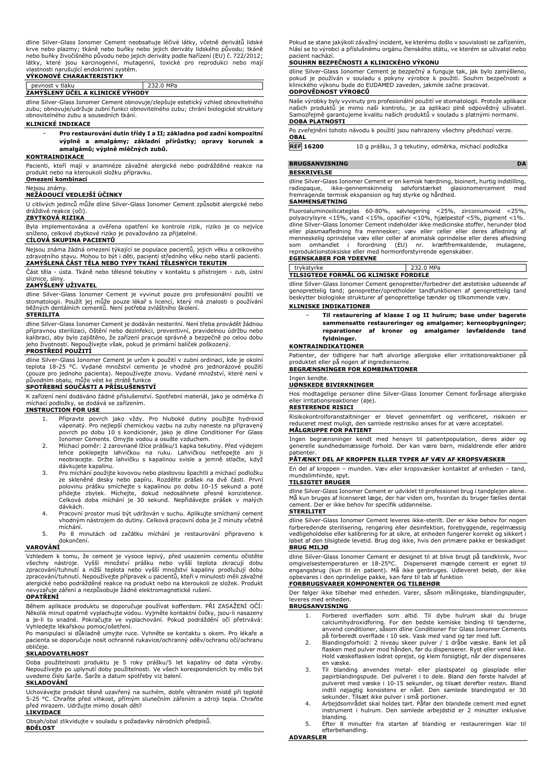dline Silver-Glass Ionomer Cement neobsahuje léčivé látky, včetně derivátů lidské krve nebo plazmy; tkáně nebo buňky nebo jejich deriváty lidského původu; tkáně nebo buňky živočišného původu nebo jejich deriváty podle Nařízení (EU) č. 722/2012; látky, které jsou karcinogenní, mutagenní, toxické pro reprodukci nebo mají vlastnosti narušující endokrinní systém. **VÝKONOVÉ CHARAKTERISTIKY**

## pevnost v tlaku 232.0 MPa

**ZAMÝŠLENÝ ÚČEL A KLINICKÉ VÝHODY**

dline Silver-Glass Ionomer Cement obnovuje/zlepšuje estetický vzhled obnovitelného zubu; obnovuje/udržuje zubní funkci obnovitelného zubu; chrání biologické struktury obnovitelného zubu a sousedních tkání.

### **KLINICKÉ INDIKACE**

− **Pro restaurování dutin třídy I a II; základna pod zadní kompozitní výplně a amalgámy; základní přírůstky; opravy korunek a amalgámů; výplně mléčných zubů.**

### **KONTRAINDIKACE**

Pacienti, kteří mají v anamnéze závažné alergické nebo podrážděné reakce na produkt nebo na kteroukoli složku přípravku.

## **Omezení kombinací**

Nejsou známy.

## **NEŽÁDOUCÍ VEDLEJŠÍ ÚČINKY**

U citlivých jedinců může dline Silver-Glass Ionomer Cement způsobit alergické nebo dráždivé reakce (oči).

### **ZBYTKOVÁ RIZIKA**

Byla implementována a ověřena opatření ke kontrole rizik, riziko je co nejvíce<br>sníženo celkové zbytkové riziko je považováno za přijatelné. celkové zbytkové riziko je považováno za přijatelné.

### **CÍLOVÁ SKUPINA PACIENTŮ**

Nejsou známa žádná omezení týkající se populace pacientů, jejich věku a celkového zdravotního stavu. Mohou to být i děti, pacienti středního věku nebo starší pacienti. **ZAMÝŠLENÁ ČÁST TĚLA NEBO TYPY TKÁNÍ TĚLESNÝCH TEKUTIN**

Část těla - ústa. Tkáně nebo tělesné tekutiny v kontaktu s přístrojem - zub, ústní sliznice, sliny.

### **ZAMÝŠLENÝ UŽIVATEL**

dline Silver-Glass Ionomer Cement je vyvinut pouze pro profesionální použití ve stomatologii. Použít jej může pouze lékař s licencí, který má znalosti o používání běžných dentálních cementů. Není potřeba zvláštního školení.

### **STERILITA**

dline Silver-Glass Ionomer Cement je dodáván nesterilní. Není třeba provádět žádnou přípravnou sterilizaci, čištění nebo dezinfekci, preventivní, pravidelnou údržbu nebo<br>kalibraci, aby bylo zajištěno, že zařízení pracuje správně a bezpečně po celou dobu<br>jeho životnosti. Nepoužívejte však, pokud je primárn **PROSTŘEDÍ POUŽITÍ**

dline Silver-Glass Ionomer Cement je určen k použití v zubní ordinaci, kde je okolní teplota 18-25 °C. Vydané množství cementu je vhodné pro jednorázové použití<br>(pouze pro jednoho pacienta). Nepoužívejte znovu. Vydané množství, které není v<br>původním obalu, může vést ke ztrátě funkce

## **SPOTŘEBNÍ SOUČÁSTI A PŘÍSLUŠENSTVÍ**

K zařízení není dodáváno žádné příslušenství. Spotřební materiál, jako je odměrka či míchací podložky, se dodává se zařízením. **INSTRUCTION FOR USE**

- 1. Připravte povrch jako vždy. Pro hluboké dutiny použijte hydroxid vápenatý. Pro nejlepší chemickou vazbu na zuby naneste na připravený povrch po dobu 10 s kondicionér, jako je dline Conditioner For Glass
- Ionomer Cements. Omyjte vodou a osušte vzduchem. 2. Míchací poměr: 2 zarovnané lžíce prášku/1 kapka tekutiny. Před výdejem lehce poklepejte lahvičkou na ruku. Lahvičkou netřepejte ani ji neobracejte. Držte lahvičku s kapalinou svisle a jemně stlačte, když dávkujete kapalinu.
- 3. Pro míchání použijte kovovou nebo plastovou špachtli a míchací podložku ze skleněné desky nebo papíru. Rozdělte prášek na dvě části. První<br>polovinu prášku smíchejte s kapalinou po dobu 10-15 sekund a poté<br>přídejte zbytek. Míchejte, dokud nedosáhnete přesné konzistence.<br>Celková doba míchání je dávkách.
- 4. Pracovní prostor musí být udržován v suchu. Aplikujte smíchaný cement vhodným nástrojem do dutiny. Celková pracovní doba je 2 minuty včetně míchání.
- 5. Po 8 minutách od začátku míchání je restaurování připraveno k dokončení.

### **VAROVÁNÍ**

Vzhledem k tomu, že cement je vysoce lepivý, před usazením cementu očistěte<br>všechny nástroje. Vyšší množství prášku nebo vyšší teplota zkracují dobu<br>zpracování/tuhnutí a nižší teplota nebo vyšší množství kapaliny prodlužuj zpracování/tuhnutí. Nepoužívejte přípravek u pacientů, kteří v minulosti měli závažné alergické nebo podrážděné reakce na produkt nebo na kteroukoli ze složek. Produkt nevyzařuje záření a nezpůsobuje žádné elektromagnetické rušení.

### **OPATŘENÍ**

Během aplikace produktu se doporučuje používat kofferdam. PRI ZASAŽENI OČI:<br>Několik minut opatrně vyplachujte vodou. Vyjměte kontaktní čočky, jsou-li nasazeny<br>a je-li to snadné. Pokračujte ve vyplachování. Pokud podráždění Vyhledejte lékařskou pomoc/ošetření.

Po manipulaci si důkladně umyjte ruce. Vyhněte se kontaktu s okem. Pro lékaře a pacienta se doporučuje nosit ochranné rukavice/ochranný oděv/ochranu očí/ochranu obličeje

### **SKLADOVATELNOST**

Doba použitelnosti produktu je 5 roky prášku/5 let kapaliny od data výroby. Nepoužívejte po uplynutí doby použitelnosti. Ve všech korespondencích by mělo být uvedeno číslo šarže. Šarže a datum spotřeby viz balení. **SKLADOVÁNÍ**

Uchovávejte produkt těsně uzavřený na suchém, dobře větraném místě při teplotě 5-25 °C. Chraňte před vlhkost, přímým slunečním zářením a zdroji tepla. Chraňte před mrazem. Udržujte mimo dosah dětí!

### **LIKVIDACE**

Obsah/obal zlikvidujte v souladu s požadavky národních předpisů. **BDĚLOST**

Pokud se stane jakýkoli závažný incident, ke kterému došlo v souvislosti se zařízením, hlásí se to výrobci a příslušnému orgánu členského státu, ve kterém se uživatel nebo pacient nachází.

### **SOUHRN BEZPEČNOSTI A KLINICKÉHO VÝKONU**

dline Silver-Glass Ionomer Cement je bezpečný a funguje tak, jak bylo zamýšleno, pokud je používán v souladu s pokyny výrobce k použití. Souhrn bezpečnosti a klinického výkonu bude do EUDAMED zaveden, jakmile začne pracovat. **ODPOVĚDNOST VÝROBCŮ**

Naše výrobky byly vyvinuty pro profesionální použití ve stomatologii. Protože aplikace<br>našich produktů je mimo naši kontrolu, je za aplikaci plně odpovědný uživatel.<br>Samozřejmě garantujeme kvalitu naších produkt **DOBA PLATNOSTI**

Po zveřejnění tohoto návodu k použití jsou nahrazeny všechny předchozí verze. **OBAL**

**REF 16200** 10 g prášku, 3 g tekutiny, odměrka, míchací podložka

**BRUGSANVISNING DA** 

### **BESKRIVELSE**

dline Silver-Glass Ionomer Cement er en kemisk hærdning, bioinert, hurtig indstilling, radiopaque, ikke-gennemskinnelig sølvforstærket glasionomercement med fremragende termisk ekspansion og høj styrke og hårdhed.

### **SAMMENSÆTNING**

Fluoroaluminosilicateglas 60-80%, sølvlegering <25%, zirconiumoxid <25%, polyacrylsyre <15%, vand <15%, opacifier <10%, hjælpestof <5%, pigment <1%. dline Silver-Glass Ionomer Cement indeholder ikke medicinske stoffer, herunder blod eller plasmaafledning fra mennesker; væv eller celler eller deres afledning af<br>menneskelig-oprindelse væv-eller-celler-af-animalsk-oprindelse-eller-deres-afledning<br>som -omhandlet -i - forordning - (EU) - nr. - kræftfremkal reproduktionstoksiske eller med hormonforstyrrende egenskaber. **EGENSKABER FOR YDEEVNE**

| u                                     | MPa |
|---------------------------------------|-----|
| TILSIGTEDE FORMÅL OG KLINISKE FORDELE |     |

dline Silver-Glass Ionomer Cement genopretter/forbedrer det æstetiske udseende af genoprettelig tand; genopretter/opretholder tandfunktionen af genoprettelig tand beskytter biologiske strukturer af genoprettelige tænder og tilkommende væv.

### **KLINISKE INDIKATIONER**

− **Til restaurering af klasse I og II hulrum; base under bagerste sammensatte restaureringer og amalgamer; kerneopbygninger; reparationer af kroner og amalgamer løvfældende tand fyldninger.**

### **KONTRAINDIKATIONER**

Patienter, der tidligere har haft alvorlige allergiske eller irritationsreaktioner på produktet eller på nogen af ingredienserne.

**BEGRÆNSNINGER FOR KOMBINATIONER**

### Ingen kendte. **UØNSKEDE BIVIRKNINGER**

Hos modtagelige personer dline Silver-Glass Ionomer Cement forårsage allergiske eller irritationsreaktioner (øje).

### **RESTERENDE RISICI**

Risikokontrolforanstaltninger er blevet gennemført og verificeret, risikoen er reduceret mest muligt, den samlede restrisiko anses for at være acceptabel. **MÅLGRUPPE FOR PATIENT**

Ingen begrænsninger kendt med hensyn til patientpopulation, deres alder og generelle sundhedsmæssige forhold. Der kan være børn, midaldrende eller ældre patienter

### **PÅTÆNKT DEL AF KROPPEN ELLER TYPER AF VÆV AF KROPSVÆSKER**

En del af kroppen – munden. Væv eller kropsvæsker kontaktet af enheden – tand, mundslimhinde, spyt. **TILSIGTET BRUGER**

dline Silver-Glass Ionomer Cement er udviklet til professionel brug i tandplejen alene. Må kun bruges af licenseret læge, der har viden om, hvordan du bruger fælles dental cement. Der er ikke behov for specifik uddannelse. **STERILITET**

## dline Silver-Glass Ionomer Cement leveres ikke-sterilt. Der er ikke behov for nogen

forberedende sterilisering, rengøring eller desinfektion, forebyggende, regelmæssig vedligeholdelse eller kalibrering for at sikre, at enheden fungerer korrekt og sikkert i af den tilsigtede levetid. Brug dog ikke, hvis den primære pakke er beskadiget **BRUG MILJØ**

dline Silver-Glass Ionomer Cement er designet til at blive brugt på tandklinik, hvor omgivelsestemperaturen er 18-25°C. Dispenseret mængde cement er egnet til engangsbrug (kun til én patient). Må ikke genbruges. Udleveret beløb, der ikke opbevares i den oprindelige pakke, kan føre til tab af funktion **FORBRUGSVARER KOMPONENTER OG TILBEHØR**

Der følger ikke tilbehør med enheden. Varer, såsom målingsske, blandingspuder, leveres med enheden.

### **BRUGSANVISNING**

- 1. Forbered overfladen som altid. Til dybe hulrum skal du bruge calciumhydroxidforing. For den bedste kemiske binding til tænderne, anvend conditioner, såsom dline Conditioner For Glass Ionomer Cements på forberedt overflade i 10 sek. Vask med vand og tør med luft.
- 2. Blandingsforhold: 2 niveau skeer pulver / 1 dråbe væske. Bank let på flasken med pulver mod hånden, før du dispenserer. Ryst eller vend ikke. Hold væskeflasken lodret oprejst, og klem forsigtigt, når der dispenseres en væske.
- 3. Til blanding anvendes metal- eller plastspatel og glasplade eller<br>papirblandingspude. Del pulveret ito dele. Bland den første halvdel af<br>pulveret med væske i 10-15 sekunder, og tilsæt derefter resten. Bland<br>indtil nøjag
- sekunder. Tilsæt ikke pulver i små portioner. 4. Arbejdsområdet skal holdes tørt. Påfør den blandede cement med egnet instrument i hulrum. Den samlede arbejdstid er 2 minutter inklusive blanding. 5. Efter 8 minutter fra starten af blanding er restaureringen klar til
- efterbehandling.

**ADVARSLER**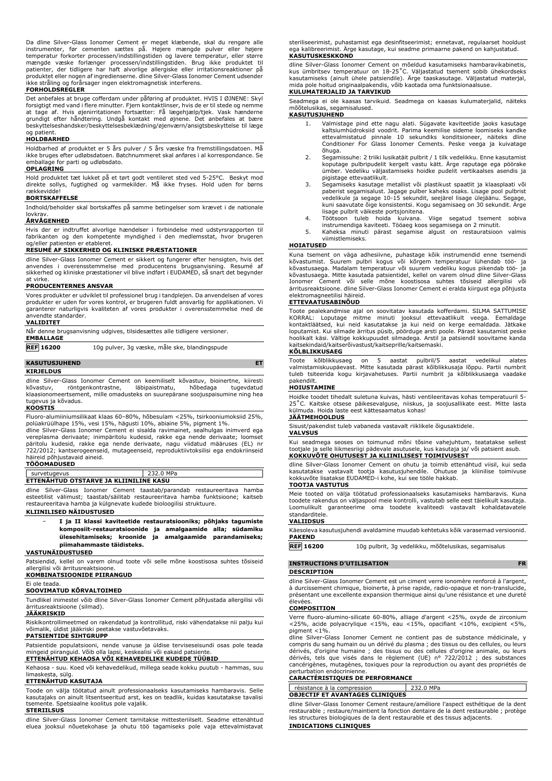Da dline Silver-Glass Ionomer Cement er meget klæbende, skal du rengøre alle<br>instrumenter, før cementen sættes på. Højere mængde pulver eller højere<br>temperatur forkorter processen/indstillingstiden og lavere temperatur, el mængde væske forlænger processen/indstillingstiden. Brug ikke produktet til patienter, der tidligere har haft alvorlige allergiske eller irritationsreaktioner på<br>produktet eller nogen af ingredienserne. dline Silver-Glass Ionomer Cement udsender<br>ikke stråling og forårsager ingen elektromagnetisk i

### **FORHOLDSREGLER**

Det anbefales at bruge cofferdam under påføring af produktet. HVIS I ØJNENE: Skyl forsigtigt med vand i flere minutter. Fjern kontaktlinser, hvis de er til stede og nemme at tage af. Hvis øjenirritationen fortsætter: Få lægehjælp/tjek. Vask hænderne grundigt efter håndtering. Undgå kontakt med øjnene. Det anbefales at bære beskyttelseshandsker/beskyttelsesbeklædning/øjenværn/ansigtsbeskyttelse til læge og patient.

### **HOLDBARHED**

Holdbarhed af produktet er 5 års pulver / 5 års væske fra fremstillingsdatoen. Må ikke bruges efter udløbsdatoen. Batchnummeret skal anføres i al korrespondance. Se emballage for parti og udløbsdato.

### **OPLAGRING**

Hold produktet tæt lukket på et tørt godt ventileret sted ved 5-25°C. Beskyt mod direkte sollys, fugtighed og varmekilder. Må ikke fryses. Hold uden for børns rækkevidde!

## **BORTSKAFFELSE**

Indhold/beholder skal bortskaffes på samme betingelser som krævet i de nationale **lovkrav** 

### **ÅRVÅGENHED**

Hvis der er indtruffet alvorlige hændelser i forbindelse med udstyrsrapporten til fabrikanten og den kompetente myndighed i den medlemsstat, hvor brugeren og/eller patienten er etableret.

### **RESUMÉ AF SIKKERHED OG KLINISKE PRÆSTATIONER**

dline Silver-Glass Ionomer Cement er sikkert og fungerer efter hensigten, hvis det anvendes i overensstemmelse med producentens brugsanvisning. Resumé af sikkerhed og kliniske præstationer vil blive indført i EUDAMED, så snart det begynder at virke.

### **PRODUCENTERNES ANSVAR**

Vores produkter er udviklet til professionel brug i tandplejen. Da anvendelsen af vores produkter er uden for vores kontrol, er brugeren fuldt ansvarlig for applikationen. Vi garanterer naturligvis kvaliteten af vores produkter i overensstemmelse med de anvendte standarder.

| <b>VALIDITET</b>                                                          |
|---------------------------------------------------------------------------|
| Når denne brugsanvisning udgives, tilsidesættes alle tidligere versioner. |
| <b>EMBALLAGE</b>                                                          |

**REF 16200** 10g pulver, 3g væske, måle ske, blandingspude

### **KASUTUSJUHEND ET KIRJELDUS**

dline Silver-Glass Ionomer Cement on keemiliselt kõvastuv, bioinertne, kiiresti<br>kõvastuv, röntgenkontrastne, läbipaistmatu, hõbedaga tugevdatud röntgenkontrastne, klaasionomeertsement, mille omadusteks on suurepärane soojuspaisumine ning hea tugevus ja kõvadus.

## **KOOSTIS**

Fluoro-alumiiniumsilikaat klaas 60–80%, hõbesulam <25%, tsirkooniumoksiid 25%, polüakrüülhape 15%, vesi 15%, hägusti 10%, abiaine 5%, pigment 1%.

dline Silver-Glass Ionomer Cement ei sisalda ravimainet, sealhulgas inimverd ega vereplasma derivaate; inimpäritolu kudesid, rakke ega nende derivaate; loomset<br>päritolu kudesid, rakke ega nende derivaate, nagu viidatud määruses (EL) nr<br>722/2012; kantserogeenseid, mutageenseid, reproduktiivtoksilisi ega häireid põhjustavaid aineid.

### **TÖÖOMADUSED**

survetugevus 232.0 MPa **ETTENÄHTUD OTSTARVE JA KLIINILINE KASU**

dline Silver-Glass Ionomer Cement taastab/parandab restaureeritava hamba esteetilist välimust; taastab/säilitab restaureeritava hamba funktsioone; kaitseb restaureeritava hamba ja külgnevate kudede bioloogilisi struktuure.

### **KLIINILISED NÄIDUSTUSED**

− **I ja II klassi kaviteetide restauratsiooniks; põhjaks tagumiste komposiit-restauratsioonide ja amalgaamide alla; südamiku ülesehitamiseks; kroonide ja amalgaamide parandamiseks; piimahammaste täidisteks.**

### **VASTUNÄIDUSTUSED**

Patsiendid, kellel on varem olnud toote või selle mõne koostisosa suhtes tõsiseid allergilisi või ärritusreaktsioone.

### **KOMBINATSIOONIDE PIIRANGUD**

### Ei ole teada. **SOOVIMATUD KÕRVALTOIMED**

Tundlikel inimestel võib dline Silver-Glass Ionomer Cement põhjustada allergilisi või

ärritusreaktsioone (silmad).

**JÄÄKRISKID**

Riskikontrollimeetmed on rakendatud ja kontrollitud, riski vähendatakse nii palju kui võimalik, üldist jääkriski peetakse vastuvõetavaks.

### **PATSIENTIDE SIHTGRUPP**

Patsientide populatsiooni, nende vanuse ja üldise terviseseisundi osas pole teada mingeid piiranguid. Võib olla lapsi, keskealisi või eakaid patsiente. **ETTENÄHTUD KEHAOSA VÕI KEHAVEDELIKE KUDEDE TÜÜBID**

Kehaosa - suu. Koed või kehavedelikud, millega seade kokku puutub - hammas, suu limaskesta, sülg.

### **ETTENÄHTUD KASUTAJA**

Toode on välja töötatud ainult professionaalseks kasutamiseks hambaravis. Selle kasutajaks on ainult litsentseeritud arst, kes on teadlik, kuidas kasutatakse tavalisi tsemente. Spetsiaalne koolitus pole vajalik.

### **STERIILSUS**

dline Silver-Glass Ionomer Cement tarnitakse mittesteriilselt. Seadme ettenähtud eluea jooksul nõuetekohase ja ohutu töö tagamiseks pole vaja ettevalmistavat steriliseerimist, puhastamist ega desinfitseerimist; ennetavat, regulaarset hooldust ega kalibreerimist. Ärge kasutage, kui seadme primaarne pakend on kahjustatud. **KASUTUSKESKKOND**

dline Silver-Glass Ionomer Cement on mõeldud kasutamiseks hambaravikabinetis,<br>kus ümbritsev temperatuur on 18-25°C. Väljastatud tsement sobib ühekordseks<br>kasutamiseks (ainult ühele patsiendile). Ärge taaskasutage. Väljasta mida pole hoitud originaalpakendis, võib kaotada oma funktsionaalsuse.

### **KULUMATERJALID JA TARVIKUD**

Seadmega ei ole kaasas tarvikuid. Seadmega on kaasas kulumaterjalid, näiteks mõõtelusikas, segamisalused.

## **KASUTUSJUHEND**

- 1. Valmistage pind ette nagu alati. Sügavate kaviteetide jaoks kasutage kaltsiumhüdroksiid voodrit. Parima keemilise sideme loomiseks kandke ettevalmistatud pinnale 10 sekundiks konditsioneer, näiteks dline Conditioner For Glass Ionomer Cements. Peske veega ja kuivatage õhuga.
- 2. Segamissuhe: 2 triiki lusikatäit pulbrit / 1 tilk vedelikku. Enne kasutamist koputage pulbripudelit kergelt vastu kätt. Ärge raputage ega pöörake ümber. Vedeliku väljastamiseks hoidke pudelit vertikaalses asendis ja pigistage ettevaatlikult.
- 3. Segamiseks kasutage metallist või plastikust spaatlit ja klaasplaati või paberist segamisalust. Jagage pulber kaheks osaks. Lisage pool pulbrist vedelikule ja segage 10-15 sekundit, seejärel lisage ülejäänu. Segage, kuni saavutate õige konsistentsi. Kogu segamisaeg on 30 sekundit. Ärge lisage pulbrit väikeste portsjonitena.
- 4. Töötsoon tuleb hoida kuivana. Viige segatud tsement sobiva instrumendiga kaviteeti. Tööaeg koos segamisega on 2 minutit.
- 5. Kaheksa minuti pärast segamise algust on restauratsioon valmis viimistlemiseks.

### **HOIATUSED**

Kuna tsement on väga adhesiivne, puhastage kõik instrumendid enne tsemendi kõvastumist. Suurem pulbri kogus või kõrgem temperatuur lühendab töö- ja kõvastusaega. Madalam temperatuur või suurem vedeliku kogus pikendab töö- ja kõvastusaega. Mitte kasutada patsientidel, kellel on varem olnud dline Silver-Glass Ionomer Cement või selle mõne koostisosa suhtes tõsiseid allergilisi või ärritusreaktsioone. dline Silver-Glass Ionomer Cement ei eralda kiirgust ega põhjusta elektromagneetilisi häireid.

### **ETTEVAATUSABINÕUD**

Toote pealekandmise ajal on soovitatav kasutada kofferdami. SILMA SATTUMISE<br>KORRAL: Loputage mitme minuti jooksul ettevaatlikult veega. Eemaldage<br>kontaktläätsed, kui neid kasutatakse ja kui neid on kerge eemaldada. Jätkake loputamist. Kui silmade ärritus püsib, pöörduge arsti poole. Pärast kasutamist peske hoolikalt käsi. Vältige kokkupuudet silmadega. Arstil ja patsiendil soovitame kanda kaitsekindaid/kaitserõivastust/kaitseprille/kaitsemaski.

### **KÕLBLIKKUSAEG**

Toote kõlblikkusaeg on 5 aastat pulbril/5 aastat vedelikul alates valmistamiskuupäevast. Mitte kasutada pärast kõlblikkusaja lõppu. Partii numbrit tuleb tsiteerida kogu kirjavahetuses. Partii numbrit ja kõlblikkusaega vaadake pakendilt.

### **HOIUSTAMINE**

Hoidke toodet tihedalt suletuna kuivas, hästi ventileeritavas kohas temperatuuril 5- 25˚C. Kaitske otsese päikesevalguse, niiskus, ja soojusallikate eest. Mitte lasta külmuda. Hoida laste eest kättesaamatus kohas!

### **JÄÄTMEHOOLDUS**

Sisust/pakendist tuleb vabaneda vastavalt riiklikele õigusaktidele.

### **VALVSUS**

Kui seadmega seoses on toimunud mõni tõsine vahejuhtum, teatatakse sellest tootjale ja selle liikmesriigi pädevale asutusele, kus kasutaja ja/ või patsient asub. **KOKKUVÕTE OHUTUSEST JA KLIINILISEST TOIMIVUSEST**

dline Silver-Glass Ionomer Cement on ohutu ja toimib ettenähtud viisil, kui seda kasutatakse vastavalt tootja kasutusjuhendile. Ohutuse ja kliinilise toimivuse kokkuvõte lisatakse EUDAMED-i kohe, kui see tööle hakkab. **TOOTJA VASTUTUS**

### Meie tooted on välja töötatud professionaalseks kasutamiseks hambaravis. Kuna toodete rakendus on väljaspool meie kontrolli, vastutab selle eest täielikult kasutaja. Loomulikult garanteerime oma toodete kvaliteedi vastavalt kohaldatavatele standarditele.

### **VALIIDSUS**

Käesoleva kasutusjuhendi avaldamine muudab kehtetuks kõik varasemad versioonid. **PAKEND**

## **INSTRUCTIONS D'UTILISATION FR**

### **DESCRIPTION**

dline Silver-Glass Ionomer Cement est un ciment verre ionomère renforcé à l'argent, à durcissement chimique, bioinerte, à prise rapide, radio-opaque et non-translucide, présentant une excellente expansion thermique ainsi qu'une résistance et une dureté élevées.

### **COMPOSITION**

Verre fluoro-alumino-silicate 60-80%, alliage d'argent <25%, oxyde de zirconium <25%, acide polyacrylique <15%, eau <15%, opacifiant <10%, excipient <5%, pigment <1%.

dline Silver-Glass Ionomer Cement ne contient pas de substance médicinale, y compris du sang humain ou un dérivé du plasma ; des tissus ou des cellules, ou leurs dérivés, d'origine humaine ; des tissus ou des cellules d'origine animale, ou leurs dérivés, tels que visés dans le règlement (UE) n° 722/2012 ; des substances cancérigènes, mutagènes, toxiques pour la reproduction ou ayant des propriétés de

## perturbation endocrinienne. **CARACTÉRISTIQUES DE PERFORMANCE**

### résistance à la compression | 232.0 MPa **OBJECTIF ET AVANTAGES CLINIQUES**

dline Silver-Glass Ionomer Cement restaure/améliore l'aspect esthétique de la dent restaurable ; restaure/maintient la fonction dentaire de la dent restaurable ; protège les structures biologiques de la dent restaurable et des tissus adjacents.

### **INDICATIONS CLINIQUES**

**REF 16200** 10g pulbrit, 3g vedelikku, mõõtelusikas, segamisalus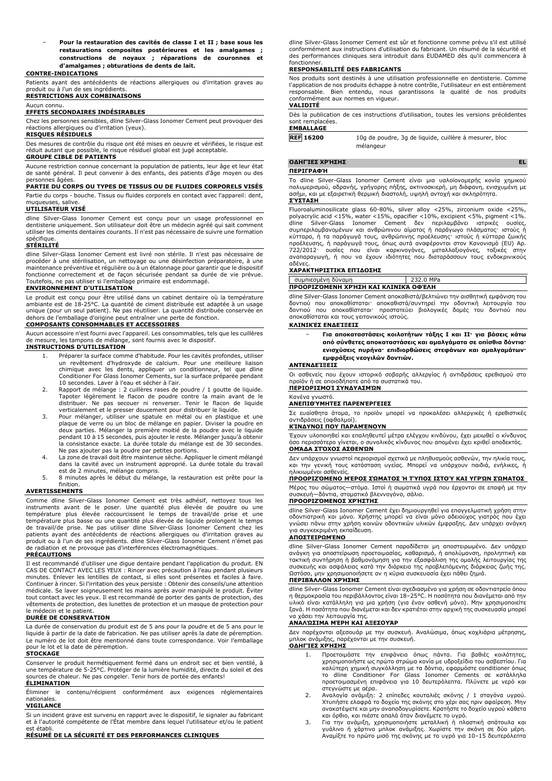− **Pour la restauration des cavités de classe I et II ; base sous les restaurations composites postérieures et les amalgames ; constructions de noyaux ; réparations de couronnes et d'amalgames ; obturations de dents de lait.**

### **CONTRE-INDICATIONS**

Patients ayant des antécédents de réactions allergiques ou d'irritation graves au produit ou à l'un de ses ingrédients. **RESTRICTIONS AUX COMBINAISONS**

### Aucun connu. **EFFETS SECONDAIRES INDÉSIRABLES**

Chez les personnes sensibles, dline Silver-Glass Ionomer Cement peut provoquer des réactions allergiques ou d'irritation (yeux).

### **RISQUES RÉSIDUELS**

Des mesures de contrôle du risque ont été mises en oeuvre et vérifiées, le risque est réduit autant que possible, le risque résiduel global est jugé acceptable. **GROUPE CIBLE DE PATIENTS**

Aucune restriction connue concernant la population de patients, leur âge et leur état de santé général. Il peut convenir à des enfants, des patients d'âge moyen ou des

## personnes âgées. **PARTIE DU CORPS OU TYPES DE TISSUS OU DE FLUIDES CORPORELS VISÉS**

Partie du corps - bouche. Tissus ou fluides corporels en contact avec l'appareil: dent, muqueuses, salive.

### **UTILISATEUR VISÉ**

dline Silver-Glass Ionomer Cement est conçu pour un usage professionnel en dentisterie uniquement. Son utilisateur doit être un médecin agréé qui sait comment utiliser les ciments dentaires courants. Il n'est pas nécessaire de suivre une formation spécifique.

### **STÉRILITÉ**

dline Silver-Glass Ionomer Cement est livré non stérile. Il n'est pas nécessaire de procéder à une stérilisation, un nettoyage ou une désinfection préparatoire, à une maintenance préventive et régulière ou à un étalonnage pour garantir que le dispositif fonctionne correctement et de façon sécurisée pendant sa durée de vie prévue. Toutefois, ne pas utiliser si l'emballage primaire est endommagé.

### **ENVIRONNEMENT D'UTILISATION**

Le produit est conçu pour être utilisé dans un cabinet dentaire où la température ambiante est de 18-25°C. La quantité de ciment distribuée est adaptée à un usage unique (pour un seul patient). Ne pas réutiliser. La quantité distribuée conservée en dehors de l'emballage d'origine peut entraîner une perte de fonction. **COMPOSANTS CONSOMMABLES ET ACCESSOIRES**

Aucun accessoire n'est fourni avec l'appareil. Les consommables, tels que les cuillères de mesure, les tampons de mélange, sont fournis avec le dispositif. **INSTRUCTIONS D'UTILISATION**

- 1. Préparer la surface comme d'habitude. Pour les cavités profondes, utiliser un revêtement d'hydroxyde de calcium. Pour une meilleure liaison chimique avec les dents, appliquer un conditionneur, tel que dline Conditioner For Glass Ionomer Cements, sur la surface préparée pendant 10 secondes. Laver à l'eau et sécher à l'air.
- 2. Rapport de mélange : 2 cuillères rases de poudre / 1 goutte de liquide. Tapoter légèrement le flacon de poudre contre la main avant de le distribuer. Ne pas secouer ni renverser. Tenir le flacon de liquide
- verticalement et le presser doucement pour distribuer le liquide.<br>3. Pour mélanger, utiliser une spatule en métal ou en plastique et une<br>plaque de verre ou un bloc de mélange en papier. Diviser la poudre en<br>deux parties. M pendant 10 à 15 secondes, puis ajouter le reste. Mélanger jusqu'à obtenir la consistance exacte. La durée totale du mélange est de 30 secondes. Ne pas ajouter pas la poudre par petites portions.
- 4. La zone de travail doit être maintenue sèche. Appliquer le ciment mélangé dans la cavité avec un instrument approprié. La durée totale du travail est de 2 minutes, mélange compris.
- 5. 8 minutes après le début du mélange, la restauration est prête pour la finition.

### **AVERTISSEMENTS**

Comme dline Silver-Glass Ionomer Cement est très adhésif, nettoyez tous les instruments avant de le poser. Une quantité plus élevée de poudre ou une température plus élevée raccourcissent le temps de travail/de prise et une température plus basse ou une quantité plus élevée de liquide prolongent le temps de travail/de prise. Ne pas utiliser dline Silver-Glass Ionomer Cement chez les patients ayant des antécédents de réactions allergiques ou d'irritation graves au produit ou à l'un de ses ingrédients. dline Silver-Glass Ionomer Cement n'émet pas de radiation et ne provoque pas d'interférences électromagnétiques.

## **PRÉCAUTIONS**

Il est recommandé d'utiliser une digue dentaire pendant l'application du produit. EN CAS DE CONTACT AVEC LES YEUX : Rincer avec précaution à l'eau pendant plusieurs minutes. Enlever les lentilles de contact, si elles sont présentes et faciles à faire. Continuer à rincer. Si l'irritation des yeux persiste : Obtenir des conseils/une attention médicale. Se laver soigneusement les mains après avoir manipulé le produit. Éviter tout contact avec les yeux. Il est recommandé de porter des gants de protection, des vêtements de protection, des lunettes de protection et un masque de protection pour

## le médecin et le patient. **DURÉE DE CONSERVATION**

La durée de conservation du produit est de 5 ans pour la poudre et de 5 ans pour le liquide à partir de la date de fabrication. Ne pas utiliser après la date de péremption. Le numéro de lot doit être mentionné dans toute correspondance. Voir l'emballage pour le lot et la date de péremption.

### **STOCKAGE**

Conserver le produit hermétiquement fermé dans un endroit sec et bien ventilé, à une température de 5-25°C. Protéger de la lumière humidité, directe du soleil et des ources de chaleur. Ne pas congeler. Tenir hors de portée des enfants! **ÉLIMINATION**

Éliminer le contenu/récipient conformément aux exigences réglementaires nationales.

### **VIGILANCE**

Si un incident grave est survenu en rapport avec le dispositif, le signaler au fabricant et à l'autorité compétente de l'État membre dans lequel l'utilisateur et/ou le patient est établi.

### **RÉSUMÉ DE LA SÉCURITÉ ET DES PERFORMANCES CLINIQUES**

dline Silver-Glass Ionomer Cement est sûr et fonctionne comme prévu s'il est utilisé conformément aux instructions d'utilisation du fabricant. Un résumé de la sécurité et des performances cliniques sera introduit dans EUDAMED dès qu'il commencera à fonctionner.

### **RESPONSABILITÉ DES FABRICANTS**

Nos produits sont destinés à une utilisation professionnelle en dentisterie. Comme l'application de nos produits échappe à notre contrôle, l'utilisateur en est entièrement responsable. Bien entendu, nous garantissons la qualité de nos produits conformément aux normes en vigueur.

### **VALIDITÉ**

Dès la publication de ces instructions d'utilisation, toutes les versions précédentes sont remplacées. **EMBALLAGE**

**REF 16200** 10g de poudre, 3g de liquide, cuillère à mesurer, bloc mélangeur

## **ΟΔΗΓΊΕΣ ΧΡΉΣΗΣ EL**

**ΠΕΡΙΓΡΑΦΉ**

Το dline Silver-Glass Ionomer Cement είναι μια υαλοϊονομερής κονία χημικού<br>πολυμερισμού, αδρανής, γρήγορης πήξης, ακτινοσκιερή, μη διάφανη, ενισχυμένη με<br>ασήμι, και με εξαιρετική θερμική διαστολή, υψηλή αντοχή και σκληρότ

Fluoroaluminosilicate glass 60-80%, silver alloy <25%, zirconium oxide <25%, polyacrylic acid <15%, water <15%, opacifier <10%, excipient <5%, pigment <1%. dilver-Glass Ionomer Cement δεν περιλαμβάνει ιατρικές ουσίες, συμπεριλαμβανομένων και ανθρώπινου αίματος ή παράγωγο πλάσματος· ιστούς ή κύτταρα, ή τα παράγωγά τους, ανθρώπινης προέλευσης· ιστούς ή κύτταρα ζωικής προέλευσης, ή παράγωγά τους, όπως αυτά αναφέρονται στον Κανονισμό (EU) Αρ.<br>722/2012· ουσίες που είναι καρκινογόνες, μεταλλαξιογόνες, τοξικές στην<br>αναπαραγωγή, ή που να έχουν ιδιότητες που διαταράσσ αδένες.

### **ΧΑΡΑΚΤΗΡΙΣΤΙΚΆ ΕΠΊΔΟΣΗΣ**

συμπιεσμένη δύναμη 232.0 MPa **ΠΡΟΟΡΙΖΌΜΕΝΗ ΧΡΉΣΗ ΚΑΙ ΚΛΙΝΙΚΆ ΟΦΈΛΗ**

dline Silver-Glass Ionomer Cement αποκαθιστά/βελτιώνει την αισθητική εμφάνιση του δοντιού που αποκαθίσταται· αποκαθιστά/συντηρεί την οδοντική λειτουργία του δοντιού που αποκαθίσταται· προστατεύει βιολογικές δομές του δοντιού που αποκαθίσταται και τους γειτονικούς ιστούς.

### **ΚΛΙΝΙΚΈΣ ΕΝΔΕΊΞΕΙΣ**

− **Για αποκαταστάσεις κοιλοτήτων τάξης I και II· για βάσεις κάτω από σύνθετες αποκαταστάσεις και αμαλγάματα σε οπίσθια δόντια· ενισχύσεις πυρήνα· επιδιορθώσεις στεφάνων και αμαλγαμάτων· εμφράξεις νεογιλών δοντιών.**

### **ΑΝΤΕΝΔΕΊΞΕΙΣ**

Οι ασθενείς που έχουν ιστορικό σοβαρής αλλεργίας ή αντιδράσεις ερεθισμού στο προϊόν ή σε οποιοδήποτε από τα συστατικά του.

### **ΠΕΡΙΟΡΙΣΜΟΊ ΣΥΝΔΥΑΣΜΏΝ**

### Κανένα γνωστό. **ΑΝΕΠΙΘΎΜΗΤΕΣ ΠΑΡΕΝΈΡΓΕΙΕΣ**

Σε ευαίσθητα άτομα, το προϊόν μπορεί να προκαλέσει αλλεργικές ή ερεθιστικές αντιδράσεις (οφθαλμοί).

### **ΚΊΝΔΥΝΟΙ ΠΟΥ ΠΑΡΑΜΈΝΟΥΝ**

Έχουν υλοποιηθεί και επαληθευτεί μέτρα ελέγχου κινδύνου, έχει μειωθεί ο κίνδυνος όσο περισσότερο γίνεται, ο συνολικός κίνδυνος που απομένει έχει κριθεί αποδεκτός. **ΟΜΆΔΑ ΣΤΌΧΟΣ ΑΣΘΕΝΏΝ**

Δεν υπάρχουν γνωστοί περιορισμοί σχετικά με πληθυσμούς ασθενών, την ηλικία τους, και την γενική τους κατάσταση υγείας. Μπορεί να υπάρχουν παιδιά, ενήλικες, ή ηλικιωμένοι ασθενείς.

### **ΠΡΟΟΡΙΖΌΜΕΝΟ ΜΈΡΟΣ ΣΏΜΑΤΟΣ Ή ΤΎΠΟΣ ΙΣΤΟΎ ΚΑΙ ΥΓΡΏΝ ΣΏΜΑΤΟΣ**

Μέρος του σώματος—στόμα. Ιστοί ή σωματικά υγρά που έρχονται σε επαφή με την συσκευή—δόντια, στοματικό βλεννογόνο, σάλιο.

## **ΠΡΟΟΡΙΖΌΜΕΝΟΣ ΧΡΉΣΤΗΣ**

dline Silver-Glass Ionomer Cement έχει δημιουργηθεί για επαγγελματική χρήση στην οδοντιατρική και μόνο. Χρήστης μπορεί να είναι μόνο αδειούχος γιατρός που έχει γνώσει πάνω στην χρήση κοινών οδοντικών υλικών έμφραξης. Δεν υπάρχει ανάγκη για συγκεκριμένη εκπαίδευση.

### **ΑΠΟΣΤΕΙΡΩΜΈΝΟ**

dline Silver-Glass Ionomer Cement παραδίδεται μη αποστειρωμένο. Δεν υπάρχει<br>ανάγκη για αποστείρωση προετοιμασίας, καθαρισμό, ή απολύμανση, προληπτική και<br>τακτική συντήρηση ή βαθμονόμηση για την εξασφάλιση της ομαλής λειτο συσκευής και ασφάλειας κατά την διάρκεια της προβλεπόμενης διάρκειας ζωής της. Ωστόσο, μην χρησιμοποιήσετε αν η κύρια συσκευασία έχει πάθει ζημιά.

### **ΠΕΡΙΒΆΛΛΟΝ ΧΡΉΣΗΣ**

dline Silver-Glass Ionomer Cement είναι σχεδιασμένο για χρήση σε οδοντιατρείο όπου η θερμοκρασία του περιβάλλοντος είναι 18–25°C. Η ποσότητα που διανέμεται από την υλικό είναι κατάλληλη για μια χρήση (για έναν ασθενή μόνο). Μην χρησιμοποιείτε ξανά. Η ποσότητα που διανέμεται και δεν κρατιέται στην αρχική της συσκευασία μπορεί να χάσει την λειτουργία της.

### **ΑΝΑΛΏΣΙΜΑ ΜΈΡΗ ΚΑΙ ΑΞΕΣΟΥΆΡ**

Δεν παρέχονται αξεσουάρ με την συσκευή. Αναλώσιμα, όπως κοχλιάρια μέτρησης, μπλοκ ανάμιξης, παρέχονται με την συσκευή. **ΟΔΗΓΊΕΣ ΧΡΉΣΗΣ**

- 1. Προετοιμάστε την επιφάνεια όπως πάντα. Για βαθιές κοιλότητες, χρησιμοποιήστε ως πρώτο στρώμα κονία με υδροξείδιο του ασβεστίου. Για καλύτερη χημική συγκόλληση με τα δόντια, εφαρμόστε conditioner όπως το dline Conditioner For Glass Ionomer Cements σε κατάλληλα προετοιμασμένη επιφάνεια για 10 δευτερόλεπτα. Πλύνετε με νερό και στεγνώστε με αέρα.
- 2. Αναλογία ανάμιξη: 2 επίπεδες κουταλιές σκόνης / 1 σταγόνα υγρού. Χτυπήστε ελαφρά το δοχείο της σκόνης στο χέρι σας πριν αφαίρεση. Μην ανακατέψετε και μην αναποδογυρίσετε. Κρατήστε το δοχείο υγρού κάθετα και όρθιο, και πιέστε απαλά όταν διανέμετε το υγρό.
- 3. Για την ανάμιξη, χρησιμοποιήστε μεταλλική ή πλαστική σπάτουλα και<br>γυάλινο ή χάρτινο μπλοκ ανάμιξης. Χωρίστε την σκόνη σε δύο μέρη.<br>Αναμίξτε το πρώτο μισό της σκόνης με το υγρό για 10–15 δευτερόλεπτα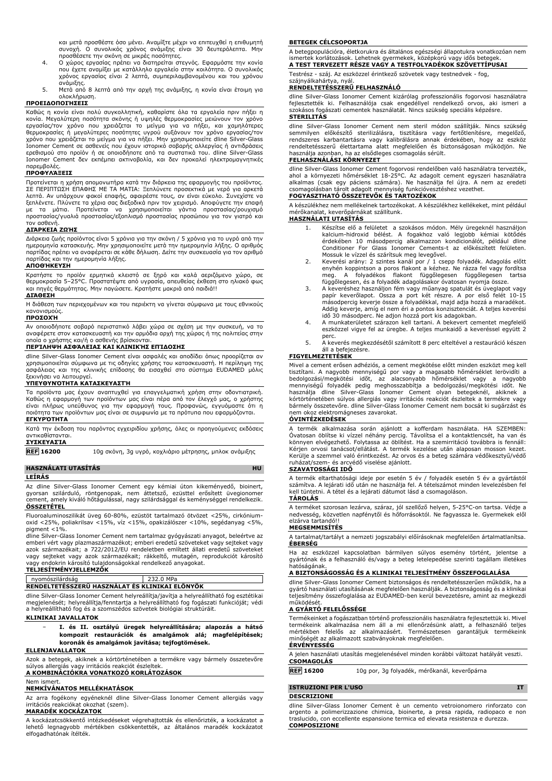και μετά προσθέστε όσο μένει. Αναμίξτε μέχρι να επιτευχθεί η επιθυμητή συνοχή. Ο συνολικός χρόνος ανάμιξης είναι 30 δευτερόλεπτα. Μην προσθέσετε την σκόνη σε μικρές ποσότητες. 4. Ο χώρος εργασίας πρέπει να διατηρείται στεγνός. Εφαρμόστε την κονία

- που έχετε αναμίξει με κατάλληλο εργαλείο στην κοιλότητα. Ο συνολικός χρόνος εργασίας είναι 2 λεπτά, συμπεριλαμβανομένου και του χρόνου
- ανάμιξης. 5. Μετά από 8 λεπτά από την αρχή της ανάμιξης, η κονία είναι έτοιμη για ολοκλήρωση.

### **ΠΡΟΕΙΔΟΠΟΙΉΣΕΙΣ**

Καθώς η κονία είναι πολύ συγκολλητική, καθαρίστε όλα τα εργαλεία πριν πήξει η<br>εργασίας/τον χρόνο που χρειάζεται το μείγμα για να πήξει, και χαμηλότερες<br>εργασίας/τον χρόνο που χρειάζεται το μείγμα για να πήξει, και χαμηλότ ερεθισμού στο προϊόν ή σε οποιοδήποτε από τα συστατικά του. dline Silver-Glass Ionomer Cement δεν εκπέμπει ακτινοβολία, και δεν προκαλεί ηλεκτρομαγνητικές παρεμβολές.

### **ΠΡΟΦΥΛΆΞΕΙΣ**

Προτείνεται η χρήση απομονωτήρα κατά την διάρκεια της εφαρμογής του προϊόντος. ΣΕ ΠΕΡΙΠΤΩΣΗ ΕΠΑΦΗΣ ΜΕ ΤΑ ΜΑΤΙΑ: Ξεπλύνετε προσεκτικά με νερό για αρκετά λεπτά. Αν υπάρχουν φακοί επαφής, αφαιρέστε τους, αν είναι εύκολο. Συνεχίστε να ξεπλένετε. Πλύνετε τα χέρια σας διεξοδικά πριν τον χειρισμό. Αποφύγετε την επαφή με τα μάτια. Προτείνεται να χρησιμοποιείται γάντια προστασίας/ρουχισμό προστασίας/γυαλιά προστασίας/εξοπλισμό προστασίας προσώπου για τον γιατρό και

## τον ασθενή. **ΔΙΆΡΚΕΙΑ ΖΩΉΣ**

Διάρκεια ζωής προϊόντος είναι 5 χρόνια για την σκόνη / 5 χρόνια για το υγρό από την<br>ημερομηνία κατασκευής. Μην χρησιμοποιείτε μετά την ημερομηνία λήξης. Ο αριθμός<br>παρτίδας πρέπει να αναφέρεται σε κάθε δήλωση. Δείτε την συ παρτίδας και την ημερομηνία λήξης.

### **ΑΠΟΘΉΚΕΥΣΗ**

Κρατήστε το προϊόν ερμητικά κλειστό σε ξηρό και καλά αεριζόμενο χώρο, σε θερμοκρασία 5–25°C. Προστατέψτε από υγρασία, απευθείας έκθεση στο ηλιακό φως και πηγές θερμότητας. Μην παγώσετε. Κρατήστε μακριά από παιδιά!!

### **ΔΙΆΘΕΣΗ**

Η διάθεση των περιεχομένων και του περιέκτη να γίνεται σύμφωνα με τους εθνικούς κανονισμούς. **ΠΡΟΣΟΧΉ**

Αν οποιοδήποτε σοβαρό περιστατικό λάβει χώρα σε σχέση με την συσκευή, να το αναφέρετε στον κατασκευαστή και την αρμόδια αρχή της χώρας ή της πολιτείας στην οποία ο χρήστης και/ή ο ασθενής βρίσκονται.

## **ΠΕΡΊΛΗΨΗ ΑΣΦΆΛΕΙΑΣ ΚΑΙ ΚΛΙΝΙΚΉΣ ΕΠΊΔΟΣΗΣ**

dline Silver-Glass Ionomer Cement είναι ασφαλές και αποδίδει όπως προορίζεται αν χρησιμοποιείται σύμφωνα με τις οδηγίες χρήσης του κατασκευαστή. Η περίληψη της ασφάλειας και της κλινικής επίδοσης θα εισαχθεί στο σύστημα EUDAMED μόλις ξεκινήσει να λειτουργεί. **ΥΠΕΥΘΥΝΌΤΗΤΑ ΚΑΤΑΣΚΕΥΑΣΤΉ**

Τα προϊόντα μας έχουν αναπτυχθεί για επαγγελματική χρήση στην οδοντιατρική. Καθώς η εφαρμογή των προϊόντων μας είναι πέρα από τον έλεγχό μας, ο χρήστης<br>είναι πλήρως υπεύθυνος για την εφαρμογή τους. Προφανώς, εγγυόμαστε ότι η<br>ποιότητα των προϊόντων μας είναι σε συμφωνία με τα πρότυπα που εφαρμόζον

### **ΕΓΚΥΡΌΤΗΤΑ**

Κατά την έκδοση του παρόντος εγχειριδίου χρήσης, όλες οι προηγούμενες εκδόσεις αντικαθίστανται.

## **ΣΥΣΚΕΥΑΣΊΑ**

**REF 16200** 10g σκόνη, 3g υγρό, κοχλιάριο μέτρησης, μπλοκ ανάμιξης

## **HASZNÁLATI UTASÍTÁS HU**

### **LEÍRÁS**

Az dline Silver-Glass Ionomer Cement egy kémiai úton kikeményedő, bioinert, gyorsan szilárduló, röntgenopak, nem áttetsző, ezüsttel erősített üvegionomer amely kiváló hőtágulással, nagy szilárdsággal és keménységgel rendelkezik. **ÖSSZETÉTEL**

Fluoroaluminoszilikát üveg 60-80%, ezüstöt tartalmazó ötvözet <25%, cirkónium-oxid <25%, poliakrilsav <15%, víz <15%, opakizálószer <10%, segédanyag <5%, pigment <1%.

dline Silver-Glass Ionomer Cement nem tartalmaz gyógyászati anyagot, beleértve az<br>emberi vért vagy plazmaszármazékot; emberi eredetű szöveteket vagy sejteket vagy<br>azok származékait; a 722/2012/EU rendeletben említett ál vagy sejteket vagy azok származékait; rákkeltő, mutagén, reprodukciót károsító<br>vagy endokrin károsító tulajdonságokkal rendelkező anyagokat.<br>**TELJESÍTMÉNYJELLEMZŐK** 

| <u>IELJESIIMENYJELLEMZOK</u>                   |           |  |
|------------------------------------------------|-----------|--|
| nvomószilárdság                                | 232.0 MPa |  |
| RENDELTETESSZERU HASZNÁLAT ÉS KLINIKAI ELŐNYŐK |           |  |

dline Silver-Glass Ionomer Cement helyreállítja/javítja a helyreállítható fog esztétikai megjelenését; helyreállítja/fenntartja a helyreállítható fog fogászati funkcióját; védi a helyreállítható fog és a szomszédos szövetek biológiai struktúráit.

## **KLINIKAI JAVALLATOK**

− **I. és II. osztályú üregek helyreállítására; alapozás a hátsó kompozit restaurációk és amalgámok alá; magfelépítések; koronák és amalgámok javítása; tejfogtömések.**

### **ELLENJAVALLATOK**

Azok a betegek, akiknek a kórtörténetében a termékre vagy bármely összetevőre súlyos allergiás vagy irritációs reakciót észleltek.

**A KOMBINÁCIÓKRA VONATKOZÓ KORLÁTOZÁSOK**

## Nem ismert. **NEMKÍVÁNATOS MELLÉKHATÁSOK**

Az arra fogékony egyéneknél dline Silver-Glass Ionomer Cement allergiás vagy irritációs reakciókat okozhat (szem).

### **MARADÉK KOCKÁZATOK**

A kockázatcsökkentő intézkedéseket végrehajtották és ellenőrizték, a kockázatot a lehető legnagyobb mértékben csökkentették, az általános maradék kockázatot elfogadhatónak ítélték.

### **BETEGEK CÉLCSOPORTJA**

A betegpopulációra, életkorukra és általános egészségi állapotukra vonatkozóan nem ismertek korlátozások. Lehetnek gyermekek, középkorú vagy idős betegek. **A TEST TERVEZETT RÉSZE VAGY A TESTFOLYADÉKOK SZÖVETTÍPUSAI**

Testrész - száj. Az eszközzel érintkező szövetek vagy testnedvek - fog,

### szájnyálkahártya, nyál. **RENDELTETÉSSZERŰ FELHASZNÁLÓ**

dline Silver-Glass Ionomer Cement kizárólag professzionális fogorvosi használatra fejlesztették ki. Felhasználója csak engedéllyel rendelkező orvos, aki ismeri a szokásos fogászati cementek használatát. Nincs szükség speciális képzésre. **STERILITÁS**

dline Silver-Glass Ionomer Cement nem steril módon szállítják. Nincs szükség semmilyen előkészítő sterilizálásra, tisztításra vagy fertőtlenítésre, megelőző,<br>rendszeres karbantartásra vagy kalibrálásra annak érdekében, hogy az eszköz<br>rendeltetésszerű élettartama alatt megfelelően és biztonságosan m használja azonban, ha az elsődleges csomagolás sérült.

### **FELHASZNÁLÁSI KÖRNYEZET**

dline Silver-Glass Ionomer Cement fogorvosi rendelőben való használatra tervezték, ahol a környezeti hőmérséklet 18-25°C. Az adagolt cement egyszeri használatra<br>alkalmas (csak egy páciens számára). Ne használja fel újra. A nem az eredeti<br>csomagolásban tárolt adagolt mennyiség funkcióvesztéshez vezethet.

## **FOGYASZTHATÓ ÖSSZETEVŐK ÉS TARTOZÉKOK**

A készülékhez nem mellékelnek tartozékokat. A készülékhez kellékeket, mint például mérőkanalat, keverőpárnákat szállítunk. **HASZNÁLATI UTASÍTÁS**

- 1. Készítse elő a felületet a szokásos módon. Mély üregeknél használjon kalcium-hidroxid bélést. A fogakhoz való legjobb kémiai kötődés érdekében 10 másodpercig alkalmazzon kondicionálót, például dline Conditioner For Glass Ionomer Cements-t az előkészített felületen.
- Mossuk le vizzel és szárítsuk meg levegővel.<br>2. Keverési arány: 2 szintes kanál por / 1 csepp folyadék. Adagolás előtt<br>enyhén koppintson a poros flakont a kézhez. Ne rázza fel vagy fordítsa meg. A folyadékos flakont függőlegesen függőlegesen tartsa függőlegesen, és a folyadék adagolásakor óvatosan nyomja össze.
- 3. A keveréshez használjon fém vagy műanyag spatulát és üveglapot vagy papír keverőlapot. Ossza a port két részre. A por első felét 10-15 másodpercig keverje össze a folyadékkal, majd adja hozzá a maradékot. Addig keverje, amíg el nem éri a pontos konzisztenciát. A teljes keverési idő 30 másodperc. Ne adjon hozzá port kis adagokban.
- 4. A munkaterületet szárazon kell tartani. A bekevert cementet megfelelő eszközzel vigye fel az üregbe. A teljes munkaidő a keveréssel együtt 2 perc.
- 5. A keverés megkezdésétől számított 8 perc elteltével a restauráció készen áll a befejezésre.

### **FIGYELMEZTETÉSEK**

Mivel a cement erősen adhéziós, a cement megkötése előtt minden eszközt meg kell tisztítani. A nagyobb mennyiségű por vagy a magasabb hőmérséklet lerövidíti a<br>bedolgozási/megkötési - időt, - az alacsonyabb - hőmérséklet - vagy - a nagyobb<br>mennyiségű folyadék -pedig - meghosszabbítja - a bedolgozási/meg használja dline Silver-Glass Ionomer Cement olyan betegeknél, akiknek a kórtörténetében súlyos allergiás vagy irritációs reakciót észleltek a termékre vagy bármely összetevőre. dline Silver-Glass Ionomer Cement nem bocsát ki sugárzást és nem okoz elektromágneses zavarokat.

### **ÓVINTÉZKEDÉSEK**

A termék alkalmazása során ajánlott a kofferdam használata. HA SZEMBEN: Óvatosan öblítse ki vízzel néhány percig. Távolítsa el a kontaktlencsét, ha van és könnyen elvégezhető. Folytassa az öblítést. Ha a szemirritáció továbbra is fennáll: Kérjen orvosi tanácsot/ellátást. A termék kezelése után alaposan mosson kezet. Kerülje a szemmel való érintkezést. Az orvos és a beteg számára védőkesztyű/védő ruházat/szem- és arcvédő viselése ajánlott.

### **SZAVATOSSÁGI IDŐ**

A termék eltarthatósági ideje por esetén 5 év / folyadék esetén 5 év a gyártástól számítva. A lejárati idő után ne használja fel. A tételszámot minden levelezésben fel kell tüntetni. A tétel és a lejárati dátumot lásd a csomagoláson. **TÁROLÁS**

A terméket szorosan lezárva, száraz, jól szellőző helyen, 5-25°C-on tartsa. Védje a nedvesség, közvetlen napfénytől és hőforrásoktól. Ne fagyassza le. Gyermekek elől elzárva tartandó!

### **MEGSEMMISÍTÉS**

A tartalmat/tartályt a nemzeti jogszabályi előírásoknak megfelelően ártalmatlanítsa. **ÉBERSÉG**

Ha az eszközzel kapcsolatban bármilyen súlyos esemény történt, jelentse a gyártónak és a felhasználó és/vagy a beteg letelepedése szerinti tagállam illetékes hatóságának.

## **A BIZTONSÁGOSSÁG ÉS A KLINIKAI TELJESÍTMÉNY ÖSSZEFOGLALÁSA**

dline Silver-Glass Ionomer Cement biztonságos és rendeltetésszerűen működik, ha a gyártó használati utasításának megfelelően használják. A biztonságosság és a klinikai teljesítmény összefoglalása az EUDAMED-ben kerül bevezetésre, amint az megkezdi működését.

### **A GYÁRTÓ FELELŐSSÉGE**

Termékeinket a fogászatban történő professzionális használatra fejlesztettük ki. Mivel termékeink alkalmazása nem áll a mi ellenőrzésünk alatt, a felhasználó teljes mértékben felelős az alkalmazásért. Természetesen garantáljuk termékeink minőségét az alkalmazott szabványoknak megfelelően. **ÉRVÉNYESSÉG**

A jelen használati utasítás megjelenésével minden korábbi változat hatályát veszti. **CSOMAGOLÁS**

**REF 16200** 10g por, 3g folyadék, mérőkanál, keverőpárna

### **ISTRUZIONI PER L'USO IT DESCRIZIONE**

dline Silver-Glass Ionomer Cement è un cemento vetroionomero rinforzato con argento a polimerizzazione chimica, bioinerte, a presa rapida, radiopaco e non traslucido, con eccellente espansione termica ed elevata resistenza e durezza. **COMPOSIZIONE**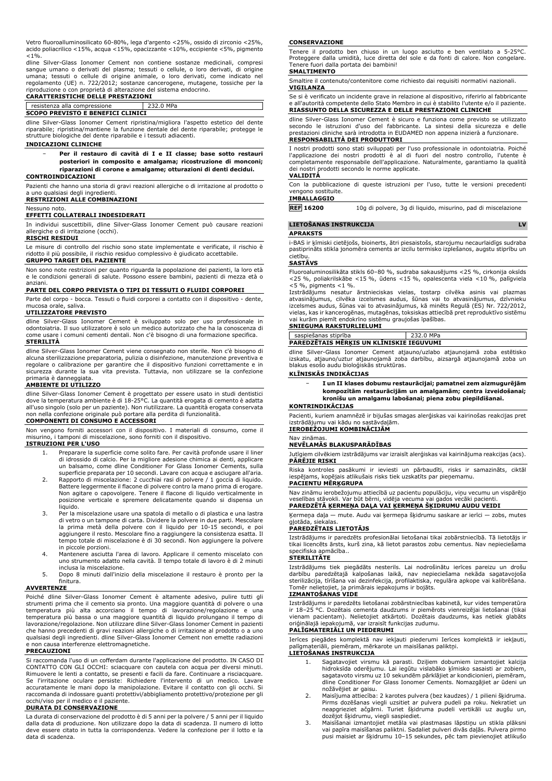Vetro fluoroalluminosilicato 60-80%, lega d'argento <25%, ossido di zirconio <25%, acido poliacrilico <15%, acqua <15%, opacizzante <10%, eccipiente <5%, pigmento  $< 1\%$ 

dline Silver-Glass Ionomer Cement non contiene sostanze medicinali, compresi sangue umano o derivati del plasma; tessuti o cellule, o loro derivati, di origine umana; tessuti o cellule di origine animale, o loro derivati, come indicato nel regolamento (UE) n. 722/2012; sostanze cancerogene, mutagene, tossiche per la riproduzione o con proprietà di alterazione del sistema endocrino.

| <b>CARATTERISTICHE DELLE PRESTAZIONI</b> |           |  |
|------------------------------------------|-----------|--|
| resistenza alla compressione             | 232.0 MPa |  |
| <b>SCOPO PREVISTO E BENEFICI CLINICI</b> |           |  |

dline Silver-Glass Ionomer Cement ripristina/migliora l'aspetto estetico del dente riparabile; ripristina/mantiene la funzione dentale del dente riparabile; protegge le strutture biologiche del dente riparabile e i tessuti adiacenti.

### **INDICAZIONI CLINICHE**

− **Per il restauro di cavità di I e II classe; base sotto restauri posteriori in composito e amalgama; ricostruzione di monconi; riparazioni di corone e amalgame; otturazioni di denti decidui.**

### **CONTROINDICAZIONI**

Pazienti che hanno una storia di gravi reazioni allergiche o di irritazione al prodotto o a uno qualsiasi degli ingredienti.

## **RESTRIZIONI ALLE COMBINAZIONI**

### Nessuno noto. **EFFETTI COLLATERALI INDESIDERATI**

In individui suscettibili, dline Silver-Glass Ionomer Cement può causare reazioni allergiche o di irritazione (occhi).

### **RISCHI RESIDUI**

Le misure di controllo del rischio sono state implementate e verificate, il rischio è ridotto il più possibile, il rischio residuo complessivo è giudicato accettabile. **GRUPPO TARGET DEL PAZIENTE**

Non sono note restrizioni per quanto riguarda la popolazione dei pazienti, la loro età e le condizioni generali di salute. Possono essere bambini, pazienti di mezza età o anziani.

### **PARTE DEL CORPO PREVISTA O TIPI DI TESSUTI O FLUIDI CORPOREI**

Parte del corpo - bocca. Tessuti o fluidi corporei a contatto con il dispositivo - dente, mucosa orale, saliva.

### **UTILIZZATORE PREVISTO**

dline Silver-Glass Ionomer Cement è sviluppato solo per uso professionale in odontoiatria. Il suo utilizzatore è solo un medico autorizzato che ha la conoscenza di come usare i comuni cementi dentali. Non c'è bisogno di una formazione specifica. **STERILITÀ**

dline Silver-Glass Ionomer Cement viene consegnato non sterile. Non c'è bisogno di alcuna sterilizzazione preparatoria, pulizia o disinfezione, manutenzione preventiva e regolare o calibrazione per garantire che il dispositivo funzioni correttamente e in sicurezza durante la sua vita prevista. Tuttavia, non utilizzare se la confezione primaria è danneggiata.

### **AMBIENTE DI UTILIZZO**

dline Silver-Glass Ionomer Cement è progettato per essere usato in studi dentistici dove la temperatura ambiente è di 18-25°C. La quantità erogata di cemento è adatta all'uso singolo (solo per un paziente). Non riutilizzare. La quantità erogata conservata non nella confezione originale può portare alla perdita di funzionalità.

### **COMPONENTI DI CONSUMO E ACCESSORI**

Non vengono forniti accessori con il dispositivo. I materiali di consumo, come il i tamponi di miscelazione, sono forniti con il dispositivo. **ISTRUZIONI PER L'USO**

- 1. Preparare la superficie come solito fare. Per cavità profonde usare il liner di idrossido di calcio. Per la migliore adesione chimica ai denti, applicare un balsamo, come dline Conditioner For Glass Ionomer Cements, sulla
- superficie preparata per 10 secondi. Lavare con acqua e asciugare all'aria. 2. Rapporto di miscelazione: 2 cucchiai rasi di polvere / 1 goccia di liquido. Battere leggermente il flacone di polvere contro la mano prima di erogare. Non agitare o capovolgere. Tenere il flacone di liquido verticalmente in posizione verticale e spremere delicatamente quando si dispensa un liquido.
- 3. Per la miscelazione usare una spatola di metallo o di plastica e una lastra di vetro o un tampone di carta. Dividere la polvere in due parti. Mescolare la prima metà della polvere con il liquido per 10-15 secondi, e poi aggiungere il resto. Mescolare fino a raggiungere la consistenza esatta. Il tempo totale di miscelazione è di 30 secondi. Non aggiungere la polvere in piccole porzioni.
- 4. Mantenere asciutta l'area di lavoro. Applicare il cemento miscelato con uno strumento adatto nella cavità. Il tempo totale di lavoro è di 2 minuti inclusa la miscelazione.
- 5. Dopo 8 minuti dall'inizio della miscelazione il restauro è pronto per la finitura.

### **AVVERTENZE**

Poiché dline Silver-Glass Ionomer Cement è altamente adesivo, pulire tutti gli strumenti prima che il cemento sia pronto. Una maggiore quantità di polvere o una temperatura più alta accorciano il tempo di lavorazione/regolazione e una temperatura più bassa o una maggiore quantità di liquido prolungano il tempo di lavorazione/regolazione. Non utilizzare dline Silver-Glass Ionomer Cement in pazienti che hanno precedenti di gravi reazioni allergiche o di irritazione al prodotto o a uno qualsiasi degli ingredienti. dline Silver-Glass Ionomer Cement non emette radiazioni e non causa interferenze elettromagnetiche.

### **PRECAUZIONI**

Si raccomanda l'uso di un cofferdam durante l'applicazione del prodotto. IN CASO DI CONTATTO CON GLI OCCHI: sciacquare con cautela con acqua per diversi minuti. Rimuovere le lenti a contatto, se presenti e facili da fare. Continuare a risciacquare. Se l'irritazione oculare persiste: Richiedere l'intervento di un medico. Lavare accuratamente le mani dopo la manipolazione. Evitare il contatto con gli occhi. Si raccomanda di indossare guanti protettivi/abbigliamento protettivo/protezione per gli occhi/viso per il medico e il paziente.

### **DURATA DI CONSERVAZIONE**

La durata di conservazione del prodotto è di 5 anni per la polvere / 5 anni per il liquido dalla data di produzione. Non utilizzare dopo la data di scadenza. Il numero di lotto deve essere citato in tutta la corrispondenza. Vedere la confezione per il lotto e la data di scadenza.

### **CONSERVAZIONE**

Tenere il prodotto ben chiuso in un luogo asciutto e ben ventilato a 5-25°C. Proteggere dalla umidità, luce diretta del sole e da fonti di calore. Non congelare. Tenere fuori dalla portata dei bambini! **SMALTIMENTO**

Smaltire il contenuto/contenitore come richiesto dai requisiti normativi nazionali. **VIGILANZA**

Se si è verificato un incidente grave in relazione al dispositivo, riferirlo al fabbricante e all'autorità competente dello Stato Membro in cui è stabilito l'utente e/o il paziente. **RIASSUNTO DELLA SICUREZZA E DELLE PRESTAZIONI CLINICHE**

dline Silver-Glass Ionomer Cement è sicuro e funziona come previsto se utilizzato secondo le istruzioni d'uso del fabbricante. La sintesi della sicurezza e delle prestazioni cliniche sarà introdotta in EUDAMED non appena inizierà a funzionare. **RESPONSABILITÀ DEI PRODUTTORI**

I nostri prodotti sono stati sviluppati per l'uso professionale in odontoiatria. Poiché l'applicazione dei nostri prodotti è al di fuori del nostro controllo, l'utente è completamente responsabile dell'applicazione. Naturalmente, garantiamo la qualità dei nostri prodotti secondo le norme applicate.

### **VALIDITÀ**

Con la pubblicazione di queste istruzioni per l'uso, tutte le versioni precedenti vengono sostituite.

## **IMBALLAGGIO**

**REF 16200** 10g di polvere, 3g di liquido, misurino, pad di miscelazione

### **LIETOŠANAS INSTRUKCIJA LV**

### **APRAKSTS**

i-BAS ir ķīmiski cietējošs, bioinerts, ātri piesaistošs, starojumu necaurlaidīgs sudraba pastiprināts stikla jonomēra cements ar izcilu termisko izplešanos, augstu stiprību un cietību.

### **SASTĀVS**

Fluoroaluminosilikāta stikls 60–80 %, sudraba sakausējums <25 %, cirkonija oksīds <25 %, poliakrilskābe <15 %, ūdens <15 %, opalescenta viela <10 %, palīgviela <5 %, pigments <1 %.

Izstrādājums nesatur ārstnieciskas vielas, tostarp cilvēka asinis vai plazmas atvasinājumus, cilvēka izcelsmes audus, šūnas vai to atvasinājumus, dzīvnieku<br>izcelsmes audus, šūnas vai to atvasinājumus, kā minēts Regulā (ES) Nr. 722/2012,<br>vielas, kas ir kancerogēnas, mutagēnas, toksiskas attiecībā pre vai kurām piemīt endokrīno sistēmu graujošas īpašības.

## **SNIEGUMA RAKSTURLIELUMI**

saspiešanas stiprība 232.0 MPa **PAREDZĒTAIS MĒRĶIS UN KLĪNISKIE IEGUVUMI**

dline Silver-Glass Ionomer Cement atjauno/uzlabo atjaunojamā zoba estētisko izskatu, atjauno/uztur atjaunojamā zoba darbību, aizsargā atjaunojamā zoba un blakus esošo audu bioloģiskās struktūras.

### **KLĪNISKĀS INDIKĀCIJAS**

− **I un II klases dobumu restaurācijai; pamatnei zem aizmugurējām kompozītām restaurācijām un amalgamām; centra izveidošanai; kronīšu un amalgamu labošanai; piena zobu piepildīšanai.**

### **KONTRINDIKĀCIJAS**

Pacienti, kuriem anamnēzē ir bijušas smagas alerģiskas vai kairinošas reakcijas pret izstrādājumu vai kādu no sastāvdaļām. **IEROBEŽOJUMI KOMBINĀCIJĀM**

### Nav zināmas.

### **NEVĒLAMĀS BLAKUSPARĀDĪBAS**

Jutīgiem cilvēkiem izstrādājums var izraisīt alerģiskas vai kairinājuma reakcijas (acs). **PĀRĒJIE RISKI**

Riska kontroles pasākumi ir ieviesti un pārbaudīti, risks ir samazināts, ciktāl iespējams, kopējais atlikušais risks tiek uzskatīts par pieņemamu. **PACIENTU MĒRĶGRUPA**

Nav zināmu ierobežojumu attiecībā uz pacientu populāciju, viņu vecumu un vispārējo veselības stāvokli. Var būt bērni, vidēja vecuma vai gados vecāki pacienti. **PAREDZĒTĀ ĶERMEŅA DAĻA VAI ĶERMEŅA ŠĶIDRUMU AUDU VEIDI**

## Ķermeņa daļa — mute. Audu vai ķermeņa šķidrumu saskare ar ierīci — zobs, mutes

## gļotāda, siekalas. **PAREDZĒTAIS LIETOTĀJS**

Izstrādājums ir paredzēts profesionālai lietošanai tikai zobārstniecībā. Tā lietotājs ir tikai licencēts ārsts, kurš zina, kā lietot parastos zobu cementus. Nav nepieciešama specifiska apmācība..

### **STERILITĀTE**

Izstrādājums tiek piegādāts nesterils. Lai nodrošinātu ierīces pareizu un drošu darbību paredzētajā kalpošanas laikā, nav nepieciešama nekāda sagatavojoša sterilizācija, tīrīšana vai dezinfekcija, profilaktiska, regulāra apkope vai kalibrēšana. Tomēr nelietojiet, ja primārais iepakojums ir bojāts. **IZMANTOŠANAS VIDE**

Izstrādājums ir paredzēts lietošanai zobārstniecības kabinetā, kur vides temperatūra ir 18–25 °C. Dozētais cementa daudzums ir piemērots vienreizējai lietošanai (tikai vienam pacientam). Nelietojiet atkārtoti. Dozētais daudzums, kas netiek glabāts oriģinālajā iepakojumā, var izraisīt funkcijas zudumu.

### **PALĪGMATERIĀLI UN PIEDERUMI**

Ierīces piegādes komplektā nav iekļauti piederumi Ierīces komplektā ir iekļauti, palīgmateriāli, piemēram, mērkarote un maisīšanas paliktņi.

### **LIETOŠANAS INSTRUKCIJA**

- 1. Sagatavojiet virsmu kā parasti. Dziļiem dobumiem izmantojiet kalcija hidroksīda oderējumu. Lai iegūtu vislabāko ķīmisko sasaisti ar zobiem, sagatavoto virsmu uz 10 sekundēm pārklājiet ar kondicionieri, piemēram, dline Conditioner For Glass Ionomer Cements. Nomazgājiet ar ūdeni un nožāvējiet ar gaisu.
- 2. Maisījuma attiecība: 2 karotes pulvera (bez kaudzes) / 1 pilieni šķidruma. Pirms dozēšanas viegli uzsitiet ar pulvera pudeli pa roku. Nekratiet un neapgrieziet ačgārni. Turiet šķidruma pudeli vertikāli uz augšu un, dozējot šķidrumu, viegli saspiediet.
- 3. Maisīšanai izmantojiet metāla vai plastmasas lāpstiņu un stikla plāksni vai papīra maisīšanas paliktni. Sadaliet pulveri divās daļās. Pulvera pirmo pusi maisiet ar šķidrumu 10–15 sekundes, pēc tam pievienojiet atlikušo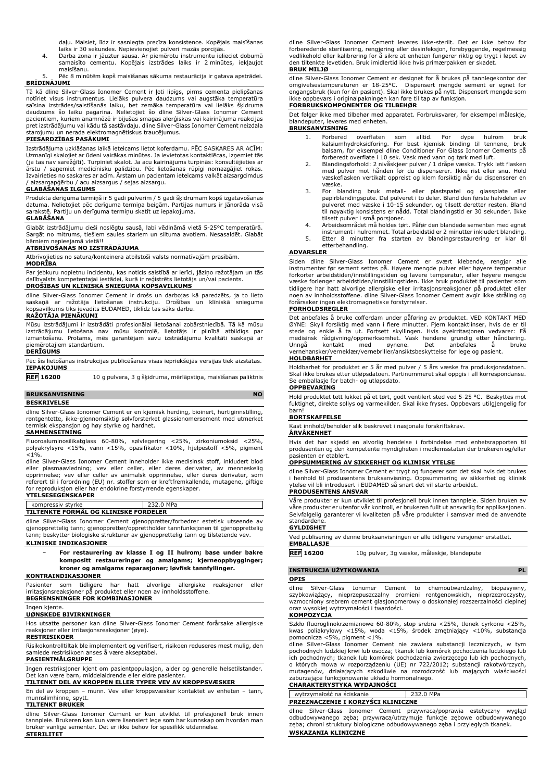daļu. Maisiet, līdz ir sasniegta precīza konsistence. Kopējais maisīšanas laiks ir 30 sekundes. Nepievienojiet pulveri mazās porcijās.

4. Darba zona ir jāuztur sausa. Ar piemērotu instrumentu ielieciet dobumā samaisīto cementu. Kopējais izstrādes laiks ir 2 minūtes, iekļaujot maisīšanu.

5. Pēc 8 minūtēm kopš maisīšanas sākuma restaurācija ir gatava apstrādei. **BRĪDINĀJUMI**

Tā kā dline Silver-Glass Ionomer Cement ir ļoti lipīgs, pirms cementa pielipšanas notīriet visus instrumentus. Lielāks pulvera daudzums vai augstāka temperatūra saīsina izstrādes/saistīšanās laiku, bet zemāka temperatūra vai lielāks šķidruma daudzums šo laiku pagarina. Nelietojiet šo dline Silver-Glass Ionomer Cement pacientiem, kuriem anamnēzē ir bijušas smagas alerģiskas vai kairinājuma reakcijas pret izstrādājumu vai kādu tā sastāvdaļu. dline Silver-Glass Ionomer Cement neizdala starojumu un nerada elektromagnētiskus traucējumus.

### **PIESARDZĪBAS PASĀKUMI**

Izstrādājuma uzklāšanas laikā ieteicams lietot koferdamu. PĒC SASKARES AR ACĪM: Uzmanīgi skalojiet ar ūdeni vairākas minūtes. Ja ievietotas kontaktlēcas, izņemiet tās (ja tas nav sarežģīti). Turpiniet skalot. Ja acu kairinājums turpinās: konsultējieties ar ārstu / saņemiet medicīnisku palīdzību. Pēc lietošanas rūpīgi nomazgājiet rokas. Izvairieties no saskares ar acīm. Ārstam un pacientam ieteicams valkāt aizsargcimdus / aizsargapģērbu / acu aizsargus / sejas aizsargu.

### **GLABĀŠANAS ILGUMS**

Produkta derīguma termiņš ir 5 gadi pulverim / 5 gadi šķidrumam kopš izgatavošanas datuma. Nelietojiet pēc derīguma termiņa beigām. Partijas numurs ir jānorāda visā sarakstē. Partiju un derīguma termiņu skatīt uz iepakojuma.

### **GLABĀŠANA**

Glabāt izstrādājumu cieši noslēgtu sausā, labi vēdināmā vietā 5-25°C temperatūrā. Sargāt no mitrums, tiešiem saules stariem un siltuma avotiem. Nesasaldēt. Glabāt bērniem nepieejamā vietā!!

### **ATBRĪVOŠANĀS NO IZSTRĀDĀJUMA**

Atbrīvojieties no satura/konteinera atbilstoši valsts normatīvajām prasībām.

### **MODRĪBA**

Par jebkuru nopietnu incidentu, kas noticis saistībā ar ierīci, jāziņo ražotājam un tās dalībvalsts kompetentajai iestādei, kurā ir reģistrēts lietotājs un/vai pacients. **DROŠĪBAS UN KLĪNISKĀ SNIEGUMA KOPSAVILKUMS**

dline Silver-Glass Ionomer Cement ir drošs un darbojas kā paredzēts, ja to lieto<br>saskaņā ar ražotāja lietošanas instrukciju. Drošības un klīniskā snieguma<br>kopsavilkums tiks ievadīts EUDAMED, tiklīdz tas sāks darbu.

### **RAŽOTĀJA PIENĀKUMI**

Mūsu izstrādājumi ir izstrādāti profesionālai lietošanai zobārstniecībā. Tā kā mūsu izstrādājumu lietošana nav mūsu kontrolē, lietotājs ir pilnībā atbildīgs par izmantošanu. Protams, mēs garantējam savu izstrādājumu kvalitāti saskaņā ar piemērotajiem standartiem.

### **DERĪGUMS**

Pēc šīs lietošanas instrukcijas publicēšanas visas iepriekšējās versijas tiek aizstātas. **IEPAKOJUMS**

**REF 16200** 10 g pulvera, 3 g šķidruma, mērlāpstiņa, maisīšanas paliktnis **BRUKSANVISNING** NO

## **BESKRIVELSE**

dline Silver-Glass Ionomer Cement er en kjemisk herding, bioinert, hurtiginnstilling, røntgentette, ikke-gjennomsiktig sølvforsterket glassionomersement med utmerket termisk ekspansjon og høy styrke og hardhet.

### **SAMMENSETNING**

Fluoroaluminosilikatglass 60-80%, sølvlegering <25%, zirkoniumoksid <25%, polyakrylsyre <15%, vann <15%, opasifikator <10%, hjelpestoff <5%, pigment  $< 1\%$ .

dline Silver-Glass Ionomer Cement inneholder ikke medisinsk stoff, inkludert blod<br>eller plasmaavledning; vev eller celler, eller deres derivater, av menneskelig<br>opprinnelse; vev eller celler av animalsk opprinnelse, eller referert til i forordning (EU) nr. stoffer som er kreftfremkallende, mutagene, giftige for reproduksjon eller har endokrine forstyrrende egenskaper. **YTELSESEGENSKAPER**

## kompressiv styrke 232.0 MPa

**TILTENKTE FORMÅL OG KLINISKE FORDELER**

dline Silver-Glass Ionomer Cement gjenoppretter/forbedrer estetisk utseende av gjenopprettelig tann; gjenoppretter/opprettholder tannfunksjonen til gjenopprettelig tann; beskytter biologiske strukturer av gjenopprettelig tann og tilstøtende vev.

### **KLINISKE INDIKASJONER**

− **For restaurering av klasse I og II hulrom; base under bakre kompositt restaureringer og amalgams; kjerneoppbygginger; kroner og amalgams reparasjoner; løvfisk tannfyllinger.**

### **KONTRAINDIKASJONER**

Pasienter som tidligere har hatt alvorlige allergiske reaksjoner eller irritasjonsreaksjoner på produktet eller noen av innholdsstoffene.

## **BEGRENSNINGER FOR KOMBINASJONER**

### Ingen kjente. **UØNSKEDE BIVIRKNINGER**

Hos utsatte personer kan dline Silver-Glass Ionomer Cement forårsake allergiske reaksjoner eller irritasjonsreaksjoner (øye).

### **RESTRISIKOER**

Risikokontrolltiltak ble implementert og verifisert, risikoen reduseres mest mulig, den samlede restrisikoen anses å være akseptabel. **PASIENTMÅLGRUPPE**

Ingen restriksjoner kjent om pasientpopulasjon, alder og generelle helsetilstander. Det kan være barn, middelaldrende eller eldre pasienter.

## **TILTENKT DEL AV KROPPEN ELLER TYPER VEV AV KROPPSVÆSKER**

En del av kroppen – munn. Vev eller kroppsvæsker kontaktet av enheten – tann, munnslimhinne, spytt. **TILTENKT BRUKER**

dline Silver-Glass Ionomer Cement er kun utviklet til profesjonell bruk innen tannpleie. Brukeren kan kun være lisensiert lege som har kunnskap om hvordan man bruker vanlige sementer. Det er ikke behov for spesifikk utdannelse. **STERILITET**

dline Silver-Glass Ionomer Cement leveres ikke-sterilt. Det er ikke behov for forberedende sterilisering, rengjøring eller desinfeksjon, forebyggende, regelmessig vedlikehold eller kalibrering for å sikre at enheten fungerer riktig og trygt i løpet av den tiltenkte levetiden. Bruk imidlertid ikke hvis primærpakken er skadet. **BRUK MILJØ**

dline Silver-Glass Ionomer Cement er designet for å brukes på tannlegekontor der omgivelsestemperaturen er 18-25°C. Dispensert mengde sement er egnet for engangsbruk (kun for én pasient). Skal ikke brukes på nytt. Dispensert mengde som ikke oppbevars i originalpakningen kan føre til tap av funksjon.

## **FORBRUKSKOMPONENTER OG TILBEHØR**

Det følger ikke med tilbehør med apparatet. Forbruksvarer, for eksempel måleskje, blandeputer, leveres med enheten. **BRUKSANVISNING**

- 1. Forbered overflaten som alltid. For dype hulrom bruk kalsiumhydroksidforing. For best kjemisk binding til tennene, bruk balsam, for eksempel dline Conditioner For Glass Ionomer Cements på
- forberedt overflate i 10 sek. Vask med vann og tørk med luft. 2. Blandingsforhold: 2 nivåskjeer pulver / 1 dråpe væske. Trykk lett flasken med pulver mot hånden før du dispenserer. Ikke rist eller snu. Hold væskeflasken vertikalt oppreist og klem forsiktig når du dispenserer en væske.
- 3. For blanding bruk metall- eller plastspatel og glassplate eller papirblandingspute. Del pulveret i to deler. Bland den første halvdelen av pulveret med væske i 10-15 sekunder, og tilsett deretter resten. Bland til nøyaktig konsistens er nådd. Total blandingstid er 30 sekunder. Ikke tilsett pulver i små porsjoner.
- 4. Arbeidsområdet må holdes tørt. Påfør den blandede sementen med egnet
- instrument i hulrommet. Total arbeidstid er 2 minutter inkludert blanding. 5. Etter 8 minutter fra starten av blandingsrestaurering er klar til etterbehandling.

### **ADVARSLER**

Siden dline Silver-Glass Ionomer Cement er svært klebende, rengjør alle instrumenter før sement settes på. Høyere mengde pulver eller høyere temperatur forkorter arbeidstiden/innstillingstiden og lavere temperatur, eller høyere mengde væske forlenger arbeidstiden/innstillingstiden. Ikke bruk produktet til pasienter som tidligere har hatt alvorlige allergiske eller irritasjonsreaksjoner på produktet eller noen av innholdsstoffene. dline Silver-Glass Ionomer Cement avgir ikke stråling og forårsaker ingen elektromagnetiske forstyrrelser.

### **FORHOLDSREGLER**

Det anbefales å bruke cofferdam under påføring av produktet. VED KONTAKT MED ØYNE: Skyll forsiktig med vann i flere minutter. Fjern kontaktlinser, hvis de er til<br>stede og enkle å ta ut. Fortsett skyllingen. Hvis øyeirritasjonen vedvarer: Få<br>medisinsk rådgivning/oppmerksomhet. Vask hendene grundig e vernehansker/verneklær/vernebriller/ansiktsbeskyttelse for lege og pasient. **HOLDBARHET**

Holdbarhet for produktet er 5 år med pulver / 5 års væske fra produksjonsdatoen. Skal ikke brukes etter utløpsdatoen. Partinummeret skal oppgis i all korrespondanse. Se emballasje for batch- og utløpsdato.

### **OPPBEVARING**

Hold produktet tett lukket på et tørt, godt ventilert sted ved 5-25 °C. Beskyttes mot fuktighet, direkte sollys og varmekilder. Skal ikke fryses. Oppbevars utilgjengelig for barn!

### **BORTSKAFFELSE**

Kast innhold/beholder slik beskrevet i nasjonale forskriftskrav.

### **ÅRVÅKENHET**

Hvis det har skjedd en alvorlig hendelse i forbindelse med enhetsrapporten til produsenten og den kompetente myndigheten i medlemsstaten der brukeren og/eller pasienten er etablert.

### **OPPSUMMERING AV SIKKERHET OG KLINISK YTELSE**

dline Silver-Glass Ionomer Cement er trygt og fungerer som det skal hvis det brukes i henhold til produsentens bruksanvisning. Oppsummering av sikkerhet og klinisk ytelse vil bli introdusert i EUDAMED så snart det vil starte arbeidet. **PRODUSENTENS ANSVAR**

Våre produkter er kun utviklet til profesjonell bruk innen tannpleie. Siden bruken av våre produkter er utenfor vår kontroll, er brukeren fullt ut ansvarlig for applikasjonen. Selvfølgelig garanterer vi kvaliteten på våre produkter i samsvar med de anvendte standardene.

## **GYLDIGHET**

Ved publisering av denne bruksanvisningen er alle tidligere versjoner erstattet. **EMBALLASJE**

### **REF 16200** 10g pulver, 3g væske, måleskje, blandepute

### **INSTRUKCJA UŻYTKOWANIA PL**

### **OPIS**

dline Silver-Glass Ionomer Cement to chemoutwardzalny, biopasywny,<br>szybkowiążący, nieprzepuszczalny promieni rentgenowskich, nieprzezroczysty,<br>wzmocniony-srebrem-cement-glasjonomerowy-o-doskonałej-rozszerzalności-cieplnej oraz wysokiej wytrzymałości i twardości.

## **KOMPOZYCJA**

Szkło fluoroglinokrzemianowe 60-80%, stop srebra <25%, tlenek cyrkonu <25%,<br>kwas poliakrylowy <15%, woda <15%, środek zmętniający <10%, substancja<br>pomocnicza <5%, pigment <1%.

dline Silver-Glass Ionomer Cement nie zawiera substancji leczniczych, w tym pochodnych ludzkiej krwi lub osocza; tkanek lub komórek pochodzenia ludzkiego lub ich pochodnych; tkanek lub komórek pochodzenia zwierzęcego lub ich pochodnych, o których mowa w rozporządzeniu (UE) nr 722/2012; substancji rakotwórczych, mutagenów, działających szkodliwie na rozrodczość lub mających właściwości zaburzające funkcjonowanie układu hormonalnego.

### **CHARAKTERYSTYKA WYDAJNOŚCI** wytrzymałość na ściskanie 232.0 MPa

**PRZEZNACZENIE I KORZYŚCI KLINICZNE** dline Silver-Glass Ionomer Cement przywraca/poprawia estetyczny wygląd

odbudowywanego zęba; przywraca/utrzymuje funkcje zębowe odbudowywanego zęba; chroni struktury biologiczne odbudowywanego zęba i przyległych tkanek. **WSKAZANIA KLINICZNE**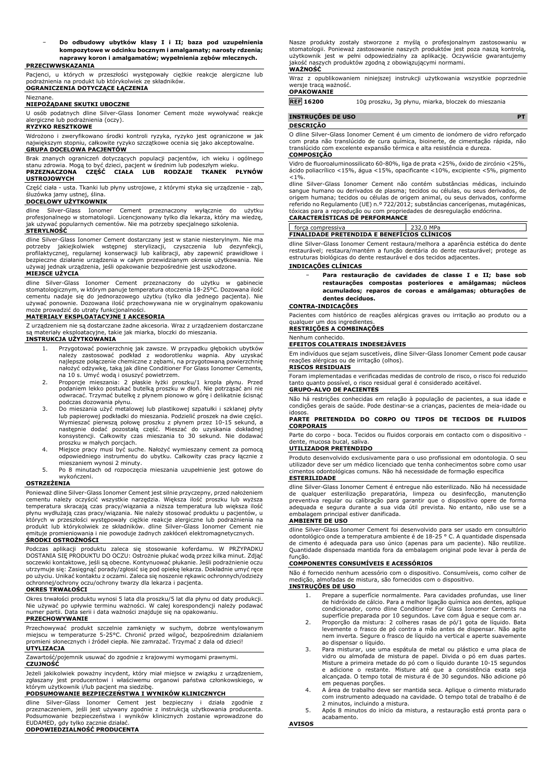− **Do odbudowy ubytków klasy I i II; baza pod uzupełnienia kompozytowe w odcinku bocznym i amalgamaty; narosty rdzenia; naprawy koron i amalgamatów; wypełnienia zębów mlecznych.**

### **PRZECIWWSKAZANIA**

Pacjenci, u których w przeszłości występowały ciężkie reakcje alergiczne lub podrażnienia na produkt lub którykolwiek ze składników. **OGRANICZENIA DOTYCZĄCE ŁĄCZENIA**

### Nieznane. **NIEPOŻĄDANE SKUTKI UBOCZNE**

U osób podatnych dline Silver-Glass Ionomer Cement może wywoływać reakcje alergiczne lub podrażnienia (oczy).

### **RYZYKO RESZTKOWE**

Wdrożono i zweryfikowano środki kontroli ryzyka, ryzyko jest ograniczone w jak największym stopniu, całkowite ryzyko szczątkowe ocenia się jako akceptowalne. **GRUPA DOCELOWA PACJENTÓW**

Brak znanych ograniczeń dotyczących populacji pacjentów, ich wieku i ogólnego stanu zdrowia. Mogą to być dzieci, pacjent w średnim lub podeszłym wieku. **PRZEZNACZONA CZĘŚĆ CIAŁA LUB RODZAJE TKANEK PŁYNÓW**

### **USTROJOWYCH**

Część ciała - usta. Tkanki lub płyny ustrojowe, z którymi styka się urządzenie - ząb, śluzówka jamy ustnej, ślina.

### **DOCELOWY UŻYTKOWNIK**

dline Silver-Glass Ionomer Cement przeznaczony wyłącznie do użytku profesjonalnego w stomatologii. Licencjonowany tylko dla lekarza, który ma wiedzę, jak używać popularnych cementów. Nie ma potrzeby specjalnego szkolenia.

### **STERYLNOŚĆ**

dline Silver-Glass Ionomer Cement dostarczany jest w stanie niesterylnym. Nie ma potrzeby jakiejkolwiek wstępnej sterylizacji, czyszczenia lub dezynfekcji, profilaktycznej, regularnej konserwacji lub kalibracji, aby zapewnić prawidłowe i bezpieczne działanie urządzenia w całym przewidzianym okresie użytkowania. Nie używaj jednak urządzenia, jeśli opakowanie bezpośrednie jest uszkodzone.

### **MIEJSCE UŻYCIA**

dline Silver-Glass Ionomer Cement przeznaczony do użytku w gabinecie stomatologicznym, w którym panuje temperatura otoczenia 18-25°C. Dozowana ilość cementu nadaje się do jednorazowego użytku (tylko dla jednego pacjenta). Nie używać ponownie. Dozowana ilość przechowywana nie w oryginalnym opakowaniu może prowadzić do utraty funkcjonalności.

### **MATERIAŁY EKSPLOATACYJNE I AKCESORIA**

Z urządzeniem nie są dostarczane żadne akcesoria. Wraz z urządzeniem dostarczane są materiały eksploatacyjne, takie jak miarka, bloczki do mieszania.

### **INSTRUKCJA UŻYTKOWANIA**

- 1. Przygotować powierzchnię jak zawsze. W przypadku głębokich ubytków należy zastosować podkład z wodorotlenku wapnia. Aby uzyskać najlepsze połączenie chemiczne z zębami, na przygotowaną powierzchnię nałożyć odżywkę, taką jak dline Conditioner For Glass Ionomer Cements, na 10 s. Umyć wodą i osuszyć powietrzem.
- 2. Proporcje mieszania: 2 płaskie łyżki proszku/1 kropla płynu. Przed podaniem lekko postukać butelką proszku w dłoń. Nie potrząsać ani nie odwracać. Trzymać butelkę z płynem pionowo w górę i delikatnie ścisnąć
- podczas dozowania płynu. 3. Do mieszania użyć metalowej lub plastikowej szpatułki i szklanej płyty lub papierowej podkładki do mieszania. Podzielić proszek na dwie części. Wymieszać pierwszą połowę proszku z płynem przez 10-15 sekund, a następnie dodać pozostałą część. Mieszać do uzyskania dokładnej konsystencji. Całkowity czas mieszania to 30 sekund. Nie dodawać proszku w małych porcjach.
- 4. Miejsce pracy musi być suche. Nałożyć wymieszany cement za pomocą odpowiedniego instrumentu do ubytku. Całkowity czas pracy łącznie z mieszaniem wynosi 2 minuty.
- 5. Po 8 minutach od rozpoczęcia mieszania uzupełnienie jest gotowe do wykończeni.

### **OSTRZEŻENIA**

Ponieważ dline Silver-Glass Ionomer Cement jest silnie przyczepny, przed nałożeniem cementu należy oczyścić wszystkie narzędzia. Większa ilość proszku lub wyższa temperatura skracają czas pracy/wiązania a niższa temperatura lub większa ilość<br>płynu wydłużają czas pracy/wiązania. Nie należy stosować produktu u pacjentów, u<br>których w przeszłości występowały ciężkie reakcje alergiczne emituje promieniowania i nie powoduje żadnych zakłóceń elektromagnetycznych. **ŚRODKI OSTROŻNOŚCI**

Podczas aplikacji produktu zaleca się stosowanie koferdamu. W PRZYPADKU<br>DOSTANIA SIĘPRODUKTU DO OCZU: Ostrożnie płukać wodąprzez kilka minut. Zdjąć<br>soczewki kontaktowe, jeśli-są-obecne. Kontynuować-płukanie. Jeśli-podrażni utrzymuje się: Zasięgnąć porady/zgłosić się pod opiekę lekarza. Dokładnie umyć ręce po użyciu. Unikać kontaktu z oczami. Zaleca się noszenie rękawic ochronnych/odzieży ochronnej/ochrony oczu/ochrony twarzy dla lekarza i pacjenta.

### **OKRES TRWAŁOŚCI**

Okres trwałości produktu wynosi 5 lata dla proszku/5 lat dla płynu od daty produkcji. Nie używać po upływie terminu ważności. W całej korespondencji należy podawać numer partii. Data serii i data ważności znajduje się na opakowaniu. **PRZECHOWYWANIE**

Przechowywać produkt szczelnie zamknięty w suchym, dobrze wentylowanym miejscu w temperaturze 5-25°C. Chronić przed wilgoć, bezpośrednim działaniem promieni słonecznych i źródeł ciepła. Nie zamrażać. Trzymać z dala od dzieci! **UTYLIZACJA**

Zawartość/pojemnik usuwać do zgodnie z krajowymi wymogami prawnymi. **CZUJNOŚĆ**

Jeżeli jakikolwiek poważny incydent, który miał miejsce w związku z urządzeniem, zgłaszany jest producentowi i właściwemu organowi państwa członkowskiego, w którym użytkownik i/lub pacjent ma siedzibę.

## **PODSUMOWANIE BEZPIECZEŃSTWA I WYNIKÓW KLINICZNYCH**

dline Silver-Glass Ionomer Cement jest bezpieczny i działa zgodnie z przeznaczeniem, jeśli jest używany zgodnie z instrukcją użytkowania producenta. Podsumowanie bezpieczeństwa i wyników klinicznych zostanie wprowadzone do EUDAMED, gdy tylko zacznie działać. **ODPOWIEDZIALNOŚĆ PRODUCENTA**

Nasze produkty zostały stworzone z myślą o profesjonalnym zastosowaniu w stomatologii. Ponieważ zastosowanie naszych produktów jest poza naszą kontrolą, użytkownik jest w pełni odpowiedzialny za aplikację. Oczywiście gwarantujemy jakość naszych produktów zgodną z obowiązującymi normami. **WAŻNOŚĆ**

Wraz z opublikowaniem niniejszej instrukcji użytkowania wszystkie poprzednie wersje tracą ważność. **OPAKOWANIE**

**REF 16200** 10g proszku, 3g płynu, miarka, bloczek do mieszania

**INSTRUÇÕES DE USO PT**

### **DESCRIÇÃO**

O dline Silver-Glass Ionomer Cement é um cimento de ionómero de vidro reforçado com prata não translúcido de cura química, bioinerte, de cimentação rápida, não translúcido com excelente expansão térmica e alta resistência e dureza. **COMPOSIÇÃO**

Vidro de fluoroaluminossilicato 60-80%, liga de prata <25%, óxido de zircónio <25%, ácido poliacrílico <15%, água <15%, opacificante <10%, excipiente <5%, pigmento  $< 1\%$ .

dline Silver-Glass Ionomer Cement não contém substâncias médicas, incluindo sangue humano ou derivados de plasma; tecidos ou células, ou seus derivados, de origem humana; tecidos ou células de origem animal, ou seus derivados, conforme referido no Regulamento (UE) n.º 722/2012; substâncias cancerígenas, mutagénicas, tóxicas para a reprodução ou com propriedades de desregulação endócrina.

### **CARACTERÍSTICAS DE PERFORMANCE**

| forca compressiva                                  | $232.0$ MPa |
|----------------------------------------------------|-------------|
| <b>FINALIDADE PRETENDIDA E BENEFICIOS CLINICOS</b> |             |

dline Silver-Glass Ionomer Cement restaura/melhora a aparência estética do dente restaurável; restaura/mantém a função dentária do dente restaurável; protege as estruturas biológicas do dente restaurável e dos tecidos adjacentes.

### **INDICAÇÕES CLÍNICAS**

− **Para restauração de cavidades de classe I e II; base sob restaurações compostas posteriores e amálgamas; núcleos acumulados; reparos de coroas e amálgamas; obturações de dentes decíduos.**

### **CONTRA-INDICAÇÕES**

Pacientes com histórico de reações alérgicas graves ou irritação ao produto ou a qualquer um dos ingredientes

**RESTRIÇÕES A COMBINAÇÕES**

### Nenhum conhecido. **EFEITOS COLATERAIS INDESEJÁVEIS**

Em indivíduos que sejam suscetíveis, dline Silver-Glass Ionomer Cement pode causar reações alérgicas ou de irritação (olhos).

### **RISCOS RESIDUAIS**

Foram implementadas e verificadas medidas de controlo de risco, o risco foi reduzido tanto quanto possível, o risco residual geral é considerado aceitável. **GRUPO-ALVO DE PACIENTES**

Não há restrições conhecidas em relação à população de pacientes, a sua idade e condições gerais de saúde. Pode destinar-se a crianças, pacientes de meia-idade ou

idosos.

### **PARTE PRETENDIDA DO CORPO OU TIPOS DE TECIDOS DE FLUIDOS CORPORAIS**

Parte do corpo - boca. Tecidos ou fluidos corporais em contacto com o dispositivo dente, mucosa bucal, saliva. **UTILIZADOR PRETENDIDO**

Produto desenvolvido exclusivamente para o uso profissional em odontologia. O seu utilizador deve ser um médico licenciado que tenha conhecimentos sobre como usar cimentos odontológicas comuns. Não há necessidade de formação específica **ESTERILIDADE**

dline Silver-Glass Ionomer Cement é entregue não esterilizado. Não há necessidade de qualquer esterilização preparatória, limpeza ou desinfecção, manutenção preventiva regular ou calibração para garantir que o dispositivo opere de forma adequada e segura durante a sua vida útil prevista. No entanto, não use se a embalagem principal estiver danificada.

## **AMBIENTE DE USO**

dline Silver-Glass Ionomer Cement foi desenvolvido para ser usado em consultório odontológico onde a temperatura ambiente é de 18-25 ° C. A quantidade dispensada de cimento é adequada para uso único (apenas para um paciente). Não reutilize. Quantidade dispensada mantida fora da embalagem original pode levar à perda de funcão

### **COMPONENTES CONSUMÍVEIS E ACESSÓRIOS**

Não é fornecido nenhum acessório com o dispositivo. Consumíveis, como colher de medição, almofadas de mistura, são fornecidos com o dispositivo. **INSTRUÇÕES DE USO**

- 1. Prepare a superfície normalmente. Para cavidades profundas, use liner de hidróxido de cálcio. Para a melhor ligação química aos dentes, aplique condicionador, como dline Conditioner For Glass Ionomer Cements na
- superfície preparada por 10 segundos. Lave com água e seque com ar. 2. Proporção da mistura: 2 colheres rasas de pó/1 gota de líquido. Bata levemente o frasco de pó contra a mão antes de dispensar. Não agite nem inverta. Segure o frasco de líquido na vertical e aperte suavemente ao dispensar o líquido.
- 3. Para misturar, use uma espátula de metal ou plástico e uma placa de vidro ou almofada de mistura de papel. Divida o pó em duas partes. Misture a primeira metade do pó com o líquido durante 10-15 segundos e adicione o restante. Misture até que a consistência exata seja alcançada. O tempo total de mistura é de 30 segundos. Não adicione pó
- em pequenas porções. 4. A área de trabalho deve ser mantida seca. Aplique o cimento misturado com instrumento adequado na cavidade. O tempo total de trabalho é de 2 minutos, incluindo a mistura.
- 5. Após 8 minutos do início da mistura, a restauração está pronta para o acabamento. **AVISOS**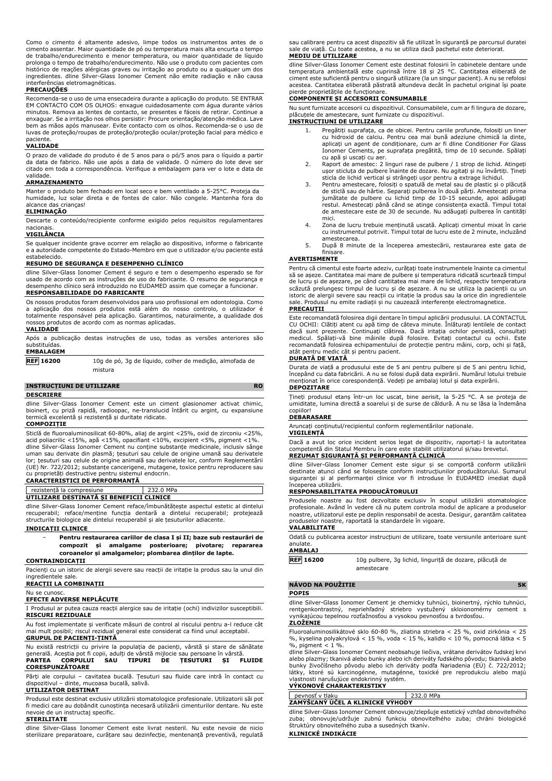Como o cimento é altamente adesivo, limpe todos os instrumentos antes de o cimento assentar. Maior quantidade de pó ou temperatura mais alta encurta o tempo de trabalho/endurecimento e menor temperatura, ou maior quantidade de líquido prolonga o tempo de trabalho/endurecimento. Não use o produto com pacientes com histórico de reações alérgicas graves ou irritação ao produto ou a qualquer um dos ingredientes. dline Silver-Glass Ionomer Cement não emite radiação e não causa <sub>.</sub><br>erferências eletromagnéticas.

### **PRECAUÇÕES**

Recomenda-se o uso de uma ensecadeira durante a aplicação do produto. SE ENTRAR EM CONTACTO COM OS OLHOS: enxague cuidadosamente com água durante vários minutos. Remova as lentes de contacto, se presentes e fáceis de retirar. Continue a enxaguar. Se a irritação nos olhos persistir: Procure orientação/atenção médica. Lave bem as mãos após manusear. Evite contacto com os olhos. Recomenda-se o uso de luvas de proteção/roupas de proteção/proteção ocular/proteção facial para médico e paciente.

### **VALIDADE**

O prazo de validade do produto é de 5 anos para o pó/5 anos para o líquido a partir da data de fabrico. Não use após a data de validade. O número do lote deve ser citado em toda a correspondência. Verifique a embalagem para ver o lote e data de validade.

### **ARMAZENAMENTO**

Manter o produto bem fechado em local seco e bem ventilado a 5-25°C. Proteja da humidade, luz solar direta e de fontes de calor. Não congele. Mantenha fora do alcance das crianças! **ELIMINAÇÃO**

Descarte o conteúdo/recipiente conforme exigido pelos requisitos regulamentares nacionais.

### **VIGILÂNCIA**

Se qualquer incidente grave ocorrer em relação ao dispositivo, informe o fabricante e a autoridade competente do Estado-Membro em que o utilizador e/ou paciente está estabelecido.

### **RESUMO DE SEGURANÇA E DESEMPENHO CLÍNICO**

dline Silver-Glass Ionomer Cement é seguro e tem o desempenho esperado se for usado de acordo com as instruções de uso do fabricante. O resumo de segurança e sempenho clínico será introduzido no EUDAMED assim que começar a funcionar. **RESPONSABILIDADE DO FABRICANTE**

Os nossos produtos foram desenvolvidos para uso profissional em odontologia. Como a aplicação dos nossos produtos está além do nosso controlo, o utilizador é totalmente responsável pela aplicação. Garantimos, naturalmente, a qualidade dos nossos produtos de acordo com as normas aplicadas.

## **VALIDADE**

Após a publicação destas instruções de uso, todas as versões anteriores são substituídas.

### **EMBALAGEM**

**REF 16200** 10g de pó, 3g de líquido, colher de medição, almofada de mistura

### **INSTRUCȚIUNI DE UTILIZARE RO**

### **DESCRIERE**

dline Silver-Glass Ionomer Cement este un ciment glasionomer activat chimic, bioinert, cu priză rapidă, radioopac, ne-translucid întărit cu argint, cu expansiune termică excelentă și rezistență și duritate ridicate.

### **COMPOZIȚIE**

Sticlă de fluoroaluminosilicat 60-80%, aliaj de argint <25%, oxid de zirconiu <25%, acid poliacrilic <15%, apă <15%, opacifiant <10%, excipient <5%, pigment <1%. dline Silver-Glass Ionomer Cement nu conține substanțe medicinale, inclusiv sânge uman sau derivate din plasmă; țesuturi sau celule de origine umană sau derivatele lor; țesuturi sau celule de origine animală sau derivatele lor, conform Reglementării (UE) Nr. 722/2012; substanțe cancerigene, mutagene, toxice pentru reproducere sau cu proprietăți destructive pentru sistemul endocrin.

### **CARACTERISTICI DE PERFORMANȚĂ**

| rezistentă la compresiune                |  | 232.0 MPa |
|------------------------------------------|--|-----------|
| UTILIZARE DESTINATĂ SI BENEFICII CLINICE |  |           |
|                                          |  |           |

dline Silver-Glass Ionomer Cement reface/îmbunătățește aspectul estetic al dintelui recuperabil; reface/menține funcția dentară a dintelui recuperabil; protejează structurile biologice ale dintelui recuperabil și ale țesuturilor adiacente.

### **INDICAȚII CLINICE**

− **Pentru restaurarea cariilor de clasa I și II; baze sub restaurări de compozit și amalgame posterioare; pivotare; repararea coroanelor și amalgamelor; plombarea dinților de lapte.**

## **CONTRAINDICAȚII**

Pacienți cu un istoric de alergii severe sau reacții de iritație la produs sau la unul din ingredientele sale.

## **REACȚII LA COMBINAȚII**

Nu se cunosc.

### **EFECTE ADVERSE NEPLĂCUTE**

I Produsul ar putea cauza reacții alergice sau de iritație (ochi) indivizilor susceptibili. **RISCURI REZIDUALE**

Au fost implementate și verificate măsuri de control al riscului pentru a-l reduce cât mai mult posibil; riscul rezidual general este considerat ca fiind unul acceptabil. **GRUPUL DE PACIENȚI-ȚINTĂ**

Nu există restricții cu privire la populația de pacienți, vârstă și stare de sănătate generală. Aceștia pot fi copii, adulți de vârstă mijlocie sau persoane în vârstă. **PARTEA CORPULUI SAU TIPURI DE ȚESUTURI ȘI FLUIDE CORESPUNZĂTOARE**

Părți ale corpului – cavitatea bucală. Țesuturi sau fluide care intră în contact cu dispozitivul – dinte, mucoasa bucală, salivă.

### **UTILIZATOR DESTINAT**

Produsul este destinat exclusiv utilizării stomatologice profesionale. Utilizatorii săi pot fi medici care au dobândit cunoștința necesară utilizării cimenturilor dentare. Nu este nevoie de un instructaj specific.

### **STERILITATE**

dline Silver-Glass Ionomer Cement este livrat nesteril. Nu este nevoie de nicio sterilizare preparatoare, curățare sau dezinfecție, mentenanță preventivă, regulată sau calibrare pentru ca acest dispozitiv să fie utilizat în siguranță pe parcursul duratei sale de viață. Cu toate acestea, a nu se utiliza dacă pachetul este deteriorat. **MEDIU DE UTILIZARE**

dline Silver-Glass Ionomer Cement este destinat folosirii în cabinetele dentare unde temperatura ambientală este cuprinsă între 18 și 25 °C. Cantitatea eliberată de ciment este suficientă pentru o singură utilizare (la un singur pacient). A nu se refolosi acestea. Cantitatea eliberată păstrată altundeva decât în pachetul original își poate pierde proprietățile de funcționare.

### **COMPONENTE ȘI ACCESORII CONSUMABILE**

Nu sunt furnizate accesorii cu dispozitivul. Consumabilele, cum ar fi lingura de dozare, plăcuțele de amestecare, sunt furnizate cu dispozitivul. **INSTRUCȚIUNI DE UTILIZARE**

1. Pregătiți suprafața, ca de obicei. Pentru cariile profunde, folosiți un liner cu hidroxid de calciu. Pentru cea mai bună adeziune chimică la dinte, aplicați un agent de condiționare, cum ar fi dline Conditioner For Glass Ionomer Cements, pe suprafața pregătită, timp de 10 secunde. Spălați

- cu apă și uscați cu aer. 2. Raport de amestec: 2 linguri rase de pulbere / 1 strop de lichid. Atingeți ușor sticluța de pulbere înainte de dozare. Nu agitați și nu învârtiți. Țineți sticla de lichid vertical și strângeți ușor pentru a extrage lichidul.
- 3. Pentru amestecare, folosiți o spatulă de metal sau de plastic și o plăcuță de sticlă sau de hârtie. Separați pulberea în două părți. Amestecați prima jumătate de pulbere cu lichid timp de 10-15 secunde, apoi adăugați restul. Amestecați până când se atinge consistența exactă. Timpul total de amestecare este de 30 de secunde. Nu adăugați pulberea în cantități mici.
- 4. Zona de lucru trebuie menținută uscată. Aplicați cimentul mixat în carie cu instrumentul potrivit. Timpul total de lucru este de 2 minute, incluzând amestecarea.
- 5. După 8 minute de la începerea amestecării, restaurarea este gata de finisare.

### **AVERTISMENTE**

Pentru că cimentul este foarte adeziv, curățați toate instrumentele înainte ca cimentul să se așeze. Cantitatea mai mare de pulbere și temperatura ridicată scurtează timpul de lucru și de așezare, pe când cantitatea mai mare de lichid, respectiv temperatura scăzută prelungesc timpul de lucru și de așezare. A nu se utiliza la pacienții cu un istoric de alergii severe sau reacții cu iritație la produs sau la orice din ingredientele sale. Produsul nu emite radiații și nu cauzează interferențe electromagnetice. **PRECAUȚII**

### Este recomandată folosirea digii dentare în timpul aplicării produsului. LA CONTACTUL CU OCHII: Clătiți atent cu apă timp de câteva minute. Înlăturați lentilele de contact dacă sunt prezente. Continuați clătirea. Dacă iritația ochilor persistă, consultați medicul. Spălați-vă bine mâinile după folosire. Evitați contactul cu ochii. Este recomandată folosirea echipamentului de protecție pentru mâini, corp, ochi și față, atât pentru medic cât și pentru pacient. **DURATĂ DE VIAȚĂ**

Durata de viață a produsului este de 5 ani pentru pulbere și de 5 ani pentru lichid, începând cu data fabricării. A nu se folosi după data expirării. Numărul lotului trebuie

menționat în orice corespondență. Vedeți pe ambalaj lotul și data expirării.

**DEPOZITARE**

Țineți produsul etanș într-un loc uscat, bine aerisit, la 5-25 °C. A se proteja de umiditate, lumina directă a soarelui și de surse de căldură. A nu se lăsa la îndemâna copiilor!

### **DEBARASARE**

Aruncați conținutul/recipientul conform reglementărilor naționale.

### **VIGILENȚĂ**

Dacă a avut loc orice incident serios legat de dispozitiv, raportați-l la autoritatea competentă din Statul Membru în care este stabilit utilizatorul și/sau brevetul. **REZUMAT SIGURANȚĂ ȘI PERFORMANȚĂ CLINICĂ**

dline Silver-Glass Ionomer Cement este sigur și se comportă conform utilizării destinate atunci când se folosește conform instrucțiunilor producătorului. Sumarul siguranței și al performanței clinice vor fi introduse în EUDAMED imediat după începerea utilizării.

### **RESPONSABILITATEA PRODUCĂTORULUI**

Produsele noastre au fost dezvoltate exclusiv în scopul utilizării stomatologice profesionale. Având în vedere că nu putem controla modul de aplicare a produselor noastre, utilizatorul este pe deplin responsabil de acesta. Desigur, garantăm calitatea produselor noastre, raportată la standardele în vigoare. **VALABILITATE**

Odată cu publicarea acestor instrucțiuni de utilizare, toate versiunile anterioare sunt anulate.

## **AMBALAJ**

| <b>REF 16200</b> | 10g pulbere, 3g lichid, linguriță de dozare, plăcuță de |  |
|------------------|---------------------------------------------------------|--|
|                  | amestecare                                              |  |

## **NÁVOD NA POUŽITIE SK**

**POPIS**

dline Silver-Glass Ionomer Cement je chemicky tuhnúci, bioinertný, rýchlo tuhnúci, rentgenkontrastný, nepriehľadný striebro vystužený skloionomérny cement s vynikajúcou tepelnou rozťažnosťou a vysokou pevnosťou a tvrdosťou.

## **ZLOŽENIE**

Fluoroaluminosilikátové sklo 60-80 %, zliatina striebra < 25 %, oxid zirkónia < 25 %, kyselina polyakrylová < 15 %, voda < 15 %, kalidlo < 10 %, pomocná látka < 5  $%$ , pigment < 1 $%$ 

dline Silver-Glass Ionomer Cement neobsahuje liečiva, vrátane derivátov ľudskej krvi<br>alebo plazmy; tkanivá alebo bunky alebo ich deriváty ľudského pôvodu; tkanivá alebo<br>bunky živočíšneho pôvodu alebo ich deriváty podľa Nar látky, ktoré sú karcinogénne, mutagénne, toxické pre reprodukciu alebo majú vlastnosti narušujúce endokrinný systém.

### **VÝKONOVÉ CHARAKTERISTIKY**

| pevnosť v tlaku                  | 232.0 MPa |
|----------------------------------|-----------|
| ZAMÝŠĽANÝ ÚČEL A KLINICKÉ VÝHODY |           |

dline Silver-Glass Ionomer Cement obnovuje/zlepšuje estetický vzhľad obnoviteľného zuba; obnovuje/udržuje zubnú funkciu obnoviteľného zuba; chráni biologické štruktúry obnoviteľného zuba a susedných tkanív.

**KLINICKÉ INDIKÁCIE**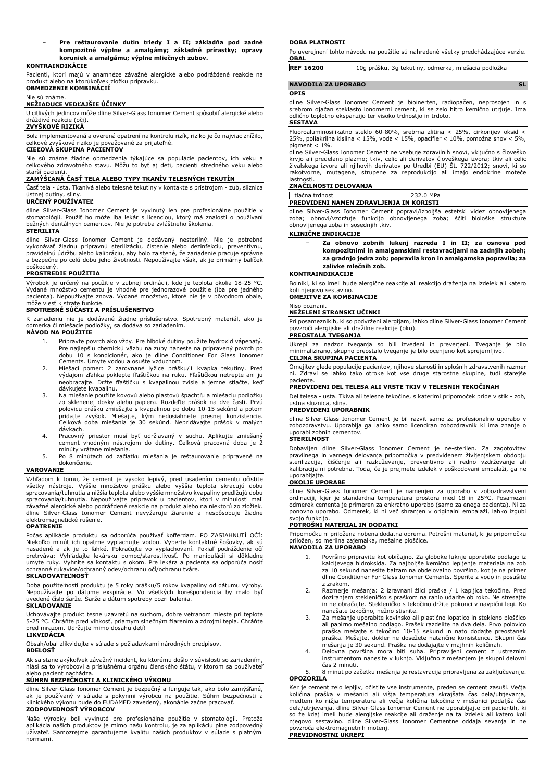− **Pre reštaurovanie dutín triedy I a II; základňa pod zadné kompozitné výplne a amalgámy; základné prírastky; opravy koruniek a amalgámu; výplne mliečnych zubov.**

### **KONTRAINDIKÁCIE**

Pacienti, ktorí majú v anamnéze závažné alergické alebo podráždené reakcie na produkt alebo na ktorúkoľvek zložku prípravku. **OBMEDZENIE KOMBINÁCIÍ**

### Nie sú známe. **NEŽIADUCE VEDĽAJŠIE ÚČINKY**

U citlivých jedincov môže dline Silver-Glass Ionomer Cement spôsobiť alergické alebo

### dráždivé reakcie (oči). **ZVYŠKOVÉ RIZIKÁ**

Bola implementovaná a overená opatrení na kontrolu rizík, riziko je čo najviac znížilo, celkové zvyškové riziko je považované za prijateľné.

### **CIEĽOVÁ SKUPINA PACIENTOV**

Nie sú známe žiadne obmedzenia týkajúce sa populácie pacientov, ich veku a celkového zdravotného stavu. Môžu to byť aj deti, pacienti stredného veku alebo

## starší pacienti. **ZAMÝŠĽANÁ ČASŤ TELA ALEBO TYPY TKANÍV TELESNÝCH TEKUTÍN**

Časť tela - ústa. Tkanivá alebo telesné tekutiny v kontakte s prístrojom - zub, sliznica ústnej dutiny, sliny.

### **URČENÝ POUŽÍVATEĽ**

dline Silver-Glass Ionomer Cement je vyvinutý len pre profesionálne použitie v stomatológii. Použiť ho môže iba lekár s licenciou, ktorý má znalosti o používaní bežných dentálnych cementov. Nie je potreba zvláštneho školenia.

### **STERILITA**

dline Silver-Glass Ionomer Cement je dodávaný nesterilný. Nie je potrebné vykonávať žiadnu prípravnú sterilizáciu, čistenie alebo dezinfekciu, preventívnu, pravidelnú údržbu alebo kalibráciu, aby bolo zaistené, že zariadenie pracuje správne a bezpečne po celú dobu jeho životnosti. Nepoužívajte však, ak je primárny balíček

## poškodený. **PROSTREDIE POUŽITIA**

Výrobok je určený na použitie v zubnej ordinácii, kde je teplota okolia 18-25 °C. Vydané množstvo cementu je vhodné pre jednorazové použitie (iba pre jedného pacienta). Nepoužívajte znova. Vydané množstvo, ktoré nie je v pôvodnom obale, môže viesť k strate funkcie.

### **SPOTREBNÉ SÚČASTI A PRÍSLUŠENSTVO**

K zariadeniu nie je dodávané žiadne príslušenstvo. Spotrebný materiál, ako je odmerka či miešacie podložky, sa dodáva so zariadením.

### **NÁVOD NA POUŽITIE**

- 1. Pripravte povrch ako vždy. Pre hlboké dutiny použite hydroxid vápenatý. Pre najlepšiu chemickú väzbu na zuby naneste na pripravený povrch po dobu 10 s kondicionér, ako je dline Conditioner For Glass Ionomer Cements. Umyte vodou a osušte vzduchom.
- 2. Miešací pomer: 2 zarovnané lyžice prášku/1 kvapka tekutiny. Pred výdajom zľahka poklepte fľaštičkou na ruku. Fľaštičkou netrepte ani ju neobracajte. Držte fľaštičku s kvapalinou zvisle a jemne stlačte, keď dávkujete kvapalinu.
- 3. Na miešanie použite kovovú alebo plastovú špachtľu a miešaciu podložku zo sklenenej dosky alebo papiera. Rozdeľte prášok na dve časti. Prvú polovicu prášku zmiešajte s kvapalinou po dobu 10-15 sekúnd a potom pridajte zvyšok. Miešajte, kým nedosiahnete presnej konzistencie. Celková doba miešania je 30 sekúnd. Nepridávajte prášok v malých dávkach.
- 4. Pracovný priestor musí byť udržiavaný v suchu. Aplikujte zmiešaný cement vhodným nástrojom do dutiny. Celková pracovná doba je 2
- minúty vrátane miešania. 5. Po 8 minútach od začiatku miešania je reštaurovanie pripravené na dokončenie.

### **VAROVANIE**

Vzhľadom k tomu, že cement je vysoko lepivý, pred usadením cementu očistite všetky nástroje. Vyššie množstvo prášku alebo vyššia teplota skracujú dobu spracovania/tuhnutia a nižšia teplota alebo vyššie množstvo kvapaliny predlžujú dobu spracovania/tuhnutia. Nepoužívajte prípravok u pacientov, ktorí v minulosti mali závažné alergické alebo podráždené reakcie na produkt alebo na niektorú zo zložiek. dline Silver-Glass Ionomer Cement nevyžaruje žiarenie a nespôsobuje žiadne elektromagnetické rušenie.

### **OPATRENIE**

Počas aplikácie produktu sa odporúča používať kofferdam. PO ZASIAHNUTÍ OČÍ: Niekoľko minút ich opatrne vyplachujte vodou. Vyberte kontaktné šošovky, ak sú nasadené a ak je to ľahké. Pokračujte vo vyplachovaní. Pokiaľ podráždenie očí pretrváva: Vyhľadajte lekársku pomoc/starostlivosť. Po manipulácii si dôkladne umyte ruky. Vyhnite sa kontaktu s okom. Pre lekára a pacienta sa odporúča nosiť ochranné rukavice/ochranný odev/ochranu očí/ochranu tváre.

### **SKLADOVATEĽNOSŤ**

Doba použiteľnosti produktu je 5 roky prášku/5 rokov kvapaliny od dátumu výroby. Nepoužívajte po dátume exspirácie. Vo všetkých korešpondencia by malo byť uvedené číslo šarže. Šarže a dátum spotreby pozri balenia.

## **SKLADOVANIE**

Uchovávajte produkt tesne uzavretú na suchom, dobre vetranom mieste pri teplote 5-25 °C. Chráňte pred vlhkosť, priamym slnečným žiarením a zdrojmi tepla. Chráňte pred mrazom. Udržujte mimo dosahu detí!

### **LIKVIDÁCIA**

Obsah/obal zlikvidujte v súlade s požiadavkami národných predpisov.

### **BDELOSŤ**

Ak sa stane akýkoľvek závažný incident, ku ktorému došlo v súvislosti so zariadením, hlási sa to výrobcovi a príslušnému orgánu členského štátu, v ktorom sa používateľ alebo pacient nachádza.

### **SÚHRN BEZPEČNOSTI A KLINICKÉHO VÝKONU**

dline Silver-Glass Ionomer Cement je bezpečný a funguje tak, ako bolo zamýšľané, ak je používaný v súlade s pokynmi výrobcu na použitie. Súhrn bezpečnosti a klinického výkonu bude do EUDAMED zavedený, akonáhle začne pracovať. **ZODPOVEDNOSŤ VÝROBCOV**

Naše výrobky boli vyvinuté pre profesionálne použitie v stomatológii. Pretože aplikácia našich produktov je mimo našu kontrolu, je za aplikáciu plne zodpovedný užívateľ. Samozrejme garantujeme kvalitu našich produktov v súlade s platnými normami.

### **DOBA PLATNOSTI**

Po uverejnení tohto návodu na použitie sú nahradené všetky predchádzajúce verzie. **OBAL**

| <b>REF 16200</b> | 10g prášku, 3g tekutiny, odmerka, miešacia podložka |  |
|------------------|-----------------------------------------------------|--|
|                  |                                                     |  |

### **NAVODILA ZA UPORABO** SL **OPIS**

dline Silver-Glass Ionomer Cement je bioinerten, radiopačen, neprosojen in s srebrom ojačan steklasto ionomerni cement, ki se zelo hitro kemično utrjuje. Ima odlično toplotno ekspanzijo ter visoko trdnostjo in trdoto. **SESTAVA**

Fluoroaluminosilikatno steklo 60-80%, srebrna zlitina < 25%, cirkonijev oksid < 25%, poliakrilna kislina < 15%, voda < 15%, opacifier < 10%, pomožna snov < 5%, pigment < 1%.

# dline Silver-Glass Ionomer Cement ne vsebuje zdravilnih snovi, vključno s človeško<br>krvjo ali predelano plazmo; tkiv, celic ali derivatov človeškega izvora; tkiv ali celic<br>živalskega izvora ali njihovih derivatov po Uredbi

## lastnosti. **ZNAČILNOSTI DELOVANJA**

| tlačna trdnost                                 | 232.0 MPa |
|------------------------------------------------|-----------|
| <b>PREDVIDENI NAMEN ZDRAVLJENJA IN KORISTI</b> |           |

dline Silver-Glass Ionomer Cement popravi/izboljša estetski videz obnovljenega zoba; obnovi/vzdržuje funkcijo obnovljenega zoba; ščiti biološke strukture obnovljenega zoba in sosednjih tkiv.

### **KLINIČNE INDIKACIJE**

− **Za obnovo zobnih lukenj razreda I in II; za osnova pod kompozitnimi in amalgamskimi restavracijami na zadnjih zobeh; za gradnjo jedra zob; popravila kron in amalgamska popravila; za zalivke mlečnih zob.**

### **KONTRAINDIKACIJE**

Bolniki, ki so imeli hude alergične reakcije ali reakcijo draženja na izdelek ali katero koli njegovo sestavino.

### **OMEJITVE ZA KOMBINACIJE**

### Niso poznani. **NEŽELENI STRANSKI UČINKI**

Pri posameznikih, ki so podvrženi alergijam, lahko dline Silver-Glass Ionomer Cement povzroči alergijske ali dražilne reakcije (oko).

## **PREOSTALA TVEGANJA**

Ukrepi za nadzor tveganja so bili izvedeni in preverjeni. Tveganje je bilo minimalizirano, skupno preostalo tveganje je bilo ocenjeno kot sprejemljivo. **CILJNA SKUPINA PACIENTA**

Omejitev glede populacije pacientov, njihove starosti in splošnih zdravstvenih razmer ni. Zdravi se lahko tako otroke kot vse druge starostne skupine, tudi starejše paciente.

### **PREDVIDENI DEL TELESA ALI VRSTE TKIV V TELESNIH TEKOČINAH**

Del telesa - usta. Tkiva ali telesne tekočine, s katerimi pripomoček pride v stik - zob, ustna sluznica, slina.

### **PREDVIDENI UPORABNIK**

dline Silver-Glass Ionomer Cement je bil razvit samo za profesionalno uporabo v zobozdravstvu. Uporablja ga lahko samo licenciran zobozdravnik ki ima znanje o uporabi zobnih cementov.

### **STERILNOST**

Dobavljen dline Silver-Glass Ionomer Cement je ne-sterilen. Za zagotovitev pravilnega in varnega delovanja pripomočka v predvidenem življenjskem obdobju sterilizacija, čiščenje ali razkuževanje, preventivno ali redno vzdrževanje ali kalibracija ni potrebna. Toda, če je prejmete izdelek v poškodovani embalaži, ga ne uporabljajte.

### **OKOLJE UPORABE**

dline Silver-Glass Ionomer Cement je namenjen za uporabo v zobozdravstveni ordinaciji, kjer je standardna temperatura prostora med 18 in 25°C. Posamezni odmerek cementa je primeren za enkratno uporabo (samo za enega pacienta). Ni za ponovno uporabo. Odmerek, ki ni več shranjen v originalni embalaži, lahko izgubi svojo funkcijo.

### **POTROŠNI MATERIAL IN DODATKI**

Pripomočku ni priložena nobena dodatna oprema. Potrošni material, ki je pripomočku priložen, so merilna zajemalka, mešalne ploščice. **NAVODILA ZA UPORABO**

## 1. Površino pripravite kot običajno. Za globoke luknje uporabite podlago iz kalcijevega hidroksida. Za najboljše kemično lepljenje materiala na zob za 10 sekund nanesite balzam na obdelovalno površino, kot je na primer dline Conditioner For Glass Ionomer Cements. Sperite z vodo in posušite

- z zrakom. 2. Razmerje mešanja: 2 izravnani žlici praška / 1 kapljica tekočine. Pred doziranjem stekleničko s praškom na rahlo udarite ob roko. Ne stresajte in ne obračajte. Stekleničko s tekočino držite pokonci v navpični legi. Ko
- nanašate tekočino, nežno stisnite. 3. Za mešanje uporabite kovinsko ali plastično lopatico in stekleno ploščico ali papirno mešalno podlago. Prašek razdelite na dva dela. Prvo polovico praška mešajte s tekočino 10-15 sekund in nato dodajte preostanek praška. Mešajte, dokler ne dosežete natančne konsistence. Skupni čas mešanja je 30 sekund. Praška ne dodajajte v majhnih količinah.
- 4. Delovna površina mora biti suha. Pripravljeni cement z ustreznim instrumentom nanesite v luknjo. Vključno z mešanjem je skupni delovni čas 2 minuti.
- 5. 8 minut po začetku mešanja je restavracija pripravljena za zaključevanje. **OPOZORILA**

Ker je cement zelo lepljiv, očistite vse instrumente, preden se cement zasuši. Večja količina praška v mešanici ali višja temperatura skrajšata čas dela/utrjevanja, medtem ko nižja temperatura ali večja količina tekočine v mešanici podaljša čas dela/utrjevanja. dline Silver-Glass Ionomer Cement ne uporabljajte pri pacientih, ki so že kdaj imeli hude alergijske reakcije ali draženje na ta izdelek ali katero koli njegovo sestavino. dline Silver-Glass Ionomer Cementne oddaja sevanja in ne povzroča elektromagnetnih motenj.

**PREVIDNOSTNI UKREPI**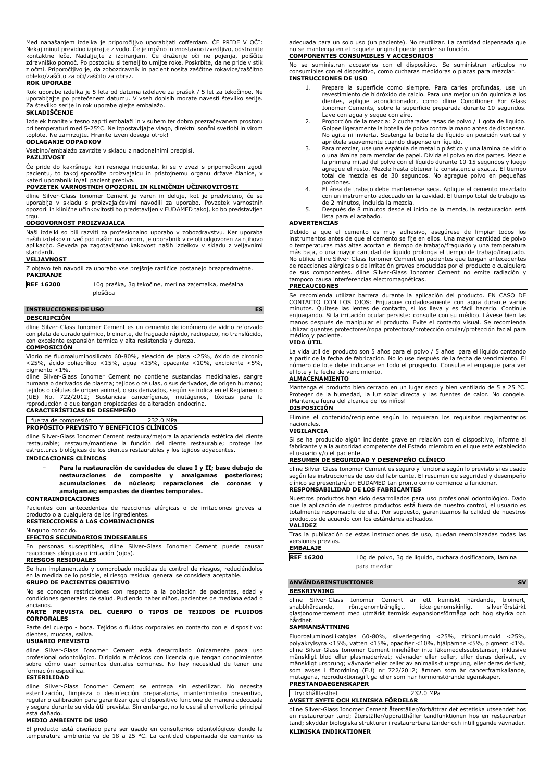Med nanašanjem izdelka je priporočljivo uporabljati cofferdam. ČE PRIDE V OČI: Nekaj minut previdno izpirajte z vodo. Če je možno in enostavno izvedljivo, odstranite<br>kontaktne leče. Nadaljujte z izpiranjem. Če draženje oči ne pojenja, poiščite<br>zdravniško pomoč. Po postopku si temeljito umij z očmi. Priporočljivo je, da zobozdravnik in pacient nosita zaščitne rokavice/zaščitno obleko/zaščito za oči/zaščito za obraz.

### **ROK UPORABE**

Rok uporabe izdelka je 5 leta od datuma izdelave za prašek / 5 let za tekočinoe. Ne uporabljajte po pretečenem datumu. V vseh dopisih morate navesti številko serije. Za številko serije in rok uporabe glejte embalažo.

### **SKLADIŠČENJE**

Izdelek hranite v tesno zaprti embalaži in v suhem ter dobro prezračevanem prostoru pri temperaturi med 5-25°C. Ne izpostavljajte vlago, direktni sončni svetlobi in virom toplote. Ne zamrzujte. Hranite izven dosega otrok!

### **ODLAGANJE ODPADKOV**

Vsebino/embalažo zavrzite v skladu z nacionalnimi predpisi.

### **PAZLJIVOST**

Če pride do kakršnega koli resnega incidenta, ki se v zvezi s pripomočkom zgodi pacientu, to takoj sporočite proizvajalcu in pristojnemu organu države članice, v kateri uporabnik in/ali pacient prebiva.

### **POVZETEK VARNOSTNIH OPOZORIL IN KLINIČNIH UČINKOVITOSTI**

dline Silver-Glass Ionomer Cement je varen in deluje, kot je predvideno, če se<br>uporablja v skladu s proizvajalčevimi navodili za uporabo. Povzetek varnostnih<br>opozoril in klinične učinkovitosti bo predstavljen v EUDAMED tak trau.

### **ODGOVORNOST PROIZVAJALCA**

Naši izdelki so bili razviti za profesionalno uporabo v zobozdravstvu. Ker uporaba naših izdelkov ni več pod našim nadzorom, je uporabnik v celoti odgovoren za njihovo aplikacijo. Seveda pa zagotavljamo kakovost naših izdelkov v skladu z veljavnimi standardi.

### **VELJAVNOST**

Z objavo teh navodil za uporabo vse prejšnje različice postanejo brezpredmetne. **PAKIRANJE**

**REF 16200** 10g praška, 3g tekočine, merilna zajemalka, mešalna ploščica

### **INSTRUCCIONES DE USO ES**

### **DESCRIPCIÓN**

dline Silver-Glass Ionomer Cement es un cemento de ionómero de vidrio reforzado con plata de curado químico, bioinerte, de fraguado rápido, radiopaco, no translúcido, con excelente expansión térmica y alta resistencia y dureza.

### **COMPOSICIÓN**

Vidrio de fluoroaluminosilicato 60-80%, aleación de plata <25%, óxido de circonio <25%, ácido poliacrílico <15%, agua <15%, opacante <10%, excipiente <5%, pigmento <1%.

dline Silver-Glass Ionomer Cement no contiene sustancias medicinales, sangre<br>humana o derivados de plasma; tejidos o células, o sus derivados, de origen humano;<br>tejidos o células de origen animal, o sus derivados, según se (UE) No. 722/2012; Sustancias cancerígenas, mutágenos, tóxicas para la reproducción o que tengan propiedades de alteración endocrina.

## **CARACTERÍSTICAS DE DESEMPEÑO**

## fuerza de compresión 232.0 MPa

**PROPÓSITO PREVISTO Y BENEFICIOS CLÍNICOS**

dline Silver-Glass Ionomer Cement restaura/mejora la apariencia estética del diente restaurable; restaura/mantiene la función del diente restaurable; protege las estructuras biológicas de los dientes restaurables y los tejidos adyacentes.

### **INDICACIONES CLÍNICAS**

− **Para la restauración de cavidades de clase I y II; base debajo de restauraciones de composite y amalgamas posteriores; acumulaciones de núcleos; reparaciones de coronas y amalgamas; empastes de dientes temporales.**

### **CONTRAINDICACIONES**

Pacientes con antecedentes de reacciones alérgicas o de irritaciones graves al producto o a cualquiera de los ingredientes.

**RESTRICCIONES A LAS COMBINACIONES**

### Ninguno conocido.

**EFECTOS SECUNDARIOS INDESEABLES**

En personas susceptibles, dline Silver-Glass Ionomer Cement puede causar reacciones alérgicas o irritación (ojos). **RIESGOS RESIDUALES**

Se han implementado y comprobado medidas de control de riesgos, reduciéndolos en la medida de lo posible, el riesgo residual general se considera aceptable.

### **GRUPO DE PACIENTES OBJETIVO**

No se conocen restricciones con respecto a la población de pacientes, edad y condiciones generales de salud. Pudiendo haber niños, pacientes de mediana edad o ancianos.

### **PARTE PREVISTA DEL CUERPO O TIPOS DE TEJIDOS DE FLUIDOS CORPORALES**

Parte del cuerpo - boca. Tejidos o fluidos corporales en contacto con el dispositivo: dientes, mucosa, saliva.

### **USUARIO PREVISTO**

dline Silver-Glass Ionomer Cement está desarrollado únicamente para uso profesional odontológico. Dirigido a médicos con licencia que tengan conocimientos sobre cómo usar cementos dentales comunes. No hay necesidad de tener una formación específica.

### **ESTERILIDAD**

dline Silver-Glass Ionomer Cement se entrega sin esterilizar. No necesita<br>esterliización, limpieza o desinfección preparatoria, mantenimiento preventivo,<br>regularocalibración-para-garantizar-que-el-dispositivo-funcione-de-m y segura durante su vida útil prevista. Sin embargo, no lo use si el envoltorio principal está dañado.

### **MEDIO AMBIENTE DE USO**

El producto está diseñado para ser usado en consultorios odontológicos donde la temperatura ambiente va de 18 a 25 °C. La cantidad dispensada de cemento es adecuada para un solo uso (un paciente). No reutilizar. La cantidad dispensada que no se mantenga en el paquete original puede perder su función. **COMPONENTES CONSUMIBLES Y ACCESORIOS**

No se suministran accesorios con el dispositivo. Se suministran artículos no consumibles con el dispositivo, como cucharas medidoras o placas para mezclar. **INSTRUCCIONES DE USO**

- 1. Prepare la superficie como siempre. Para caries profundas, use un revestimiento de hidróxido de calcio. Para una mejor unión química a los dientes, aplique acondicionador, como dline Conditioner For Glass Ionomer Cements, sobre la superficie preparada durante 10 segundos. Lave con agua y seque con aire.
- 2. Proporción de la mezcla: 2 cucharadas rasas de polvo / 1 gota de líquido. Golpee ligeramente la botella de polvo contra la mano antes de dispensar. No agite ni invierta. Sostenga la botella de líquido en posición vertical y apriétela suavemente cuando dispense un líquido.
- 3. Para mezclar, use una espátula de metal o plástico y una lámina de vidrio o una lámina para mezclar de papel. Divida el polvo en dos partes. Mezcle la primera mitad del polvo con el líquido durante 10-15 segundos y luego agregue el resto. Mezcle hasta obtener la consistencia exacta. El tiempo total de mezcla es de 30 segundos. No agregue polvo en pequeñas porciones.
- 4. El área de trabajo debe mantenerse seca. Aplique el cemento mezclado con un instrumento adecuado en la cavidad. El tiempo total de trabajo es de 2 minutos, incluida la mezcla.
- 5. Después de 8 minutos desde el inicio de la mezcla, la restauración está lista para el acabado.

### **ADVERTENCIAS**

Debido a que el cemento es muy adhesivo, asegúrese de limpiar todos los<br>instrumentos antes de que el cemento se fije en ellos. Una mayor cantidad de polvo<br>o temperaturas más altas acortan el tiempo de trabajo/fraguado y un No utilice dline Silver-Glass Ionomer Cement en pacientes que tengan antecedentes de reacciones alérgicas o de irritación graves producidas por el producto o cualquiera de sus componentes. dline Silver-Glass Ionomer Cement no emite radiación y tampoco causa interferencias electromagnéticas.

### **PRECAUCIONES**

Se recomienda utilizar barrera durante la aplicación del producto. EN CASO DE CONTACTO CON LOS OJOS: Enjuague cuidadosamente con agua durante varios minutos. Quitese las lentes de contacto, si los lleva y es fácil hacerlo. Continúe<br>enjuagando. Si la irritación ocular persiste: consulte con su médico. Lávese bien las<br>manos después de manipular el producto. Evite el cont utilizar guantes protectores/ropa protectora/protección ocular/protección facial para médico y paciente.

### **VIDA ÚTIL**

La vida útil del producto son 5 años para el polvo / 5 años para el liquido contando<br>a partir de la fecha de fabricación. No lo use después de la fecha de vencimiento. El<br>número de lote debe indicarse en todo el prospecto el lote y la fecha de vencimiento.

### **ALMACENAMIENTO**

Mantenga el producto bien cerrado en un lugar seco y bien ventilado de 5 a 25 °C. Proteger de la humedad, la luz solar directa y las fuentes de calor. No congele. ¡Mantenga fuera del alcance de los niños!

### **DISPOSICIÓN**

Elimine el contenido/recipiente según lo requieran los requisitos reglamentarios nacionales. **VIGILANCIA**

Si se ha producido algún incidente grave en relación con el dispositivo, informe al fabricante y a la autoridad competente del Estado miembro en el que esté establecido el usuario y/o el paciente.

### **RESUMEN DE SEGURIDAD Y DESEMPEÑO CLÍNICO**

dline Silver-Glass Ionomer Cement es seguro y funciona según lo previsto si es usado<br>según las instrucciones de uso del fabricante. El resumen de seguridad y desempeño<br>clínico se presentará en EUDAMED tan pronto como comie **RESPONSABILIDAD DE LOS FABRICANTES**

Nuestros productos han sido desarrollados para uso profesional odontológico. Dado que la aplicación de nuestros productos está fuera de nuestro control, el usuario es totalmente responsable de ella. Por supuesto, garantizamos la calidad de nuestros productos de acuerdo con los estándares aplicados. **VALIDEZ**

Tras la publicación de estas instrucciones de uso, quedan reemplazadas todas las versiones previas. **EMBALAJE**

- **REF 16200** 10g de polvo, 3g de líquido, cuchara dosificadora, lámina para mezclar
- **ANVÄNDARINSTUKTIONER SV**

### **BESKRIVNING**

dline Silver-Glass Ionomer Cement är ett kemiskt härdande, bioinert,<br>snabbhärdande, röntgenomträngligt, icke-genomskinligt silverförstärkt röntgenomträngligt, icke-genomskinligt silverförstärkt glasjonomercement med utmärkt termisk expansionsförmåga och hög styrka och hårdhet.

### **SAMMANSÄTTNING**

Fluoroaluminosilikatglas 60-80%, silverlegering <25%, zirkoniumoxid <25%,<br>polyakrylsyra <15%, vatten <15%, opacifier <10%, hjälpämne <5%, pigment <1%.<br>dline Silver-Glass Ionomer Cement innehåller inte läkemedelssubstanser, mänskligt ursprung; vävnader eller celler av animaliskt ursprung, eller deras derivat,<br>som avses i förordning (EU) nr 722/2012; ämnen som är cancerframkallande,<br>mutagena, reproduktionsgiftiga eller som har hormons

| tryckhållfasthet                         | MPa<br>232.0 |  |  |
|------------------------------------------|--------------|--|--|
| --<br>AVSETT SYFTE OCH KLINISKA FÖRDELAR |              |  |  |

dline Silver-Glass Ionomer Cement återställer/förbättrar det estetiska utseendet hos en restaurerbar tand; återställer/upprätthåller tandfunktionen hos en restaurerbar tand; skyddar biologiska strukturer i restaurerbara tänder och intilliggande vävnader. **KLINISKA INDIKATIONER**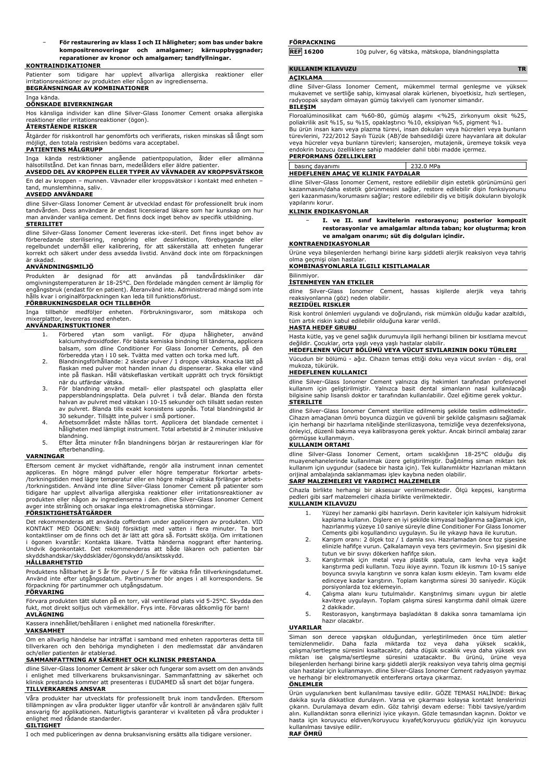− **För restaurering av klass I och II håligheter; som bas under bakre kompositrenoveringar och amalgamer; kärnuppbyggnader; reparationer av kronor och amalgamer; tandfyllningar.**

### **KONTRAINDIKATIONER**

Patienter som tidigare har upplevt allvarliga allergiska reaktioner eller irritationsreaktioner av produkten eller någon av ingredienserna. **BEGRÄNSNINGAR AV KOMBINATIONER**

### Inga kända. **OÖNSKADE BIVERKNINGAR**

Hos känsliga individer kan dline Silver-Glass Ionomer Cement orsaka allergiska reaktioner eller irritationsreaktioner (ögon).

### **ÅTERSTÅENDE RISKER**

Åtgärder för riskkontroll har genomförts och verifierats, risken minskas så långt som möjligt, den totala restrisken bedöms vara acceptabel.

### **PATIENTENS MÅLGRUPP**

Inga kända restriktioner angående patientpopulation, ålder eller allmänna hälsotillstånd. Det kan finnas barn, medelålders eller äldre patienter.

**AVSEDD DEL AV KROPPEN ELLER TYPER AV VÄVNADER AV KROPPSVÄTSKOR** En del av kroppen – munnen. Vävnader eller kroppsvätskor i kontakt med enheten –

## tand, munslemhinna, saliv.

**AVSEDD ANVÄNDARE**

dline Silver-Glass Ionomer Cement är utvecklad endast för professionellt bruk inom tandvården. Dess användare är endast licensierad läkare som har kunskap om hur man använder vanliga cement. Det finns dock inget behov av specifik utbildning.

### **STERILITET**

dline Silver-Glass Ionomer Cement levereras icke-steril. Det finns inget behov av förberedande sterilisering, rengöring eller desinfektion, förebyggande eller<br>regelbundet underhåll eller kalibrering, för att säkerställa att enheten fungerar<br>korrekt-och-säkert-under-dess-avsedda-livstid.-Använd-dock-inte är skadad.

### **ANVÄNDNINGSMILJÖ**

Produkten är designad för att användas på tandvärdskliniker där<br>omgivningstemperaturenär18-25°C.Denfördelade mängdencementär lämplig för<br>engångsbruk (endast för en patient). Återanvänd inte. Administrerad mängd som inte hålls kvar i originalförpackningen kan leda till funktionsförlust.

### **FÖRBRUKNINGSDELAR OCH TILLBEHÖR**

Inga tillbehör medföljer enheten. Förbrukningsvaror, som mätskopa och mixerplattor, levereras med enheten.

### **ANVÄNDARINSTUKTIONER**

- 1. Förbered ytan som vanligt. För djupa håligheter, använd kalciumhydroxidfoder. För bästa kemiska bindning till tänderna, applicera balsam, som dline Conditioner For Glass Ionomer Cements, på den
- förberedda ytan i 10 sek. Tvätta med vatten och torka med luft. 2. Blandningsförhållande: 2 skedar pulver / 1 droppe vätska. Knacka lätt på flaskan med pulver mot handen innan du dispenserar. Skaka eller vänd inte på flaskan. Håll vätskeflaskan vertikalt upprätt och tryck försiktigt
- när du utfärdar vätska. 3. För blandning använd metall- eller plastspatel och glasplatta eller pappersblandningsplatta. Dela pulvret i två delar. Blanda den första halvan av pulvret med vätskan i 10-15 sekunder och tillsätt sedan resten av pulvret. Blanda tills exakt konsistens uppnås. Total blandningstid är
- 30 sekunder. Tillsätt inte pulver i små portioner. 4. Arbetsområdet måste hållas torrt. Applicera det blandade cementet i håligheten med lämpligt instrument. Total arbetstid är 2 minuter inklusive blandning. 5. Efter åtta minuter från blandningens början är restaureringen klar för
- efterbehandling.

### **VARNINGAR**

Eftersom cement är mycket vidhäftande, rengör alla instrument innan cementet<br>appliceras. En högre mängd pulver eller högre temperatur förkortar arbets-<br>/torkningstiden medlägre-temperatur-eller-en-högre mängd-vätska-förlän /torkningstiden. Använd inte dline Silver-Glass Ionomer Cement på patienter som tidigare har upplevt allvarliga allergiska reaktioner eller irritationsreaktioner av produkten eller någon av ingredienserna i den. dline Silver-Glass Ionomer Cement avger inte strålning och orsakar inga elektromagnetiska störningar. **FÖRSIKTIGHETSÅTGÄRDER**

Det rekommenderas att använda cofferdam under appliceringen av produkten. VID KONTAKT MED ÖGONEN: Skölj försiktigt med vatten i flera minuter. Ta bort kontaktlinser om de finns och det är lätt att göra så. Fortsätt skölja. Om irritationen i ögonen kvarstår: Kontakta läkare. Tvätta händerna noggrant efter hantering. Undvik ögonkontakt. Det rekommenderas att både läkaren och patienten bär skyddshandskar/skyddskläder/ögonskydd/ansiktsskydd.

### **HÅLLBARHETSTID**

Produktens hållbarhet är 5 år för pulver / 5 år för vätska från tillverkningsdatumet. Använd inte efter utgångsdatum. Partinummer bör anges i all korrespondens. Se förpackning för partinummer och utgångsdatum. **FÖRVARING**

## Förvara produkten tätt sluten på en torr, väl ventilerad plats vid 5-25°C. Skydda den fukt, mot direkt solljus och värmekällor. Frys inte. Förvaras oåtkomlig för barn!

**AVLÄGNING**

## Kassera innehållet/behållaren i enlighet med nationella föreskrifter.

**VAKSAMHET** Om en allvarlig händelse har inträffat i samband med enheten rapporteras detta till tillverkaren och den behöriga myndigheten i den medlemsstat där användaren och/eller patienten är etablerad.

## **SAMMANFATTNING AV SÄKERHET OCH KLINISK PRESTANDA**

dline Silver-Glass Ionomer Cement är säker och fungerar som avsett om den används i enlighet med tillverkarens bruksanvisningar. Sammanfattning av säkerhet och klinisk prestanda kommer att presenteras i EUDAMED så snart det böjar fungera. **TILLVERKARENS ANSVAR**

Våra produkter har utvecklats för professionellt bruk inom tandvården. Eftersom tillämpningen av våra produkter ligger utanför vår kontroll är användaren själv fullt ansvarig för applikationen. Naturligtvis garanterar vi kvaliteten på våra produkter i enlighet med rådande standarder. **GILTIGHET**

I och med publiceringen av denna bruksanvisning ersätts alla tidigare versioner.

### **FÖRPACKNING**

**REF 16200** 10g pulver, 6g vätska, mätskopa, blandningsplatta

## **KULLANIM KILAVUZU TR**

### **AÇIKLAMA**

dline Silver-Glass Ionomer Cement, mükemmel termal genleşme ve yüksek mukavemet ve sertliğe sahip, kimyasal olarak kürlenen, biyoetkisiz, hızlı sertleşen, radyoopak saydam olmayan gümüş takviyeli cam iyonomer simandır.

### **BILEŞIM**

Floroalüminosilikat cam %60-80, gümüş alaşımı <%25, zirkonyum oksit %25, poliakrilik asit %15, su %15, opaklaştırıcı %10, eksipiyan %5, pigment %1. Bu ürün insan kanı veya plazma türevi, insan dokuları veya hücreleri veya bunların türevlerini, 722/2012 Sayılı Tüzük (AB)'de bahsedildiği üzere hayvanlara ait dokular veya hücreler veya bunların türevleri; kanserojen, mutajenik, üremeye toksik veya endokrin bozucu özelliklere sahip maddeler dahil tıbbi madde içermez.

### **PERFORMANS ÖZELLIKLERI**

 $232.0$  MPa **HEDEFLENEN AMAÇ VE KLINIK FAYDALAR**

dline Silver-Glass Ionomer Cement, restore edilebilir dişin estetik görünümünü geri kazanmasını/daha estetik görünmesini sağlar, restore edilebilir dişin fonksiyonunu geri kazanmasını/korumasını sağlar; restore edilebilir diş ve bitişik dokuların biyolojik yapılarını korur.

### **KLINIK ENDIKASYONLAR**

− **I. ve II. sınıf kavitelerin restorasyonu; posterior kompozit restorasyonlar ve amalgamlar altında taban; kor oluşturma; kron ve amalgam onarımı; süt diş dolguları içindir.**

### **KONTRAENDIKASYONLAR**

Ürüne veya bileşenlerden herhangi birine karşı şiddetli alerjik reaksiyon veya tahriş olma geçmişi olan hastalar.

### **KOMBINASYONLARLA ILGILI KISITLAMALAR** Bilinmiyor.

## **İSTENMEYEN YAN ETKILER**

dline Silver-Glass Ionomer Cement, hassas kişilerde alerjik veya tahriş reaksiyonlarına (göz) neden olabilir.

## **REZIDÜEL RISKLER**

Risk kontrol önlemleri uygulandı ve doğrulandı, risk mümkün olduğu kadar azaltıldı, tüm artık riskin kabul edilebilir olduğuna karar verildi.

### **HASTA HEDEF GRUBU**

Hasta kütle, yaş ve genel sağlık durumuyla ilgili herhangi bilinen bir kısıtlama mevcut değildir. Çocuklar, orta yaşlı veya yaşlı hastalar olabilir. **HEDEFLENEN VÜCUT BÖLÜMÜ VEYA VÜCUT SIVILARININ DOKU TÜRLERI**

Vücudun bir bölümü - ağız. Cihazın temas ettiği doku veya vücut sıvıları - diş, oral mukoza, tükürük.

### **HEDEFLENEN KULLANICI**

dline Silver-Glass Ionomer Cement yalnızca diş hekimleri tarafından profesyonel kullanım için geliştirilmiştir. Yalnızca basit dental simanların nasıl kullanılacağı bilgisine sahip lisanslı doktor er tarafından kullanılabilir. Özel eğitime gerek yoktur. **STERILITE**

dline Silver-Glass Ionomer Cement sterilize edilmemiş şekilde teslim edilmektedir. Cihazın amaçlanan ömrü boyunca düzgün ve güvenli bir şekilde çalışmasını sağlamak için herhangi bir hazırlama niteliğinde sterilizasyona, temizliğe veya dezenfeksiyona, önleyici, düzenli bakıma veya kalibrasyona gerek yoktur. Ancak birincil ambalaj zarar görmüşse kullanmayın.

### **KULLANIM ORTAMI**

dline Silver-Glass Ionomer Cement, ortam sıcaklığının 18-25°C olduğu diş muayenehanelerinde kullanılmak üzere geliştirilmiştir. Dağıtılmış siman miktarı tek kullanım için uygundur (sadece bir hasta için). Tek kullanımlıktır Hazırlanan miktarın orijinal ambalajında saklanmaması işlev kaybına neden olabilir. **SARF MALZEMELERI VE YARDIMCI MALZEMELER**

Cihazla birlikte herhangi bir aksesuar verilmemektedir. Ölçü kepçesi, karıştırma pedleri gibi sarf malzemeleri cihazla birlikte verilmektedir. **KULLANIM KILAVUZU**

- 1. Yüzeyi her zamanki gibi hazırlayın. Derin kaviteler için kalsiyum hidroksit kaplama kullanın. Dişlere en iyi şekilde kimyasal bağlanma sağlamak için, hazırlanmış yüzeye 10 saniye süreyle dline Conditioner For Glass Ionomer
- Cements gibi koşullandırıcı uygulayın. Su ile yıkayıp hava ile kurutun. 2. Karışım oranı: 2 ölçek toz / 1 damla sıvı. Hazırlamadan önce toz şişesine elinizle hafifçe vurun. Çalkalamayın veya ters çevirmeyin. Sıvı şişesini dik
- tutun ve bir sıvıyı dökerken hafifçe sıkın. 3. Karıştırmak için metal veya plastik spatula, cam levha veya kağıt karıştırma pedi kullanın. Tozu ikiye ayırın. Tozun ilk kısmını 10-15 saniye boyunca sıvıyla karıştırın ve sonra kalan kısmı ekleyin. Tam kıvamı elde edinceye kadar karıştırın. Toplam karıştırma süresi 30 saniyedir. Küçük porsiyonlarda toz eklemeyin.
- 4. Çalışma alanı kuru tutulmalıdır. Karıştırılmış simanı uygun bir aletle kaviteye uygulayın. Toplam çalışma süresi karıştırma dahil olmak üzere 2 dakikadır.
- 5. Restorasyon, karıştırmaya başladıktan 8 dakika sonra tamamlama için hazır olacaktır. **UYARILAR**

## Siman son derece yapışkan olduğundan, yerleştirilmeden önce tüm aletler<br>temizlenmelidir. Daha fazla miktarda toz veya daha yüksek sıcaklık,<br>çalışma/sertleşme-süresini-kısaltacaktır, daha düşük sıcaklık veya daha yüksek sıv miktarı ise çalışma/sertleşme süresini uzatacaktır. Bu ürünü, ürüne veya bileşenlerden herhangi birine karşı şiddetli alerjik reaksiyon veya tahriş olma geçmişi olan hastalar için kullanmayın. dline Silver-Glass Ionomer Cement radyasyon yaymaz ve herhangi bir elektromanyetik enterferans ortaya çıkarmaz.

### **ÖNLEMLER**

Ürün uygulanırken bent kullanılması tavsiye edilir. GÖZE TEMASI HALİNDE: Birkaç dakika suyla dikkatlice durulayın. Varsa ve çıkarması kolaysa kontakt lenslerinizi çıkarın. Durulamaya devam edin. Göz tahrişi devam ederse: Tıbbi tavsiye/yardım alın. Kullandıktan sonra ellerinizi iyice yıkayın. Gözle temasından kaçının. Doktor ve hasta için koruyucu eldiven/koruyucu kıyafet/koruyucu gözlük/yüz için koruyucu kullanılması tavsiye edilir. **RAF ÖMRÜ**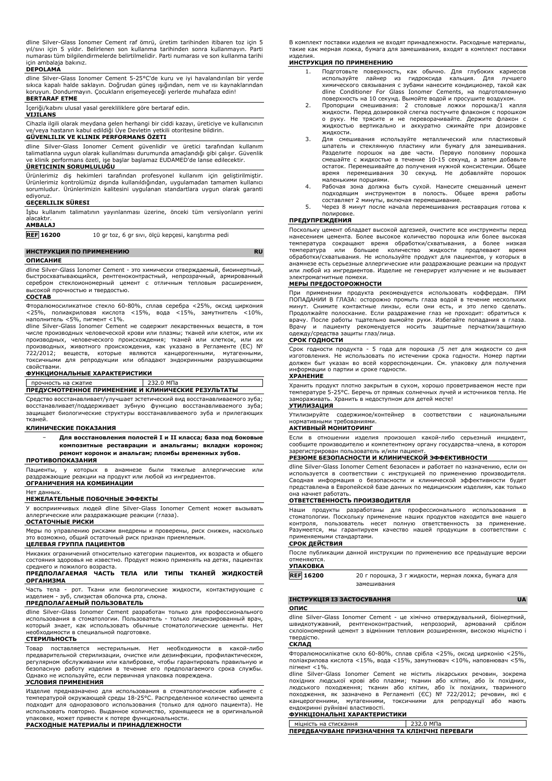dline Silver-Glass Ionomer Cement raf ömrü, üretim tarihinden itibaren toz için 5 yıl/sıvı için 5 yıldır. Belirlenen son kullanma tarihinden sonra kullanmayın. Parti numarası tüm bilgilendirmelerde belirtilmelidir. Parti numarası ve son kullanma tarihi için ambalaja bakınız.

### **DEPOLAMA**

dline Silver-Glass Ionomer Cement 5-25°C'de kuru ve iyi havalandırılan bir yerde sıkıca kapalı halde saklayın. Doğrudan güneş ışığından, nem ve ısı kaynaklarından koruyun. Dondurmayın. Çocukların erişemeyeceği yerlerde muhafaza edin! **BERTARAF ETME**

İçeriği/kabını ulusal yasal gerekliliklere göre bertaraf edin.

**VIJILANS**

Cihazla ilgili olarak meydana gelen herhangi bir ciddi kazayı, üreticiye ve kullanıcının ve/veya hastanın kabul edildiği Üye Devletin yetkili otoritesine bildirin. **GÜVENLILIK VE KLINIK PERFORMANS ÖZETI**

dline Silver-Glass Ionomer Cement güvenlidir ve üretici tarafından kullanım talimatlarına uygun olarak kullanılması durumunda amaçlandığı gibi çalışır. Güvenlik ve klinik performans özeti, işe başlar başlamaz EUDAMED'de lanse edilecektir.

## **ÜRETICININ SORUMLULUĞU**

Urünlerimiz diş hekimleri tarafından profesyonel kullanım için geliştirilmiştir.<br>Ürünlerimiz kontrolümüz dışında kullanıldığından, uygulamadan tamamen kullanıcı<br>sorumludur. Ürünlerimizin kalitesini uygulanan standartlara u ediyoruz.

## **GEÇERLILIK SÜRESI**

|            |                | İşbu kullanım talimatının yayınlanması üzerine, önceki tüm versiyonların yerini |  |  |  |
|------------|----------------|---------------------------------------------------------------------------------|--|--|--|
| alacaktır. |                |                                                                                 |  |  |  |
|            | <b>AMBALAJ</b> |                                                                                 |  |  |  |

**REF 16200** 10 gr toz, 6 gr sıvı, ölçü kepçesi, karıştırma pedi

### **ИНСТРУКЦИЯ ПО ПРИМЕНЕНИЮ RU**

### **ОПИСАНИЕ**

dline Silver-Glass Ionomer Cement - это химически отверждаемый, биоинертный быстросхватывающийся, рентгеноконтрастный, непрозрачный, армированный серебром стеклоиономерный цемент с отличным тепловым расширением, высокой прочностью и твердостью.

### **СОСТАВ**

Фторалюмосиликатное стекло 60-80%, сплав серебра <25%, оксид циркония <25%, полиакриловая кислота <15%, вода <15%, замутнитель <10%, наполнитель <5%, пигмент <1%.

dline Silver-Glass Ionomer Cement не содержит лекарственных веществ, в том числе производных человеческой крови или плазмы; тканей или клеток, или их производных, человеческого происхождения; тканей или клеткок, или их производных, животного происхождения, как указано в Регламенте (ЕС) № 722/2012; веществ, которые являются канцерогенными, мутагенными, токсичными для репродукции или обладают эндокринными разрушающими свойствами.

### **ФУНКЦИОНАЛЬНЫЕ ХАРАКТЕРИСТИКИ**

### прочность на сжатие | 232.0 МПа

## **ПРЕДУСМОТРЕННОЕ ПРИМЕНЕНИЕ И КЛИНИЧЕСКИЕ РЕЗУЛЬТАТЫ**

Средство восстанавливает/улучшает эстетический вид восстанавливаемого зуба; восстанавливает/поддерживает зубную функцию восстанавливаемого зуба; защищает биологические структуры восстанавливаемого зуба и прилегающих тканей.

### **КЛИНИЧЕСКИЕ ПОКАЗАНИЯ**

− **Для восстановления полостей I и II класса; база под боковые композитные реставрации и амальгамы; вкладки коронок; ремонт коронок и амальгам; пломбы временных зубов.**

### **ПРОТИВОПОКАЗАНИЯ**

Пациенты, у которых в анамнезе были тяжелые аллергические или раздражающие реакции на продукт или любой из ингредиентов. **ОГРАНИЧЕНИЯ НА КОМБИНАЦИИ**

### Нет данных.

### **НЕЖЕЛАТЕЛЬНЫЕ ПОБОЧНЫЕ ЭФФЕКТЫ**

У восприимчивых людей dline Silver-Glass Ionomer Cement может вызывать аллергические или раздражающие реакции (глаза).

### **ОСТАТОЧНЫЕ РИСКИ**

Меры по управлению рисками внедрены и проверены, риск снижен, насколько это возможно, общий остаточный риск признан приемлемым. **ЦЕЛЕВАЯ ГРУППА ПАЦИЕНТОВ**

## Никаких ограничений относительно категории пациентов, их возраста и общего состояния здоровья не известно. Продукт можно применять на детях, пациентах

среднего и пожилого возраста. **ПРЕДПОЛАГАЕМАЯ ЧАСТЬ ТЕЛА ИЛИ ТИПЫ ТКАНЕЙ ЖИДКОСТЕЙ ОРГАНИЗМА**

Часть тела - рот. Ткани или биологические жидкости, контактирующие с изделием - зуб, слизистая оболочка рта, слюна.

### **ПРЕДПОЛАГАЕМЫЙ ПОЛЬЗОВАТЕЛЬ**

dline Silver-Glass Ionomer Cement разработан только для профессионального использования в стоматологии. Пользователь - только лицензированный врач, который знает, как использовать обычные стоматологические цементы. Нет необходимости в специальной подготовке.

### **СТЕРИЛЬНОСТЬ**

Товар поставляется нестерильным. Нет необходимости в какой-либо предварительной стерилизации, очистке или дезинфекции, профилактическом, регулярном обслуживании или калибровке, чтобы гарантировать правильную и безопасную работу изделия в течение его предполагаемого срока службы. Однако не используйте, если первичная упаковка повреждена.

### **УСЛОВИЯ ПРИМЕНЕНИЯ**

Изделие предназначено для использования в стоматологическом кабинете с температурой окружающей среды 18-25°C. Распределенное количество цемента подходит для одноразового использования (только для одного пациента). Не использовать повторно. Выданное количество, хранящееся не в оригинальной упаковке, может привести к потере функциональности. **РАСХОДНЫЕ МАТЕРИАЛЫ И ПРИНАДЛЕЖНОСТИ**

В комплект поставки изделия не входят принадлежности. Расходные материалы, такие как мерная ложка, бумага для замешивания, входят в комплект поставки изделия.

### **ИНСТРУКЦИЯ ПО ПРИМЕНЕНИЮ**

- 1. Подготовьте поверхность, как обычно. Для глубоких кариесов используйте лайнер из гидроксида кальция. Для лучшего химического связывания с зубами нанесите кондиционер, такой как dline Conditioner For Glass Ionomer Cements, на подготовленную поверхность на 10 секунд. Вымойте водой и просушите воздухом.
- 2. Пропорции смешивания: 2 столовые ложки порошка/1 капля<br>жидкости.Перед дозировкой слегка постучите флаконом с порошком<br>о руку. Не трясите и не переворачивайте. Держите флакон с жидкостью вертикально и аккуратно сжимайте при дозировке жидкости.
- 3. Для смешивания используйте металлический или пластиковый шпатель и стеклянную пластину или бумагу для замешивания. Разделите порошок на две части. Первую половину порошка смешайте с жидкостью в течение 10-15 секунд, а затем добавьте остаток. Перемешивайте до получения нужной консистенции. Общее время перемешивания 30 секунд. Не добавляйте порошок маленькими порциями.
- 4. Рабочая зона должна быть сухой. Нанесите смешанный цемент подходящим инструментом в полость. Общее время работы составляет 2 минуты, включая перемешивание.
- 5. Через 8 минут после начала перемешивания реставрация готова к полировке.

### **ПРЕДУПРЕЖДЕНИЯ**

Поскольку цемент обладает высокой адгезией, очистите все инструменты перед нанесением цемента. Более высокое количество порошка или более высокая температура сокращают время обработки/схватывания, а более низкая температура или большее количество жидкости продлевают время обработки/схватывания. Не используйте продукт для пациентов, у которых в анамнезе есть серьезные аллергические или раздражающие реакции на продукт или любой из ингредиентов. Изделие не генерирует излучение и не вызывает электромагнитные помехи.

### **МЕРЫ ПРЕДОСТОРОЖНОСТИ**

При применении продукта рекомендуется использовать коффердам. ПРИ ПОПАДАНИИ В ГЛАЗА: осторожно промыть глаза водой в течение нескольких минут. Снимите контактные линзы, если они есть, и это легко сделать. Продолжайте полоскание. Если раздражение глаз не проходит: обратиться к врачу. После работы тщательно вымойте руки. Избегайте попадания в глаза. и пациенту рекомендуется носить защитные перчатки/защитную одежду/средства защиты глаз/лица.

### **СРОК ГОДНОСТИ**

Срок годности продукта - 5 года для порошка /5 лет для жидкости со дня изготовления. Не использовать по истечении срока годности. Номер партии должен быт указан во всей корреспонденции. См. упаковку для получения информации о партии и сроке годности.

## **ХРАНЕНИЕ**

Хранить продукт плотно закрытым в сухом, хорошо проветриваемом месте при температуре 5-25°C. Беречь от прямых солнечных лучей и источников тепла. Не замораживать. Хранить в недоступном для детей месте!

### **УТИЛИЗАЦИЯ**

Утилизируйте содержимое/контейнер в соответствии с национальными нормативными требованиями.

### **АКТИВНЫЙ МОНИТОРИНГ**

Если в отношении изделия произошел какой-либо серьезный инцидент, сообщите производителю и компетентному органу государства-члена, в котором зарегистрирован пользователь и/или пациент.

### **РЕЗЮМЕ БЕЗОПАСНОСТИ И КЛИНИЧЕСКОЙ ЭФФЕКТИВНОСТИ**

dline Silver-Glass Ionomer Cement безопасен и работает по назначению, если он используется в соответствии с инструкцией по применению производителя. Сводная информация о безопасности и клинической эффективности будет представлена в Европейской базе данных по медицинским изделиям, как только она начнет работать.

### **ОТВЕТСТВЕННОСТЬ ПРОИЗВОДИТЕЛЯ**

Наши продукты разработаны для профессионального использования в стоматологии. Поскольку применение наших продуктов находится вне нашего контроля, пользователь несет полную ответственность за применение. Разумеется, мы гарантируем качество нашей продукции в соответствии с применяемыми стандартами.

### **СРОК ДЕЙСТВИЯ**

После публикации данной инструкции по применению все предыдущие версии отменяются.

### **УПАКОВКА**

| <b>REF 16200</b> | 20 г порошка, 3 г жидкости, мерная ложка, бумага для |  |
|------------------|------------------------------------------------------|--|
|                  | замешивания                                          |  |

### **ІНСТРУКЦІЯ ІЗ ЗАСТОСУВАННЯ UA**

### **ОПИС**

dline Silver-Glass Ionomer Cement - це хімічно отверждувальний, біоінертний, швидкотужавний, рентгеноконтрастний, непрозорий, армований сріблом склоіономерний цемент з відмінним тепловим розширенням, високою міцністю і твердістю.

### **СКЛАД**

Фторалюмосилікатне скло 60-80%, сплав срібла <25%, оксид цирконію <25%, поліакрилова кислота <15%, вода <15%, замутнювач <10%, наповнювач <5%, пігмент <1%.

dline Silver-Glass Ionomer Cement не містить лікарських речовин, зокрема похідних людської крові або плазми; тканин або клітин, або їх похідних, людського походження; тканин або клітин, або їх похідних, тваринного походження, як зазначено в Регламенті (ЄС) № 722/2012; речовин, які є канцерогенними, мутагенними, токсичними для репродукції або мають ендокринні руйнівні властивості.

### **ФУНКЦІОНАЛЬНІ ХАРАКТЕРИСТИКИ**

міцність на стискання 232.0 МП **ПЕРЕДБАЧУВАНЕ ПРИЗНАЧЕННЯ ТА КЛІНІЧНІ ПЕРЕВАГИ**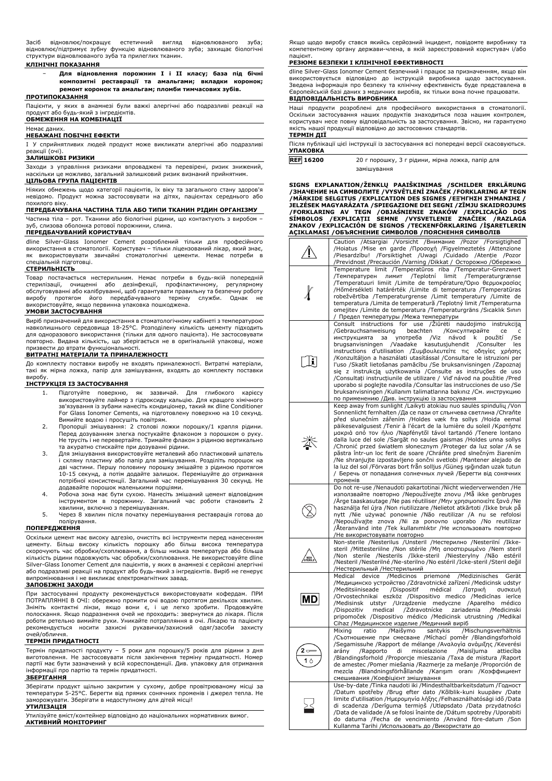Засіб відновлює/покращує естетичний вигляд відновлюваного зуба; відновлює/підтримує зубну функцію відновлюваного зуба; захищає біологічні структури відновлюваного зуба та прилеглих тканин.

### **КЛІНІЧНІ ПОКАЗАННЯ**

− **Для відновлення порожнин I і II класу; база під бічні композитні реставрації та амальгами; вкладки коронок; ремонт коронок та амальгам; пломби тимчасових зубів.**

## **ПРОТИПОКАЗАННЯ**

Пацієнти, у яких в анамнезі були важкі алергічні або подразливі реакції на продукт або будь-який з інгредієнтів. **ОБМЕЖЕННЯ НА КОМБІНАЦІЇ**

### Немає даних.

### **НЕБАЖАНІ ПОБІЧНІ ЕФЕКТИ**

I У сприйнятливих людей продукт може викликати алергічні або подразливі реакції (очі).

### **ЗАЛИШКОВІ РИЗИКИ**

Заходи з управління ризиками впроваджені та перевірені, ризик знижений, наскільки це можливо, загальний залишковий ризик визнаний прийнятним.

### **ЦІЛЬОВА ГРУПА ПАЦІЄНТІВ**

Ніяких обмежень щодо категорії пацієнтів, їх віку та загального стану здоров'я невідомо. Продукт можна застосовувати на дітях, пацієнтах середнього або

## похилого віку. **ПЕРЕДБАЧУВАНА ЧАСТИНА ТІЛА АБО ТИПИ ТКАНИН РІДИН ОРГАНІЗМУ**

Частина тіла – рот. Тканини або біологічні рідини, що контактують з виробом – слизова оболонка ротової порожнини, слина.

### **ПЕРЕДБАЧУВАНИЙ КОРИСТУВАЧ**

dline Silver-Glass Ionomer Cement розроблений тільки для професійного використання в стоматології. Користувач – тільки ліцензований лікар, який знає, як використовувати звичайні стоматологічні цементи. Немає потреби в спеціальній підготовці.

### **СТЕРИЛЬНІСТЬ**

Товар постачається нестерильним. Немає потреби в будь-якій попередній стерилізації, очищенні або дезінфекції, профілактичному, регулярному обслуговуванні або калібруванні, щоб гарантувати правильну та безпечну роботу виробу протягом його передбачуваного терміну служби. Однак не використовуйте, якщо первинна упаковка пошкоджена.

### **УМОВИ ЗАСТОСУВАННЯ**

Виріб призначений для використання в стоматологічному кабінеті з температурою навколишнього середовища 18-25°C. Розподілену кількість цементу підходить для одноразового використання (тільки для одного пацієнта). Не застосовувати повторно. Видана кількість, що зберігається не в оригінальній упаковці, може призвести до втрати функціональності.

### **ВИТРАТНІ МАТЕРІАЛИ ТА ПРИНАЛЕЖНОСТІ**

До комплекту поставки виробу не входять приналежності. Витратні матеріали, такі як мірна ложка, папір для замішування, входять до комплекту поставки виробу.

## **ІНСТРУКЦІЯ ІЗ ЗАСТОСУВАННЯ**

- 1. Підготуйте поверхню, як зазвичай. Для глибокого використовуйте лайнер з гідроксиду кальцію. Для кращого хімічного зв'язування із зубами нанесіть кондиціонер, такий як dline Conditioner For Glass Ionomer Cements, на підготовлену поверхню на 10 секунд. Вимийте водою і просушіть повітрям.
- 2. Пропорції змішування: 2 столові ложки порошку/1 крапля рідини. Перед дозуванням злегка постукайте флаконом з порошком о руку. Не трусіть і не перевертайте. Тримайте флакон з рідиною вертикально та акуратно стискайте при дозуванні рідини.
- 3. Для змішування використовуйте металевий або пластиковий шпатель і скляну пластину або папір для замішування. Розділіть порошок на дві частини. Першу половину порошку змішайте з рідиною протягом 10-15 секунд, а потім додайте залишок. Перемішуйте до отримання потрібної консистенції. Загальний час перемішування 30 секунд. Не додавайте порошок маленькими порціями.
- 4. Робоча зона має бути сухою. Нанесіть змішаний цемент відповідним інструментом в порожнину. Загальний час роботи становить 2
- хвилини, включно з перемішуванням. 5. Через 8 хвилин після початку перемішування реставрація готова до полірування.

### **ПОПЕРЕДЖЕННЯ**

Оскільки цемент має високу адгезію, очистіть всі інструменти перед нанесенням цементу. Більш високу кількість порошку або більш висока температура скорочують час обробки/схоплювання, а більш низька температура або більша кількість рідини подовжують час обробки/схоплювання. Не використовуйте dline Silver-Glass Ionomer Cement для пацієнтів, у яких в анамнезі є серйозні алергічні або подразливі реакції на продукт або будь-який з інгредієнтів. Виріб не генерує випромінювання і не викликає електромагнітних завад.

### **ЗАПОБІЖНІ ЗАХОДИ**

При застосуванні продукту рекомендується використовувати кофердам. ПРИ ПОТРАПЛЯННІ В ОЧІ: обережно промити очі водою протягом декількох хвилин. Зніміть контактні лінзи, якщо вони є, і це легко зробити. Продовжуйте полоскання. Якщо подразнення очей не проходить: звернутися до лікаря. Після роботи ретельно вимийте руки. Уникайте потрапляння в очі. Лікарю та пацієнту рекомендується носити захисні рукавички/захисний одяг/засоби захисту .<br>очей/обличчя.

### **ТЕРМІН ПРИДАТНОСТІ**

Термін придатності продукту – 5 роки для порошку/5 років для рідини з дня виготовлення. Не застосовувати після закінчення терміну придатності. Номер партії має бути зазначений у всій кореспонденції. Див. упаковку для отримання інформації про партію та термін придатності.

### **ЗБЕРІГАННЯ**

Зберігати продукт щільно закритим у сухому, добре провітрюваному місці за температури 5-25°C. Берегти від прямих сонячних променів і джерел тепла. Не заморожувати. Зберігати в недоступному для дітей місці!

### **УТИЛІЗАЦІЯ**

Утилізуйте вміст/контейнер відповідно до національних нормативних вимог. **АКТИВНИЙ МОНІТОРИНГ**

Якщо щодо виробу стався якийсь серйозний інцидент, повідомте виробнику та компетентному органу держави-члена, в якій зареєстрований користувач і/або пацієнт.

### **РЕЗЮМЕ БЕЗПЕКИ І КЛІНІЧНОЇ ЕФЕКТИВНОСТІ**

dline Silver-Glass Ionomer Cement безпечний і працює за призначенням, якщо він використовується відповідно до інструкцій виробника щодо застосування. Зведена інформація про безпеку та клінічну ефективність буде представлена в Європейській базі даних з медичних виробів, як тільки вона почне працювати. **ВІДПОВІДАЛЬНІСТЬ ВИРОБНИКА**

Наші продукти розроблені для професійного використання в стоматології. Оскільки застосування наших продуктів знаходиться поза нашим контролем, користувач несе повну відповідальність за застосування. Звісно, ми гарантуємо якість нашої продукції відповідно до застосовних стандартів. **ТЕРМІН ДІЇ**

| Після публікації цієї інструкції із застосування всі попередні версії скасовуються. |  |
|-------------------------------------------------------------------------------------|--|
| <b>УПАКОВКА</b>                                                                     |  |
|                                                                                     |  |

| <b>REF 16200</b> | 20 г порошку, 3 г рідини, мірна ложка, папір для |  |
|------------------|--------------------------------------------------|--|
|                  | замішування                                      |  |

SIGNS EXPLANATION/ZENKLŲ PAAISKINIMAS /SCHILDER ERKLARUNG<br>/3HA-VEHINE HA CMMBOJNITE /VYSVĚTLENÍ ZNAČEK /FORKLARING AF TEGN<br>/MÄRKIDE SELGITUS /EXPLICATION DES SIGNES /E='HITHZH Z'HMANZHZ<br>/ELZÉSEK MAGYARÁZATA /SPIEGAZIONE DE

|              | Caution /Atsargiai /Vorsicht /Внимание /Pozor /Forsigtighed<br>/Hoiatus /Mise en garde /Προσοχή /Figyelmeztetés /Attenzione                                                                                                                                                                                                                                                                                                                                                                                                                                                                                                                                                                                                                                                                                                    |
|--------------|--------------------------------------------------------------------------------------------------------------------------------------------------------------------------------------------------------------------------------------------------------------------------------------------------------------------------------------------------------------------------------------------------------------------------------------------------------------------------------------------------------------------------------------------------------------------------------------------------------------------------------------------------------------------------------------------------------------------------------------------------------------------------------------------------------------------------------|
|              | /Piesardzību! /Forsiktighet /Uwagi /Cuidado /Atenție /Pozor<br>/Previdnost /Precaución /Varning /Dikkat / Осторожно /Обережно                                                                                                                                                                                                                                                                                                                                                                                                                                                                                                                                                                                                                                                                                                  |
|              | Temperature limit /Temperatūros riba /Temperatur-Grenzwert<br>/Teplotní<br>limit<br>/Температурен<br>ЛИМИТ<br>/Temperaturgrænse<br>/Temperatuuri limiit / Limite de température/Όριο θερμοκρασίας<br>/Hőmérsékleti határérték /Limite di temperatura /Temperatūras                                                                                                                                                                                                                                                                                                                                                                                                                                                                                                                                                             |
|              | robežvērtība /Temperaturgrense /Limit temperatury /Limite de<br>temperatura /Limita de temperatură /Teplotný limit /Temperaturna<br>omejitev / Límite de temperatura / Temperaturgräns / Sıcaklık Sınırı<br>Предел температуры /Межа температури                                                                                                                                                                                                                                                                                                                                                                                                                                                                                                                                                                               |
| $\mathbf{i}$ | Consult instructions for use / Ziūrėti naudojimo instrukciją<br>/Консултирайте<br>/Gebrauchsanweisung<br>beachten<br>ce<br>употреба<br>návod<br>инструкцията<br>за<br>/Viz<br>k<br>použití<br>/Se<br>/Vaadake<br>kasutusjuhendit<br>brugsanvisningen<br>/Consulter<br>les<br>instructions d'utilisation /Συμβουλευτείτε τις οδηγίες χρήσης<br>/Konzultáljon a használati utasítással /Consultare le istruzioni per<br>l'uso /Skatīt lietošanas pamācību /Se bruksanvisningen /Zapoznaj<br>się z instrukcją użytkowania /Consulte as instruções de uso<br>/Consultați instrucțiunile de utilizare / Viď návod na použitie /Pred<br>uporabo si poglejte navodila / Consultar las instrucciones de uso / Se<br>bruksanvisningen /Kullanım talimatlarına bakınız /См. инструкцию<br>по применению /Див. інструкцію із застосування |
|              | Keep away from sunlight /Laikyti atokiau nuo saulės spindulių /Von<br>Sonnenlicht fernhalten /Да се пази от слънчева светлина /Chrañte<br>před slunečním zářením /Holdes væk fra sollys /Hoida eemal<br>päikesevalgusest /Tenir à l'écart de la lumière du soleil /Κρατήστε<br>μακριά από τον ήλιο /Napfénytől távol tartandó /Tenere lontano<br>dalla luce del sole /Sargāt no saules gaismas /Holdes unna sollys<br>/Chronić przed światłem słonecznym /Proteger da luz solar /A se<br>păstra într-un loc ferit de soare /Chráňte pred slnečným žiarením<br>/Ne shranjujte izpostavljeno sončni svetlobi /Mantener alejado de<br>la luz del sol /Förvaras bort från solljus /Güneş ışığından uzak tutun<br>/ Беречь от попадания солнечных лучей /Берегти від сонячних<br>променів                                           |
|              | Do not re-use /Nenaudoti pakartotinai /Nicht wiederverwenden /He<br>използвайте повторно /Nepoužívejte znovu /Mă ikke genbruges<br>Ärge taaskasutage /Ne pas réutiliser /Μην χρησιμοποιείτε ξανά /Ne<br>használja fel újra /Non riutilizzare /Nelietot atkārtoti /Ikke bruk pă<br>nytt /Nie używać ponownie /Não reutilizar /A nu se refolosi<br>/Nepoužívajte znova /Ni za ponovno uporabo /No reutilizar<br>Ateranvänd inte /Tek kullanımlıktır /Не использовать повторно<br>/Не використовувати повторно                                                                                                                                                                                                                                                                                                                    |
|              | Non-sterile /Nesterilus /Unsteril /Нестерилно /Nesterilní /Ikke-<br>steril /Mittesteriilne /Non stérile /Μη αποστειρωμένο /Nem steril<br>/Non sterile /Nesterils /Ikke-steril /Niesterylny /Não estéril<br>/Nesteril /Nesterilné /Ne-sterilno /No estéril /Icke-steril /Steril değil<br>/Нестерильный /Нестерильний                                                                                                                                                                                                                                                                                                                                                                                                                                                                                                            |
| MD           | /Medicinos<br>/Medizinisches<br>Medical device<br>priemonė<br>Gerät<br>/Медицинско устройство /Zdravotnické zařízení /Medicinsk udstyr<br>/Meditsiiniseade<br>/Dispositif<br>médical<br>/Іатрікή<br>συσκευή<br>/Orvostechnikai eszköz /Dispositivo medico /Medicīnas ierīce<br>/Medisinsk utstyr /Urządzenie medyczne /Aparelho médico<br>/Zdravotnícke<br>zariadenia<br>/Dispozitiv<br>medical<br>/Medicinski<br>pripomoček /Dispositivo médico /Medicinsk utrustning /Medikal<br>Cihaz /Медицинское изделие /Медичний виріб                                                                                                                                                                                                                                                                                                  |
| $2 -$<br>1 ∆ | Mixing<br>ratio<br>/Maišymo<br>santykis<br>/Mischungsverhältnis<br>/Съотношение при смесване /Míchací poměr /Blandingsforhold<br>/Segamissuhe /Rapport de mélange /Αναλογία ανάμιξης /Keverési<br>/Rapporto di miscelazione /Maisījuma<br>arány<br>attiecība<br>/Blandingsforhold /Proporcje mieszania /Taxa de mistura /Raport<br>de amestec /Pomer miešania /Razmerje za mešanje /Proporción de<br>mezcla /Blandningsförhållande /Karışım oranı /Коэффициент<br>смешивания / Коефіцієнт змішування                                                                                                                                                                                                                                                                                                                           |
|              | Use-by-date /Tinka naudoti iki /Mindesthaltbarkeitsdatum /Годност<br>/Datum spotřeby /Brug efter dato /Kõlblik-kuni kuupäev /Date<br>limite d'utilisation / Ημερομηνία λήξης / Felhasználhatósági idő / Data<br>di scadenza /Derīguma termiņš /Utløpsdato /Data przydatności<br>/Data de validade /A se folosi înainte de /Dátum spotreby /Uporabiti<br>do datuma /Fecha de vencimiento /Använd före-datum /Son<br>Kullanma Tarihi / Использовать до / Використати до                                                                                                                                                                                                                                                                                                                                                          |